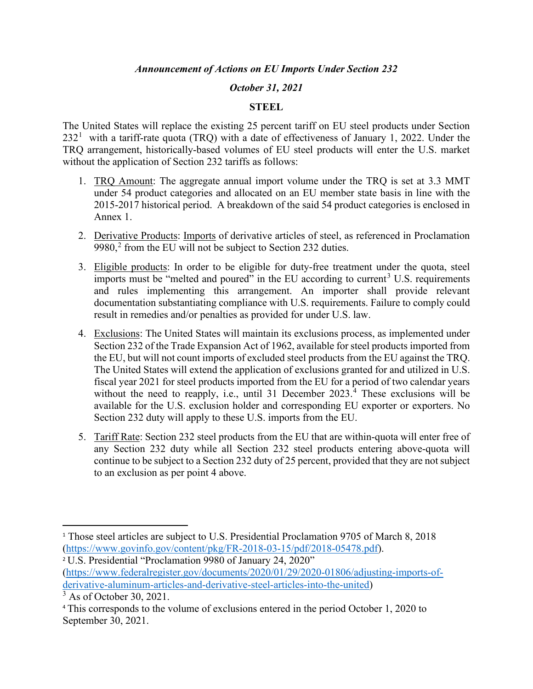#### *October 31, 2021*

#### **STEEL**

The United States will replace the existing 25 percent tariff on EU steel products under Section 232<sup>[1](#page-0-0)</sup> with a tariff-rate quota (TRQ) with a date of effectiveness of January 1, 2022. Under the TRQ arrangement, historically-based volumes of EU steel products will enter the U.S. market without the application of Section 232 tariffs as follows:

- 1. TRQ Amount: The aggregate annual import volume under the TRQ is set at 3.3 MMT under 54 product categories and allocated on an EU member state basis in line with the 2015-2017 historical period. A breakdown of the said 54 product categories is enclosed in Annex 1.
- 2. Derivative Products: Imports of derivative articles of steel, as referenced in Proclamation 9980,<sup>[2](#page-0-1)</sup> from the EU will not be subject to Section 232 duties.
- 3. Eligible products: In order to be eligible for duty-free treatment under the quota, steel imports must be "melted and poured" in the EU according to current<sup>[3](#page-0-2)</sup> U.S. requirements and rules implementing this arrangement. An importer shall provide relevant documentation substantiating compliance with U.S. requirements. Failure to comply could result in remedies and/or penalties as provided for under U.S. law.
- 4. Exclusions: The United States will maintain its exclusions process, as implemented under Section 232 of the Trade Expansion Act of 1962, available for steel products imported from the EU, but will not count imports of excluded steel products from the EU against the TRQ. The United States will extend the application of exclusions granted for and utilized in U.S. fiscal year 2021 for steel products imported from the EU for a period of two calendar years without the need to reapply, i.e., until 31 December 2023.<sup>[4](#page-0-3)</sup> These exclusions will be available for the U.S. exclusion holder and corresponding EU exporter or exporters. No Section 232 duty will apply to these U.S. imports from the EU.
- 5. Tariff Rate: Section 232 steel products from the EU that are within-quota will enter free of any Section 232 duty while all Section 232 steel products entering above-quota will continue to be subject to a Section 232 duty of 25 percent, provided that they are not subject to an exclusion as per point 4 above.

<span id="page-0-0"></span><sup>&</sup>lt;sup>1</sup> Those steel articles are subject to U.S. Presidential Proclamation 9705 of March 8, 2018 [\(https://www.govinfo.gov/content/pkg/FR-2018-03-15/pdf/2018-05478.pdf\)](https://www.govinfo.gov/content/pkg/FR-2018-03-15/pdf/2018-05478.pdf).

<span id="page-0-1"></span><sup>2</sup> U.S. Presidential "Proclamation 9980 of January 24, 2020" [\(https://www.federalregister.gov/documents/2020/01/29/2020-01806/adjusting-imports-of](https://www.federalregister.gov/documents/2020/01/29/2020-01806/adjusting-imports-of-derivative-aluminum-articles-and-derivative-steel-articles-into-the-united)[derivative-aluminum-articles-and-derivative-steel-articles-into-the-united\)](https://www.federalregister.gov/documents/2020/01/29/2020-01806/adjusting-imports-of-derivative-aluminum-articles-and-derivative-steel-articles-into-the-united)

<span id="page-0-2"></span> $3$  As of October 30, 2021.

<span id="page-0-3"></span><sup>4</sup> This corresponds to the volume of exclusions entered in the period October 1, 2020 to September 30, 2021.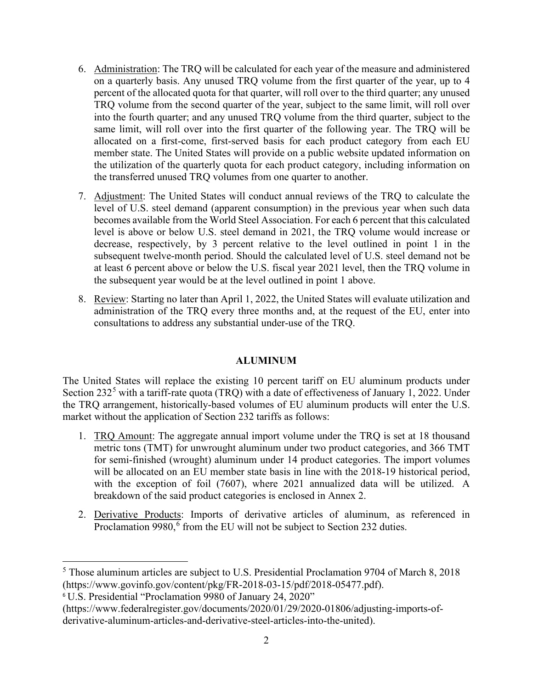- 6. Administration: The TRQ will be calculated for each year of the measure and administered on a quarterly basis. Any unused TRQ volume from the first quarter of the year, up to 4 percent of the allocated quota for that quarter, will roll over to the third quarter; any unused TRQ volume from the second quarter of the year, subject to the same limit, will roll over into the fourth quarter; and any unused TRQ volume from the third quarter, subject to the same limit, will roll over into the first quarter of the following year. The TRQ will be allocated on a first-come, first-served basis for each product category from each EU member state. The United States will provide on a public website updated information on the utilization of the quarterly quota for each product category, including information on the transferred unused TRQ volumes from one quarter to another.
- 7. Adjustment: The United States will conduct annual reviews of the TRQ to calculate the level of U.S. steel demand (apparent consumption) in the previous year when such data becomes available from the World Steel Association. For each 6 percent that this calculated level is above or below U.S. steel demand in 2021, the TRQ volume would increase or decrease, respectively, by 3 percent relative to the level outlined in point 1 in the subsequent twelve-month period. Should the calculated level of U.S. steel demand not be at least 6 percent above or below the U.S. fiscal year 2021 level, then the TRQ volume in the subsequent year would be at the level outlined in point 1 above.
- 8. Review: Starting no later than April 1, 2022, the United States will evaluate utilization and administration of the TRQ every three months and, at the request of the EU, enter into consultations to address any substantial under-use of the TRQ.

### **ALUMINUM**

The United States will replace the existing 10 percent tariff on EU aluminum products under Section  $232<sup>5</sup>$  $232<sup>5</sup>$  $232<sup>5</sup>$  with a tariff-rate quota (TRQ) with a date of effectiveness of January 1, 2022. Under the TRQ arrangement, historically-based volumes of EU aluminum products will enter the U.S. market without the application of Section 232 tariffs as follows:

- 1. TRQ Amount: The aggregate annual import volume under the TRQ is set at 18 thousand metric tons (TMT) for unwrought aluminum under two product categories, and 366 TMT for semi-finished (wrought) aluminum under 14 product categories. The import volumes will be allocated on an EU member state basis in line with the 2018-19 historical period, with the exception of foil (7607), where 2021 annualized data will be utilized. A breakdown of the said product categories is enclosed in Annex 2.
- 2. Derivative Products: Imports of derivative articles of aluminum, as referenced in Proclamation 9980,<sup>[6](#page-1-1)</sup> from the EU will not be subject to Section 232 duties.

<span id="page-1-0"></span><sup>5</sup> Those aluminum articles are subject to U.S. Presidential Proclamation 9704 of March 8, 2018 [\(https://www.govinfo.gov/content/pkg/FR-2018-03-15/pdf/2018-05477.pdf\)](https://www.govinfo.gov/content/pkg/FR-2018-03-15/pdf/2018-05477.pdf).

<span id="page-1-1"></span><sup>6</sup> U.S. Presidential "Proclamation 9980 of January 24, 2020"

[<sup>\(</sup>https://www.federalregister.gov/documents/2020/01/29/2020-01806/adjusting-imports-of](https://www.federalregister.gov/documents/2020/01/29/2020-01806/adjusting-imports-of-derivative-aluminum-articles-and-derivative-steel-articles-into-the-united)[derivative-aluminum-articles-and-derivative-steel-articles-into-the-united\)](https://www.federalregister.gov/documents/2020/01/29/2020-01806/adjusting-imports-of-derivative-aluminum-articles-and-derivative-steel-articles-into-the-united).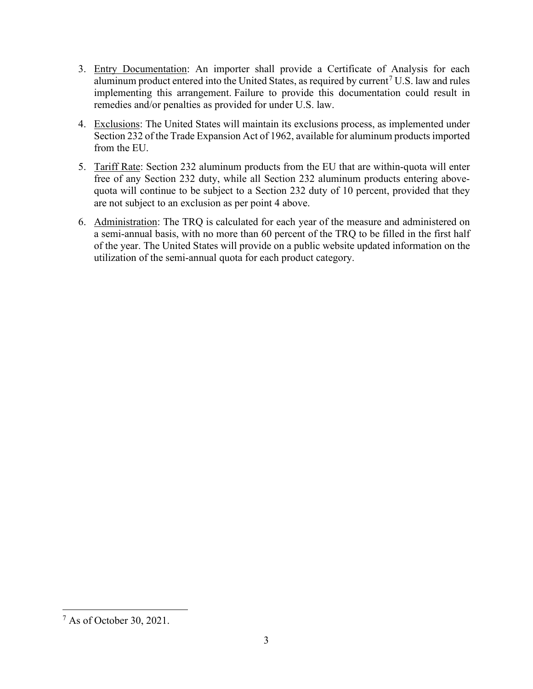- 3. Entry Documentation: An importer shall provide a Certificate of Analysis for each aluminum product entered into the United States, as required by current<sup>[7](#page-2-0)</sup> U.S. law and rules implementing this arrangement. Failure to provide this documentation could result in remedies and/or penalties as provided for under U.S. law.
- 4. Exclusions: The United States will maintain its exclusions process, as implemented under Section 232 of the Trade Expansion Act of 1962, available for aluminum products imported from the EU.
- 5. Tariff Rate: Section 232 aluminum products from the EU that are within-quota will enter free of any Section 232 duty, while all Section 232 aluminum products entering abovequota will continue to be subject to a Section 232 duty of 10 percent, provided that they are not subject to an exclusion as per point 4 above.
- 6. Administration: The TRQ is calculated for each year of the measure and administered on a semi-annual basis, with no more than 60 percent of the TRQ to be filled in the first half of the year. The United States will provide on a public website updated information on the utilization of the semi-annual quota for each product category.

<span id="page-2-0"></span><sup>7</sup> As of October 30, 2021.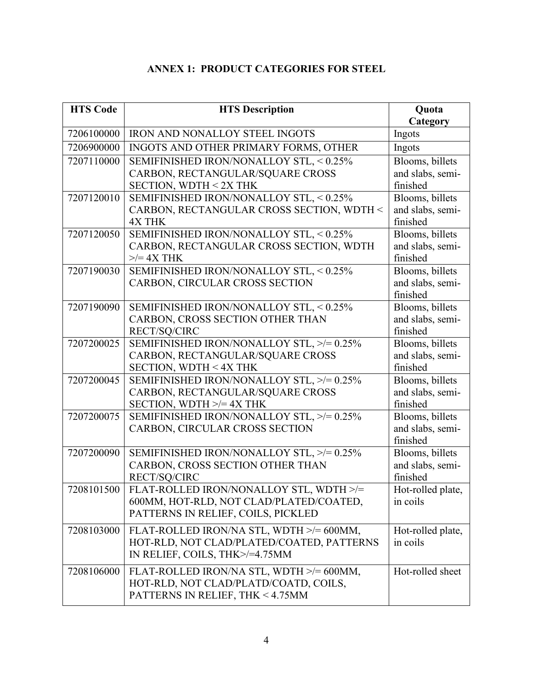## **ANNEX 1: PRODUCT CATEGORIES FOR STEEL**

| <b>HTS Code</b> | <b>HTS Description</b>                               | Quota             |
|-----------------|------------------------------------------------------|-------------------|
|                 |                                                      | Category          |
| 7206100000      | <b>IRON AND NONALLOY STEEL INGOTS</b>                | Ingots            |
| 7206900000      | INGOTS AND OTHER PRIMARY FORMS, OTHER                | Ingots            |
| 7207110000      | SEMIFINISHED IRON/NONALLOY STL, < 0.25%              | Blooms, billets   |
|                 | CARBON, RECTANGULAR/SQUARE CROSS                     | and slabs, semi-  |
|                 | SECTION, WDTH < 2X THK                               | finished          |
| 7207120010      | SEMIFINISHED IRON/NONALLOY STL, < 0.25%              | Blooms, billets   |
|                 | CARBON, RECTANGULAR CROSS SECTION, WDTH <            | and slabs, semi-  |
|                 | <b>4X THK</b>                                        | finished          |
| 7207120050      | SEMIFINISHED IRON/NONALLOY STL, < 0.25%              | Blooms, billets   |
|                 | CARBON, RECTANGULAR CROSS SECTION, WDTH              | and slabs, semi-  |
|                 | $>>=4X$ THK                                          | finished          |
| 7207190030      | SEMIFINISHED IRON/NONALLOY STL, < 0.25%              | Blooms, billets   |
|                 | CARBON, CIRCULAR CROSS SECTION                       | and slabs, semi-  |
|                 |                                                      | finished          |
| 7207190090      | SEMIFINISHED IRON/NONALLOY STL, < 0.25%              | Blooms, billets   |
|                 | CARBON, CROSS SECTION OTHER THAN                     | and slabs, semi-  |
|                 | RECT/SQ/CIRC                                         | finished          |
| 7207200025      | SEMIFINISHED IRON/NONALLOY STL, >/= 0.25%            | Blooms, billets   |
|                 | CARBON, RECTANGULAR/SQUARE CROSS                     | and slabs, semi-  |
|                 | SECTION, WDTH < 4X THK                               | finished          |
| 7207200045      | SEMIFINISHED IRON/NONALLOY STL, >/= 0.25%            | Blooms, billets   |
|                 | CARBON, RECTANGULAR/SQUARE CROSS                     | and slabs, semi-  |
|                 | SECTION, WDTH $\ge$ /= 4X THK                        | finished          |
| 7207200075      | SEMIFINISHED IRON/NONALLOY STL, >/= 0.25%            | Blooms, billets   |
|                 | CARBON, CIRCULAR CROSS SECTION                       | and slabs, semi-  |
|                 |                                                      | finished          |
| 7207200090      | SEMIFINISHED IRON/NONALLOY STL, >/= 0.25%            | Blooms, billets   |
|                 | CARBON, CROSS SECTION OTHER THAN                     | and slabs, semi-  |
|                 | RECT/SQ/CIRC                                         | finished          |
|                 | 7208101500   FLAT-ROLLED IRON/NONALLOY STL, WDTH >/= | Hot-rolled plate, |
|                 | 600MM, HOT-RLD, NOT CLAD/PLATED/COATED,              | in coils          |
|                 | PATTERNS IN RELIEF, COILS, PICKLED                   |                   |
| 7208103000      | FLAT-ROLLED IRON/NA STL, WDTH >/= 600MM,             | Hot-rolled plate, |
|                 | HOT-RLD, NOT CLAD/PLATED/COATED, PATTERNS            | in coils          |
|                 | IN RELIEF, COILS, THK>/=4.75MM                       |                   |
| 7208106000      | FLAT-ROLLED IRON/NA STL, WDTH >/= 600MM,             | Hot-rolled sheet  |
|                 | HOT-RLD, NOT CLAD/PLATD/COATD, COILS,                |                   |
|                 | PATTERNS IN RELIEF, THK < 4.75MM                     |                   |
|                 |                                                      |                   |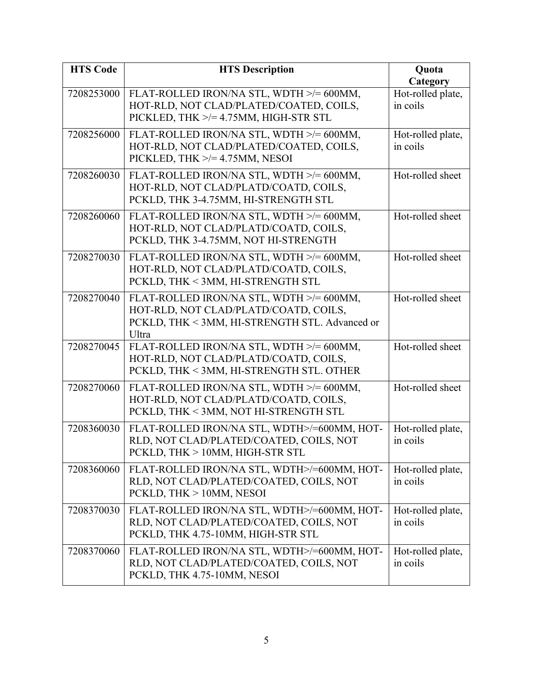| <b>HTS Code</b> | <b>HTS Description</b>                                                                                                                       | Quota<br>Category             |
|-----------------|----------------------------------------------------------------------------------------------------------------------------------------------|-------------------------------|
| 7208253000      | FLAT-ROLLED IRON/NA STL, WDTH >/= 600MM,<br>HOT-RLD, NOT CLAD/PLATED/COATED, COILS,<br>PICKLED, THK >/= 4.75MM, HIGH-STR STL                 | Hot-rolled plate,<br>in coils |
| 7208256000      | FLAT-ROLLED IRON/NA STL, WDTH >/= 600MM,<br>HOT-RLD, NOT CLAD/PLATED/COATED, COILS,<br>PICKLED, THK $\ge$ /= 4.75MM, NESOI                   | Hot-rolled plate,<br>in coils |
| 7208260030      | FLAT-ROLLED IRON/NA STL, WDTH >/= 600MM,<br>HOT-RLD, NOT CLAD/PLATD/COATD, COILS,<br>PCKLD, THK 3-4.75MM, HI-STRENGTH STL                    | Hot-rolled sheet              |
| 7208260060      | FLAT-ROLLED IRON/NA STL, WDTH >/= 600MM,<br>HOT-RLD, NOT CLAD/PLATD/COATD, COILS,<br>PCKLD, THK 3-4.75MM, NOT HI-STRENGTH                    | Hot-rolled sheet              |
| 7208270030      | FLAT-ROLLED IRON/NA STL, WDTH >/= 600MM,<br>HOT-RLD, NOT CLAD/PLATD/COATD, COILS,<br>PCKLD, THK < 3MM, HI-STRENGTH STL                       | Hot-rolled sheet              |
| 7208270040      | FLAT-ROLLED IRON/NA STL, WDTH >/= 600MM,<br>HOT-RLD, NOT CLAD/PLATD/COATD, COILS,<br>PCKLD, THK < 3MM, HI-STRENGTH STL. Advanced or<br>Ultra | Hot-rolled sheet              |
| 7208270045      | FLAT-ROLLED IRON/NA STL, WDTH >/= 600MM,<br>HOT-RLD, NOT CLAD/PLATD/COATD, COILS,<br>PCKLD, THK < 3MM, HI-STRENGTH STL. OTHER                | Hot-rolled sheet              |
| 7208270060      | FLAT-ROLLED IRON/NA STL, WDTH >/= 600MM,<br>HOT-RLD, NOT CLAD/PLATD/COATD, COILS,<br>PCKLD, THK < 3MM, NOT HI-STRENGTH STL                   | Hot-rolled sheet              |
| 7208360030      | FLAT-ROLLED IRON/NA STL, WDTH>/=600MM, HOT-<br>RLD, NOT CLAD/PLATED/COATED, COILS, NOT<br>PCKLD, THK > 10MM, HIGH-STR STL                    | Hot-rolled plate,<br>in coils |
| 7208360060      | FLAT-ROLLED IRON/NA STL, WDTH>/=600MM, HOT-<br>RLD, NOT CLAD/PLATED/COATED, COILS, NOT<br>PCKLD, THK > 10MM, NESOI                           | Hot-rolled plate,<br>in coils |
| 7208370030      | FLAT-ROLLED IRON/NA STL, WDTH>/=600MM, HOT-<br>RLD, NOT CLAD/PLATED/COATED, COILS, NOT<br>PCKLD, THK 4.75-10MM, HIGH-STR STL                 | Hot-rolled plate,<br>in coils |
| 7208370060      | FLAT-ROLLED IRON/NA STL, WDTH>/=600MM, HOT-<br>RLD, NOT CLAD/PLATED/COATED, COILS, NOT<br>PCKLD, THK 4.75-10MM, NESOI                        | Hot-rolled plate,<br>in coils |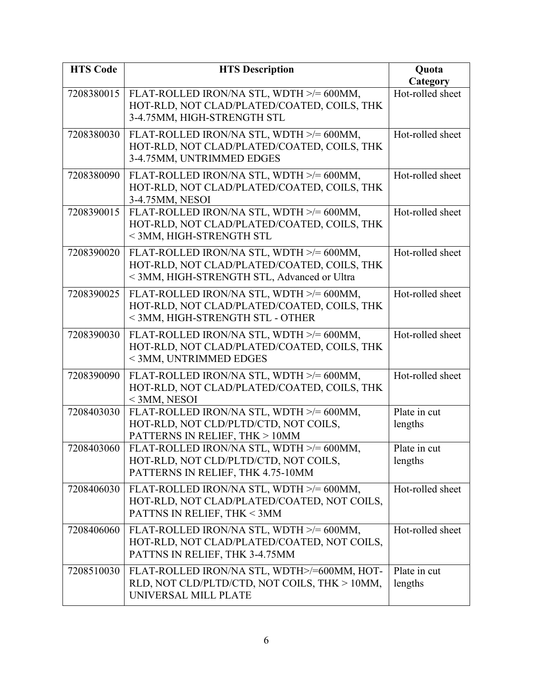| <b>HTS Code</b> | <b>HTS Description</b>                                                                                                                 | Quota                        |
|-----------------|----------------------------------------------------------------------------------------------------------------------------------------|------------------------------|
| 7208380015      | FLAT-ROLLED IRON/NA STL, WDTH >/= 600MM,<br>HOT-RLD, NOT CLAD/PLATED/COATED, COILS, THK<br>3-4.75MM, HIGH-STRENGTH STL                 | Category<br>Hot-rolled sheet |
| 7208380030      | FLAT-ROLLED IRON/NA STL, WDTH >/= 600MM,<br>HOT-RLD, NOT CLAD/PLATED/COATED, COILS, THK<br>3-4.75MM, UNTRIMMED EDGES                   | Hot-rolled sheet             |
| 7208380090      | FLAT-ROLLED IRON/NA STL, WDTH >/= 600MM,<br>HOT-RLD, NOT CLAD/PLATED/COATED, COILS, THK<br>3-4.75MM, NESOI                             | Hot-rolled sheet             |
| 7208390015      | FLAT-ROLLED IRON/NA STL, WDTH >/= 600MM,<br>HOT-RLD, NOT CLAD/PLATED/COATED, COILS, THK<br>< 3MM, HIGH-STRENGTH STL                    | Hot-rolled sheet             |
| 7208390020      | FLAT-ROLLED IRON/NA STL, WDTH >/= 600MM,<br>HOT-RLD, NOT CLAD/PLATED/COATED, COILS, THK<br>< 3MM, HIGH-STRENGTH STL, Advanced or Ultra | Hot-rolled sheet             |
| 7208390025      | FLAT-ROLLED IRON/NA STL, WDTH >/= 600MM,<br>HOT-RLD, NOT CLAD/PLATED/COATED, COILS, THK<br>< 3MM, HIGH-STRENGTH STL - OTHER            | Hot-rolled sheet             |
| 7208390030      | FLAT-ROLLED IRON/NA STL, WDTH >/= 600MM,<br>HOT-RLD, NOT CLAD/PLATED/COATED, COILS, THK<br>< 3MM, UNTRIMMED EDGES                      | Hot-rolled sheet             |
| 7208390090      | FLAT-ROLLED IRON/NA STL, WDTH >/= 600MM,<br>HOT-RLD, NOT CLAD/PLATED/COATED, COILS, THK<br>$<$ 3MM, NESOI                              | Hot-rolled sheet             |
| 7208403030      | FLAT-ROLLED IRON/NA STL, WDTH >/= 600MM,<br>HOT-RLD, NOT CLD/PLTD/CTD, NOT COILS,<br>PATTERNS IN RELIEF, THK > 10MM                    | Plate in cut<br>lengths      |
| 7208403060      | FLAT-ROLLED IRON/NA STL, WDTH >/= 600MM,<br>HOT-RLD, NOT CLD/PLTD/CTD, NOT COILS,<br>PATTERNS IN RELIEF, THK 4.75-10MM                 | Plate in cut<br>lengths      |
| 7208406030      | FLAT-ROLLED IRON/NA STL, WDTH >/= 600MM,<br>HOT-RLD, NOT CLAD/PLATED/COATED, NOT COILS,<br>PATTNS IN RELIEF, THK < 3MM                 | Hot-rolled sheet             |
| 7208406060      | FLAT-ROLLED IRON/NA STL, WDTH >/= 600MM,<br>HOT-RLD, NOT CLAD/PLATED/COATED, NOT COILS,<br>PATTNS IN RELIEF, THK 3-4.75MM              | Hot-rolled sheet             |
| 7208510030      | FLAT-ROLLED IRON/NA STL, WDTH>/=600MM, HOT-<br>RLD, NOT CLD/PLTD/CTD, NOT COILS, THK > 10MM,<br>UNIVERSAL MILL PLATE                   | Plate in cut<br>lengths      |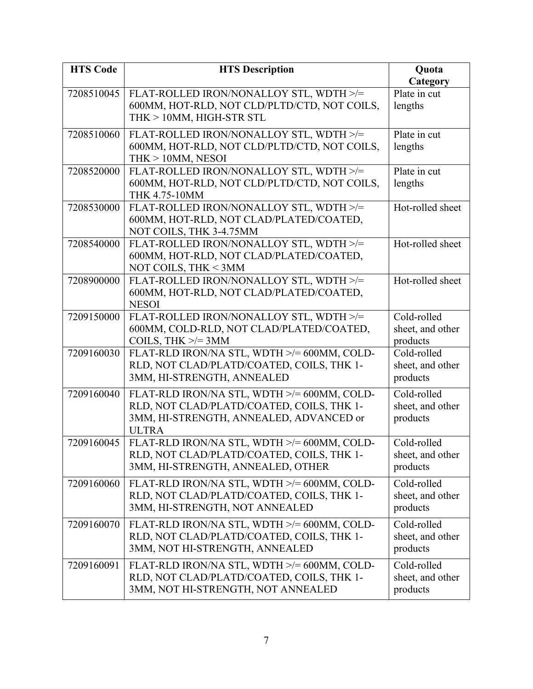| <b>HTS Code</b> | <b>HTS Description</b>                                                                   | Quota                        |
|-----------------|------------------------------------------------------------------------------------------|------------------------------|
|                 |                                                                                          | Category                     |
| 7208510045      | FLAT-ROLLED IRON/NONALLOY STL, WDTH >/=                                                  | Plate in cut                 |
|                 | 600MM, HOT-RLD, NOT CLD/PLTD/CTD, NOT COILS,                                             | lengths                      |
|                 | THK > 10MM, HIGH-STR STL                                                                 |                              |
| 7208510060      | FLAT-ROLLED IRON/NONALLOY STL, WDTH >/=                                                  | Plate in cut                 |
|                 | 600MM, HOT-RLD, NOT CLD/PLTD/CTD, NOT COILS,                                             | lengths                      |
|                 | $THK > 10MM$ , NESOI                                                                     |                              |
| 7208520000      | FLAT-ROLLED IRON/NONALLOY STL, WDTH >/=                                                  | Plate in cut                 |
|                 | 600MM, HOT-RLD, NOT CLD/PLTD/CTD, NOT COILS,                                             | lengths                      |
|                 | THK 4.75-10MM                                                                            |                              |
| 7208530000      | FLAT-ROLLED IRON/NONALLOY STL, WDTH >/=                                                  | Hot-rolled sheet             |
|                 | 600MM, HOT-RLD, NOT CLAD/PLATED/COATED,                                                  |                              |
|                 | NOT COILS, THK 3-4.75MM                                                                  |                              |
| 7208540000      | FLAT-ROLLED IRON/NONALLOY STL, WDTH >/=                                                  | Hot-rolled sheet             |
|                 | 600MM, HOT-RLD, NOT CLAD/PLATED/COATED,                                                  |                              |
|                 | NOT COILS, THK < 3MM                                                                     |                              |
| 7208900000      | FLAT-ROLLED IRON/NONALLOY STL, WDTH >/=                                                  | Hot-rolled sheet             |
|                 | 600MM, HOT-RLD, NOT CLAD/PLATED/COATED,                                                  |                              |
|                 | <b>NESOI</b>                                                                             |                              |
| 7209150000      | FLAT-ROLLED IRON/NONALLOY STL, WDTH >/=                                                  | Cold-rolled                  |
|                 | 600MM, COLD-RLD, NOT CLAD/PLATED/COATED,<br>COILS, THK $\ge$ /= 3MM                      | sheet, and other<br>products |
| 7209160030      | FLAT-RLD IRON/NA STL, WDTH >/= 600MM, COLD-                                              | Cold-rolled                  |
|                 | RLD, NOT CLAD/PLATD/COATED, COILS, THK 1-                                                | sheet, and other             |
|                 | 3MM, HI-STRENGTH, ANNEALED                                                               | products                     |
|                 |                                                                                          |                              |
| 7209160040      | FLAT-RLD IRON/NA STL, WDTH >/= 600MM, COLD-                                              | Cold-rolled                  |
|                 | RLD, NOT CLAD/PLATD/COATED, COILS, THK 1-                                                | sheet, and other             |
|                 | 3MM, HI-STRENGTH, ANNEALED, ADVANCED or                                                  | products                     |
|                 | <b>ULTRA</b>                                                                             | Cold-rolled                  |
| 7209160045      | FLAT-RLD IRON/NA STL, WDTH >/= 600MM, COLD-<br>RLD, NOT CLAD/PLATD/COATED, COILS, THK 1- | sheet, and other             |
|                 | 3MM, HI-STRENGTH, ANNEALED, OTHER                                                        | products                     |
|                 |                                                                                          |                              |
| 7209160060      | FLAT-RLD IRON/NA STL, WDTH >/= 600MM, COLD-                                              | Cold-rolled                  |
|                 | RLD, NOT CLAD/PLATD/COATED, COILS, THK 1-                                                | sheet, and other             |
|                 | 3MM, HI-STRENGTH, NOT ANNEALED                                                           | products                     |
| 7209160070      | FLAT-RLD IRON/NA STL, WDTH >/= 600MM, COLD-                                              | Cold-rolled                  |
|                 | RLD, NOT CLAD/PLATD/COATED, COILS, THK 1-                                                | sheet, and other             |
|                 | 3MM, NOT HI-STRENGTH, ANNEALED                                                           | products                     |
| 7209160091      | FLAT-RLD IRON/NA STL, WDTH >/= 600MM, COLD-                                              | Cold-rolled                  |
|                 | RLD, NOT CLAD/PLATD/COATED, COILS, THK 1-                                                | sheet, and other             |
|                 | 3MM, NOT HI-STRENGTH, NOT ANNEALED                                                       | products                     |
|                 |                                                                                          |                              |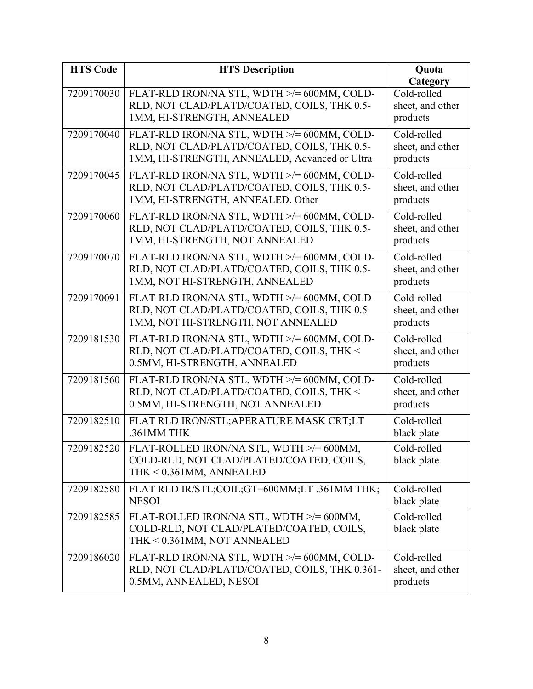| <b>HTS Code</b> | <b>HTS Description</b>                                                                                                                      | Quota<br>Category                           |
|-----------------|---------------------------------------------------------------------------------------------------------------------------------------------|---------------------------------------------|
| 7209170030      | FLAT-RLD IRON/NA STL, WDTH >/= 600MM, COLD-<br>RLD, NOT CLAD/PLATD/COATED, COILS, THK 0.5-<br>1MM, HI-STRENGTH, ANNEALED                    | Cold-rolled<br>sheet, and other<br>products |
| 7209170040      | FLAT-RLD IRON/NA STL, WDTH >/= 600MM, COLD-<br>RLD, NOT CLAD/PLATD/COATED, COILS, THK 0.5-<br>1MM, HI-STRENGTH, ANNEALED, Advanced or Ultra | Cold-rolled<br>sheet, and other<br>products |
| 7209170045      | FLAT-RLD IRON/NA STL, WDTH >/= 600MM, COLD-<br>RLD, NOT CLAD/PLATD/COATED, COILS, THK 0.5-<br>1MM, HI-STRENGTH, ANNEALED. Other             | Cold-rolled<br>sheet, and other<br>products |
| 7209170060      | FLAT-RLD IRON/NA STL, WDTH >/= 600MM, COLD-<br>RLD, NOT CLAD/PLATD/COATED, COILS, THK 0.5-<br>1MM, HI-STRENGTH, NOT ANNEALED                | Cold-rolled<br>sheet, and other<br>products |
| 7209170070      | FLAT-RLD IRON/NA STL, WDTH >/= 600MM, COLD-<br>RLD, NOT CLAD/PLATD/COATED, COILS, THK 0.5-<br>1MM, NOT HI-STRENGTH, ANNEALED                | Cold-rolled<br>sheet, and other<br>products |
| 7209170091      | FLAT-RLD IRON/NA STL, WDTH >/= 600MM, COLD-<br>RLD, NOT CLAD/PLATD/COATED, COILS, THK 0.5-<br>1MM, NOT HI-STRENGTH, NOT ANNEALED            | Cold-rolled<br>sheet, and other<br>products |
| 7209181530      | FLAT-RLD IRON/NA STL, WDTH >/= 600MM, COLD-<br>RLD, NOT CLAD/PLATD/COATED, COILS, THK <<br>0.5MM, HI-STRENGTH, ANNEALED                     | Cold-rolled<br>sheet, and other<br>products |
| 7209181560      | FLAT-RLD IRON/NA STL, WDTH >/= 600MM, COLD-<br>RLD, NOT CLAD/PLATD/COATED, COILS, THK <<br>0.5MM, HI-STRENGTH, NOT ANNEALED                 | Cold-rolled<br>sheet, and other<br>products |
| 7209182510      | FLAT RLD IRON/STL; APERATURE MASK CRT;LT<br>.361MM THK                                                                                      | Cold-rolled<br>black plate                  |
| 7209182520      | FLAT-ROLLED IRON/NA STL, WDTH >/= 600MM,<br>COLD-RLD, NOT CLAD/PLATED/COATED, COILS,<br>THK < 0.361MM, ANNEALED                             | Cold-rolled<br>black plate                  |
| 7209182580      | FLAT RLD IR/STL;COIL;GT=600MM;LT .361MM THK;<br><b>NESOI</b>                                                                                | Cold-rolled<br>black plate                  |
| 7209182585      | FLAT-ROLLED IRON/NA STL, WDTH >/= 600MM,<br>COLD-RLD, NOT CLAD/PLATED/COATED, COILS,<br>THK < 0.361MM, NOT ANNEALED                         | Cold-rolled<br>black plate                  |
| 7209186020      | FLAT-RLD IRON/NA STL, WDTH >/= 600MM, COLD-<br>RLD, NOT CLAD/PLATD/COATED, COILS, THK 0.361-<br>0.5MM, ANNEALED, NESOI                      | Cold-rolled<br>sheet, and other<br>products |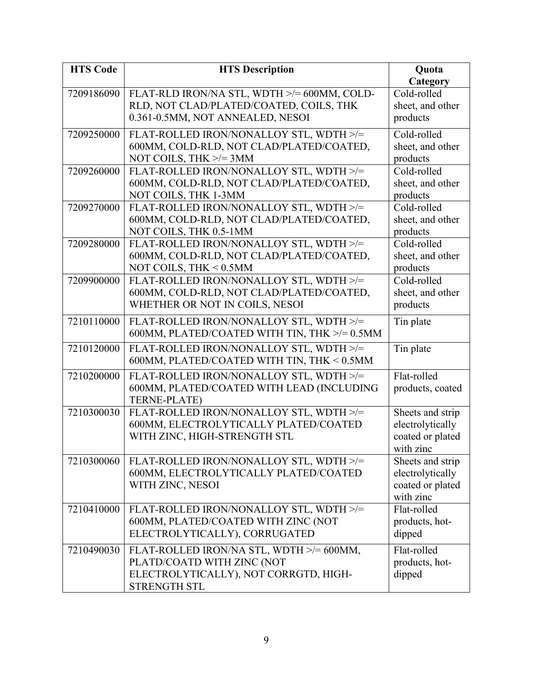| <b>HTS Code</b> | <b>HTS Description</b>                                                                | Quota            |
|-----------------|---------------------------------------------------------------------------------------|------------------|
|                 |                                                                                       | Category         |
| 7209186090      | FLAT-RLD IRON/NA STL, WDTH >/= 600MM, COLD-                                           | Cold-rolled      |
|                 | RLD, NOT CLAD/PLATED/COATED, COILS, THK                                               | sheet, and other |
|                 | 0.361-0.5MM, NOT ANNEALED, NESOI                                                      | products         |
| 7209250000      | FLAT-ROLLED IRON/NONALLOY STL, WDTH >/=                                               | Cold-rolled      |
|                 | 600MM, COLD-RLD, NOT CLAD/PLATED/COATED,                                              | sheet, and other |
|                 | NOT COILS, THK $\ge$ /= 3MM                                                           | products         |
| 7209260000      | FLAT-ROLLED IRON/NONALLOY STL, WDTH >/=                                               | Cold-rolled      |
|                 | 600MM, COLD-RLD, NOT CLAD/PLATED/COATED,                                              | sheet, and other |
|                 | NOT COILS, THK 1-3MM                                                                  | products         |
| 7209270000      | FLAT-ROLLED IRON/NONALLOY STL, WDTH >/=                                               | Cold-rolled      |
|                 | 600MM, COLD-RLD, NOT CLAD/PLATED/COATED,                                              | sheet, and other |
|                 | NOT COILS, THK 0.5-1MM                                                                | products         |
| 7209280000      | FLAT-ROLLED IRON/NONALLOY STL, WDTH >/=                                               | Cold-rolled      |
|                 | 600MM, COLD-RLD, NOT CLAD/PLATED/COATED,                                              | sheet, and other |
|                 | NOT COILS, THK < 0.5MM                                                                | products         |
| 7209900000      | FLAT-ROLLED IRON/NONALLOY STL, WDTH >/=                                               | Cold-rolled      |
|                 | 600MM, COLD-RLD, NOT CLAD/PLATED/COATED,                                              | sheet, and other |
|                 | WHETHER OR NOT IN COILS, NESOI                                                        | products         |
| 7210110000      | FLAT-ROLLED IRON/NONALLOY STL, WDTH >/=                                               | Tin plate        |
|                 | 600MM, PLATED/COATED WITH TIN, THK >/= 0.5MM                                          |                  |
|                 |                                                                                       |                  |
| 7210120000      | FLAT-ROLLED IRON/NONALLOY STL, WDTH >/=<br>600MM, PLATED/COATED WITH TIN, THK < 0.5MM | Tin plate        |
|                 |                                                                                       |                  |
| 7210200000      | FLAT-ROLLED IRON/NONALLOY STL, WDTH >/=                                               | Flat-rolled      |
|                 | 600MM, PLATED/COATED WITH LEAD (INCLUDING                                             | products, coated |
|                 | <b>TERNE-PLATE)</b>                                                                   |                  |
| 7210300030      | FLAT-ROLLED IRON/NONALLOY STL, WDTH >/=                                               | Sheets and strip |
|                 | 600MM, ELECTROLYTICALLY PLATED/COATED                                                 | electrolytically |
|                 | WITH ZINC, HIGH-STRENGTH STL                                                          | coated or plated |
|                 |                                                                                       | with zinc        |
| 7210300060      | FLAT-ROLLED IRON/NONALLOY STL, WDTH >/=                                               | Sheets and strip |
|                 | 600MM, ELECTROLYTICALLY PLATED/COATED                                                 | electrolytically |
|                 | WITH ZINC, NESOI                                                                      | coated or plated |
|                 |                                                                                       | with zinc        |
| 7210410000      | FLAT-ROLLED IRON/NONALLOY STL, WDTH >/=                                               | Flat-rolled      |
|                 | 600MM, PLATED/COATED WITH ZINC (NOT                                                   | products, hot-   |
|                 | ELECTROLYTICALLY), CORRUGATED                                                         | dipped           |
| 7210490030      | FLAT-ROLLED IRON/NA STL, WDTH >/= 600MM,                                              | Flat-rolled      |
|                 | PLATD/COATD WITH ZINC (NOT                                                            | products, hot-   |
|                 | ELECTROLYTICALLY), NOT CORRGTD, HIGH-                                                 | dipped           |
|                 | <b>STRENGTH STL</b>                                                                   |                  |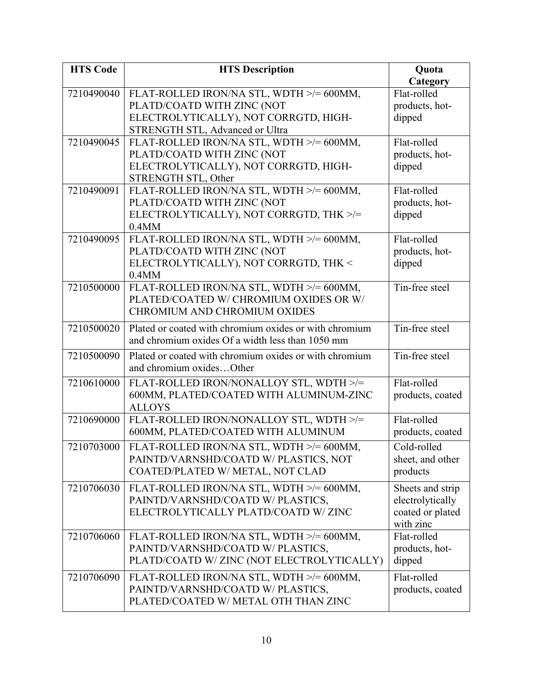| <b>HTS Code</b> | <b>HTS Description</b>                                       | Quota            |
|-----------------|--------------------------------------------------------------|------------------|
|                 |                                                              | Category         |
| 7210490040      | FLAT-ROLLED IRON/NA STL, WDTH >/= 600MM,                     | Flat-rolled      |
|                 | PLATD/COATD WITH ZINC (NOT                                   | products, hot-   |
|                 | ELECTROLYTICALLY), NOT CORRGTD, HIGH-                        | dipped           |
|                 | STRENGTH STL, Advanced or Ultra                              |                  |
| 7210490045      | FLAT-ROLLED IRON/NA STL, WDTH >/= 600MM,                     | Flat-rolled      |
|                 | PLATD/COATD WITH ZINC (NOT                                   | products, hot-   |
|                 | ELECTROLYTICALLY), NOT CORRGTD, HIGH-<br>STRENGTH STL, Other | dipped           |
| 7210490091      | FLAT-ROLLED IRON/NA STL, WDTH >/= 600MM,                     | Flat-rolled      |
|                 | PLATD/COATD WITH ZINC (NOT                                   | products, hot-   |
|                 | ELECTROLYTICALLY), NOT CORRGTD, THK >/=                      | dipped           |
|                 | 0.4MM                                                        |                  |
| 7210490095      | FLAT-ROLLED IRON/NA STL, WDTH >/= 600MM,                     | Flat-rolled      |
|                 | PLATD/COATD WITH ZINC (NOT                                   | products, hot-   |
|                 | ELECTROLYTICALLY), NOT CORRGTD, THK <                        | dipped           |
|                 | $0.4$ MM                                                     |                  |
| 7210500000      | FLAT-ROLLED IRON/NA STL, WDTH >/= 600MM,                     | Tin-free steel   |
|                 | PLATED/COATED W/ CHROMIUM OXIDES OR W/                       |                  |
|                 | <b>CHROMIUM AND CHROMIUM OXIDES</b>                          |                  |
| 7210500020      | Plated or coated with chromium oxides or with chromium       | Tin-free steel   |
|                 | and chromium oxides Of a width less than 1050 mm             |                  |
| 7210500090      | Plated or coated with chromium oxides or with chromium       | Tin-free steel   |
|                 | and chromium oxidesOther                                     |                  |
|                 |                                                              |                  |
| 7210610000      | FLAT-ROLLED IRON/NONALLOY STL, WDTH >/=                      | Flat-rolled      |
|                 | 600MM, PLATED/COATED WITH ALUMINUM-ZINC                      | products, coated |
| 7210690000      | <b>ALLOYS</b><br>FLAT-ROLLED IRON/NONALLOY STL, WDTH >/=     | Flat-rolled      |
|                 | 600MM, PLATED/COATED WITH ALUMINUM                           | products, coated |
|                 |                                                              |                  |
| 7210703000      | FLAT-ROLLED IRON/NA STL, WDTH >/= 600MM,                     | Cold-rolled      |
|                 | PAINTD/VARNSHD/COATD W/ PLASTICS, NOT                        | sheet, and other |
|                 | COATED/PLATED W/ METAL, NOT CLAD                             | products         |
| 7210706030      | FLAT-ROLLED IRON/NA STL, WDTH >/= 600MM,                     | Sheets and strip |
|                 | PAINTD/VARNSHD/COATD W/ PLASTICS,                            | electrolytically |
|                 | ELECTROLYTICALLY PLATD/COATD W/ZINC                          | coated or plated |
|                 |                                                              | with zinc        |
| 7210706060      | FLAT-ROLLED IRON/NA STL, WDTH >/= 600MM,                     | Flat-rolled      |
|                 | PAINTD/VARNSHD/COATD W/ PLASTICS,                            | products, hot-   |
|                 | PLATD/COATD W/ZINC (NOT ELECTROLYTICALLY)                    | dipped           |
| 7210706090      | FLAT-ROLLED IRON/NA STL, WDTH >/= 600MM,                     | Flat-rolled      |
|                 | PAINTD/VARNSHD/COATD W/ PLASTICS,                            | products, coated |
|                 | PLATED/COATED W/ METAL OTH THAN ZINC                         |                  |
|                 |                                                              |                  |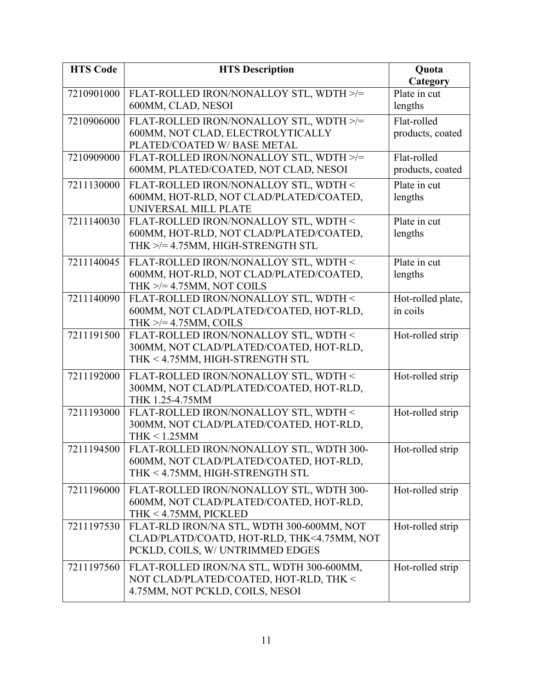| <b>HTS Code</b> | <b>HTS Description</b>                                                                                                      | Quota                               |
|-----------------|-----------------------------------------------------------------------------------------------------------------------------|-------------------------------------|
| 7210901000      | FLAT-ROLLED IRON/NONALLOY STL, WDTH >/=<br>600MM, CLAD, NESOI                                                               | Category<br>Plate in cut<br>lengths |
| 7210906000      | FLAT-ROLLED IRON/NONALLOY STL, WDTH >/=<br>600MM, NOT CLAD, ELECTROLYTICALLY<br>PLATED/COATED W/ BASE METAL                 | Flat-rolled<br>products, coated     |
| 7210909000      | FLAT-ROLLED IRON/NONALLOY STL, WDTH >/=<br>600MM, PLATED/COATED, NOT CLAD, NESOI                                            | Flat-rolled<br>products, coated     |
| 7211130000      | FLAT-ROLLED IRON/NONALLOY STL, WDTH <<br>600MM, HOT-RLD, NOT CLAD/PLATED/COATED,<br>UNIVERSAL MILL PLATE                    | Plate in cut<br>lengths             |
| 7211140030      | FLAT-ROLLED IRON/NONALLOY STL, WDTH <<br>600MM, HOT-RLD, NOT CLAD/PLATED/COATED,<br>THK >/= 4.75MM, HIGH-STRENGTH STL       | Plate in cut<br>lengths             |
| 7211140045      | FLAT-ROLLED IRON/NONALLOY STL, WDTH <<br>600MM, HOT-RLD, NOT CLAD/PLATED/COATED,<br>THK $\ge$ /= 4.75MM, NOT COILS          | Plate in cut<br>lengths             |
| 7211140090      | FLAT-ROLLED IRON/NONALLOY STL, WDTH <<br>600MM, NOT CLAD/PLATED/COATED, HOT-RLD,<br>THK $\ge$ /= 4.75MM, COILS              | Hot-rolled plate,<br>in coils       |
| 7211191500      | FLAT-ROLLED IRON/NONALLOY STL, WDTH <<br>300MM, NOT CLAD/PLATED/COATED, HOT-RLD,<br>THK < 4.75MM, HIGH-STRENGTH STL         | Hot-rolled strip                    |
| 7211192000      | FLAT-ROLLED IRON/NONALLOY STL, WDTH <<br>300MM, NOT CLAD/PLATED/COATED, HOT-RLD,<br>THK 1.25-4.75MM                         | Hot-rolled strip                    |
| 7211193000      | FLAT-ROLLED IRON/NONALLOY STL, WDTH <<br>300MM, NOT CLAD/PLATED/COATED, HOT-RLD,<br>$THK < 1.25$ MM                         | Hot-rolled strip                    |
| 7211194500      | FLAT-ROLLED IRON/NONALLOY STL, WDTH 300-<br>600MM, NOT CLAD/PLATED/COATED, HOT-RLD,<br>THK < 4.75MM, HIGH-STRENGTH STL      | Hot-rolled strip                    |
| 7211196000      | FLAT-ROLLED IRON/NONALLOY STL, WDTH 300-<br>600MM, NOT CLAD/PLATED/COATED, HOT-RLD,<br>THK < 4.75MM, PICKLED                | Hot-rolled strip                    |
| 7211197530      | FLAT-RLD IRON/NA STL, WDTH 300-600MM, NOT<br>CLAD/PLATD/COATD, HOT-RLD, THK<4.75MM, NOT<br>PCKLD, COILS, W/ UNTRIMMED EDGES | Hot-rolled strip                    |
| 7211197560      | FLAT-ROLLED IRON/NA STL, WDTH 300-600MM,<br>NOT CLAD/PLATED/COATED, HOT-RLD, THK <<br>4.75MM, NOT PCKLD, COILS, NESOI       | Hot-rolled strip                    |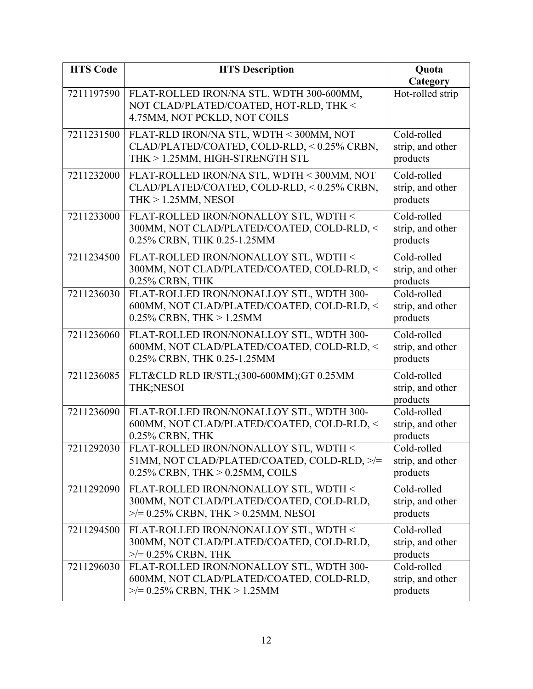| <b>HTS Code</b> | <b>HTS Description</b>                                                                                                        | Quota<br>Category                           |
|-----------------|-------------------------------------------------------------------------------------------------------------------------------|---------------------------------------------|
| 7211197590      | FLAT-ROLLED IRON/NA STL, WDTH 300-600MM,<br>NOT CLAD/PLATED/COATED, HOT-RLD, THK <<br>4.75MM, NOT PCKLD, NOT COILS            | Hot-rolled strip                            |
| 7211231500      | FLAT-RLD IRON/NA STL, WDTH < 300MM, NOT<br>CLAD/PLATED/COATED, COLD-RLD, < 0.25% CRBN,<br>THK > 1.25MM, HIGH-STRENGTH STL     | Cold-rolled<br>strip, and other<br>products |
| 7211232000      | FLAT-ROLLED IRON/NA STL, WDTH < 300MM, NOT<br>CLAD/PLATED/COATED, COLD-RLD, < 0.25% CRBN,<br>THK $> 1.25$ MM, NESOI           | Cold-rolled<br>strip, and other<br>products |
| 7211233000      | FLAT-ROLLED IRON/NONALLOY STL, WDTH <<br>300MM, NOT CLAD/PLATED/COATED, COLD-RLD, <<br>0.25% CRBN, THK 0.25-1.25MM            | Cold-rolled<br>strip, and other<br>products |
| 7211234500      | FLAT-ROLLED IRON/NONALLOY STL, WDTH <<br>300MM, NOT CLAD/PLATED/COATED, COLD-RLD, <<br>0.25% CRBN, THK                        | Cold-rolled<br>strip, and other<br>products |
| 7211236030      | FLAT-ROLLED IRON/NONALLOY STL, WDTH 300-<br>600MM, NOT CLAD/PLATED/COATED, COLD-RLD, <<br>0.25% CRBN, THK $> 1.25$ MM         | Cold-rolled<br>strip, and other<br>products |
| 7211236060      | FLAT-ROLLED IRON/NONALLOY STL, WDTH 300-<br>600MM, NOT CLAD/PLATED/COATED, COLD-RLD, <<br>0.25% CRBN, THK 0.25-1.25MM         | Cold-rolled<br>strip, and other<br>products |
| 7211236085      | FLT&CLD RLD IR/STL;(300-600MM);GT 0.25MM<br>THK;NESOI                                                                         | Cold-rolled<br>strip, and other<br>products |
| 7211236090      | FLAT-ROLLED IRON/NONALLOY STL, WDTH 300-<br>600MM, NOT CLAD/PLATED/COATED, COLD-RLD, <<br>0.25% CRBN, THK                     | Cold-rolled<br>strip, and other<br>products |
| 7211292030      | FLAT-ROLLED IRON/NONALLOY STL, WDTH <<br>51MM, NOT CLAD/PLATED/COATED, COLD-RLD, >/=<br>$0.25\%$ CRBN, THK $> 0.25$ MM, COILS | Cold-rolled<br>strip, and other<br>products |
| 7211292090      | FLAT-ROLLED IRON/NONALLOY STL, WDTH <<br>300MM, NOT CLAD/PLATED/COATED, COLD-RLD,<br>$\ge$ /= 0.25% CRBN, THK > 0.25MM, NESOI | Cold-rolled<br>strip, and other<br>products |
| 7211294500      | FLAT-ROLLED IRON/NONALLOY STL, WDTH <<br>300MM, NOT CLAD/PLATED/COATED, COLD-RLD,<br>$\ge$ /= 0.25% CRBN, THK                 | Cold-rolled<br>strip, and other<br>products |
| 7211296030      | FLAT-ROLLED IRON/NONALLOY STL, WDTH 300-<br>600MM, NOT CLAD/PLATED/COATED, COLD-RLD,<br>$\ge$ /= 0.25% CRBN, THK > 1.25MM     | Cold-rolled<br>strip, and other<br>products |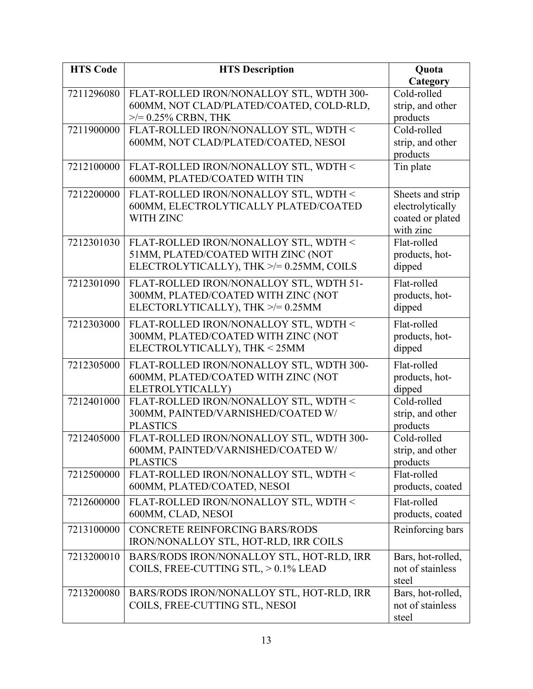| <b>HTS Code</b> | <b>HTS Description</b>                                | Quota                        |
|-----------------|-------------------------------------------------------|------------------------------|
|                 |                                                       | Category                     |
| 7211296080      | FLAT-ROLLED IRON/NONALLOY STL, WDTH 300-              | Cold-rolled                  |
|                 | 600MM, NOT CLAD/PLATED/COATED, COLD-RLD,              | strip, and other             |
|                 | $\ge$ /= 0.25% CRBN, THK                              | products                     |
| 7211900000      | FLAT-ROLLED IRON/NONALLOY STL, WDTH <                 | Cold-rolled                  |
|                 | 600MM, NOT CLAD/PLATED/COATED, NESOI                  | strip, and other<br>products |
| 7212100000      | FLAT-ROLLED IRON/NONALLOY STL, WDTH <                 | Tin plate                    |
|                 | 600MM, PLATED/COATED WITH TIN                         |                              |
| 7212200000      | FLAT-ROLLED IRON/NONALLOY STL, WDTH <                 | Sheets and strip             |
|                 | 600MM, ELECTROLYTICALLY PLATED/COATED                 | electrolytically             |
|                 | WITH ZINC                                             | coated or plated             |
|                 |                                                       | with zinc                    |
| 7212301030      | FLAT-ROLLED IRON/NONALLOY STL, WDTH <                 | Flat-rolled                  |
|                 | 51MM, PLATED/COATED WITH ZINC (NOT                    | products, hot-               |
|                 | ELECTROLYTICALLY), THK >/= 0.25MM, COILS              | dipped                       |
| 7212301090      | FLAT-ROLLED IRON/NONALLOY STL, WDTH 51-               | Flat-rolled                  |
|                 | 300MM, PLATED/COATED WITH ZINC (NOT                   | products, hot-               |
|                 | ELECTORLYTICALLY), THK >/=0.25MM                      | dipped                       |
| 7212303000      | FLAT-ROLLED IRON/NONALLOY STL, WDTH <                 | Flat-rolled                  |
|                 | 300MM, PLATED/COATED WITH ZINC (NOT                   | products, hot-               |
|                 | ELECTROLYTICALLY), THK < 25MM                         | dipped                       |
| 7212305000      | FLAT-ROLLED IRON/NONALLOY STL, WDTH 300-              | Flat-rolled                  |
|                 | 600MM, PLATED/COATED WITH ZINC (NOT                   | products, hot-               |
|                 | ELETROLYTICALLY)                                      | dipped                       |
| 7212401000      | FLAT-ROLLED IRON/NONALLOY STL, WDTH <                 | Cold-rolled                  |
|                 | 300MM, PAINTED/VARNISHED/COATED W/                    | strip, and other             |
|                 | <b>PLASTICS</b>                                       | products                     |
| 7212405000      | FLAT-ROLLED IRON/NONALLOY STL, WDTH 300-              | Cold-rolled                  |
|                 | 600MM, PAINTED/VARNISHED/COATED W/<br><b>PLASTICS</b> | strip, and other<br>products |
| 7212500000      | FLAT-ROLLED IRON/NONALLOY STL, WDTH <                 | Flat-rolled                  |
|                 | 600MM, PLATED/COATED, NESOI                           | products, coated             |
| 7212600000      | FLAT-ROLLED IRON/NONALLOY STL, WDTH <                 | Flat-rolled                  |
|                 | 600MM, CLAD, NESOI                                    | products, coated             |
| 7213100000      | <b>CONCRETE REINFORCING BARS/RODS</b>                 | Reinforcing bars             |
|                 | IRON/NONALLOY STL, HOT-RLD, IRR COILS                 |                              |
| 7213200010      | BARS/RODS IRON/NONALLOY STL, HOT-RLD, IRR             | Bars, hot-rolled,            |
|                 | COILS, FREE-CUTTING STL, > 0.1% LEAD                  | not of stainless             |
|                 |                                                       | steel                        |
| 7213200080      | BARS/RODS IRON/NONALLOY STL, HOT-RLD, IRR             | Bars, hot-rolled,            |
|                 | COILS, FREE-CUTTING STL, NESOI                        | not of stainless             |
|                 |                                                       | steel                        |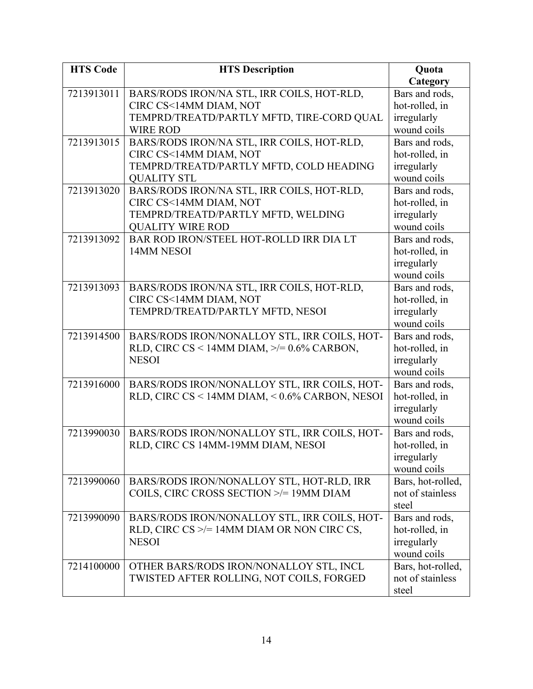| <b>HTS Code</b> | <b>HTS Description</b>                                          | Quota                      |
|-----------------|-----------------------------------------------------------------|----------------------------|
|                 |                                                                 | Category                   |
| 7213913011      | BARS/RODS IRON/NA STL, IRR COILS, HOT-RLD,                      | Bars and rods,             |
|                 | CIRC CS<14MM DIAM, NOT                                          | hot-rolled, in             |
|                 | TEMPRD/TREATD/PARTLY MFTD, TIRE-CORD QUAL                       | irregularly                |
|                 | <b>WIRE ROD</b>                                                 | wound coils                |
| 7213913015      | BARS/RODS IRON/NA STL, IRR COILS, HOT-RLD,                      | Bars and rods,             |
|                 | CIRC CS<14MM DIAM, NOT                                          | hot-rolled, in             |
|                 | TEMPRD/TREATD/PARTLY MFTD, COLD HEADING                         | irregularly                |
|                 | <b>OUALITY STL</b>                                              | wound coils                |
| 7213913020      | BARS/RODS IRON/NA STL, IRR COILS, HOT-RLD,                      | Bars and rods,             |
|                 | CIRC CS<14MM DIAM, NOT                                          | hot-rolled, in             |
|                 | TEMPRD/TREATD/PARTLY MFTD, WELDING                              | irregularly                |
|                 | <b>QUALITY WIRE ROD</b>                                         | wound coils                |
| 7213913092      | BAR ROD IRON/STEEL HOT-ROLLD IRR DIA LT                         | Bars and rods,             |
|                 | 14MM NESOI                                                      | hot-rolled, in             |
|                 |                                                                 | irregularly                |
|                 |                                                                 | wound coils                |
| 7213913093      | BARS/RODS IRON/NA STL, IRR COILS, HOT-RLD,                      | Bars and rods,             |
|                 | CIRC CS<14MM DIAM, NOT                                          | hot-rolled, in             |
|                 | TEMPRD/TREATD/PARTLY MFTD, NESOI                                | irregularly                |
|                 |                                                                 | wound coils                |
| 7213914500      | BARS/RODS IRON/NONALLOY STL, IRR COILS, HOT-                    | Bars and rods,             |
|                 | RLD, CIRC CS < 14MM DIAM, $\ge$ /= 0.6% CARBON,<br><b>NESOI</b> | hot-rolled, in             |
|                 |                                                                 | irregularly<br>wound coils |
| 7213916000      | BARS/RODS IRON/NONALLOY STL, IRR COILS, HOT-                    | Bars and rods,             |
|                 | RLD, CIRC CS < 14MM DIAM, < 0.6% CARBON, NESOI                  | hot-rolled, in             |
|                 |                                                                 | irregularly                |
|                 |                                                                 | wound coils                |
| 7213990030      | BARS/RODS IRON/NONALLOY STL, IRR COILS, HOT-                    | Bars and rods,             |
|                 | RLD, CIRC CS 14MM-19MM DIAM, NESOI                              | hot-rolled, in             |
|                 |                                                                 | irregularly                |
|                 |                                                                 | wound coils                |
| 7213990060      | BARS/RODS IRON/NONALLOY STL, HOT-RLD, IRR                       | Bars, hot-rolled,          |
|                 | COILS, CIRC CROSS SECTION >/= 19MM DIAM                         | not of stainless           |
|                 |                                                                 | steel                      |
| 7213990090      | BARS/RODS IRON/NONALLOY STL, IRR COILS, HOT-                    | Bars and rods,             |
|                 | RLD, CIRC CS $\ge$ /= 14MM DIAM OR NON CIRC CS,                 | hot-rolled, in             |
|                 | <b>NESOI</b>                                                    | irregularly                |
|                 |                                                                 | wound coils                |
| 7214100000      | OTHER BARS/RODS IRON/NONALLOY STL, INCL                         | Bars, hot-rolled,          |
|                 | TWISTED AFTER ROLLING, NOT COILS, FORGED                        | not of stainless           |
|                 |                                                                 | steel                      |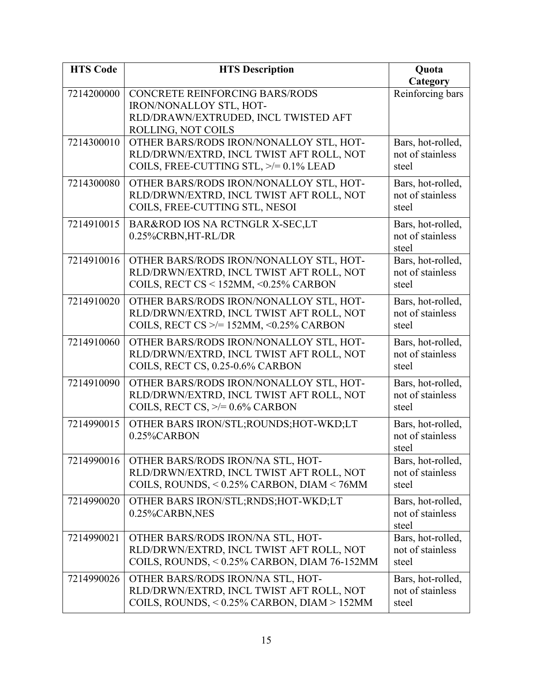| <b>HTS Code</b> | <b>HTS Description</b>                                                           | Quota                                 |
|-----------------|----------------------------------------------------------------------------------|---------------------------------------|
|                 |                                                                                  | Category                              |
| 7214200000      | <b>CONCRETE REINFORCING BARS/RODS</b><br>IRON/NONALLOY STL, HOT-                 | Reinforcing bars                      |
|                 | RLD/DRAWN/EXTRUDED, INCL TWISTED AFT                                             |                                       |
|                 | ROLLING, NOT COILS                                                               |                                       |
| 7214300010      | OTHER BARS/RODS IRON/NONALLOY STL, HOT-                                          | Bars, hot-rolled,                     |
|                 | RLD/DRWN/EXTRD, INCL TWIST AFT ROLL, NOT                                         | not of stainless                      |
|                 | COILS, FREE-CUTTING STL, >/= 0.1% LEAD                                           | steel                                 |
| 7214300080      | OTHER BARS/RODS IRON/NONALLOY STL, HOT-                                          | Bars, hot-rolled,                     |
|                 | RLD/DRWN/EXTRD, INCL TWIST AFT ROLL, NOT                                         | not of stainless                      |
|                 | COILS, FREE-CUTTING STL, NESOI                                                   | steel                                 |
| 7214910015      | BAR&ROD IOS NA RCTNGLR X-SEC,LT                                                  | Bars, hot-rolled,                     |
|                 | 0.25%CRBN,HT-RL/DR                                                               | not of stainless<br>steel             |
| 7214910016      | OTHER BARS/RODS IRON/NONALLOY STL, HOT-                                          | Bars, hot-rolled,                     |
|                 | RLD/DRWN/EXTRD, INCL TWIST AFT ROLL, NOT                                         | not of stainless                      |
|                 | COILS, RECT CS < 152MM, <0.25% CARBON                                            | steel                                 |
| 7214910020      | OTHER BARS/RODS IRON/NONALLOY STL, HOT-                                          | Bars, hot-rolled,                     |
|                 | RLD/DRWN/EXTRD, INCL TWIST AFT ROLL, NOT                                         | not of stainless                      |
|                 | COILS, RECT CS $\ge$ /= 152MM, <0.25% CARBON                                     | steel                                 |
| 7214910060      | OTHER BARS/RODS IRON/NONALLOY STL, HOT-                                          | Bars, hot-rolled,                     |
|                 | RLD/DRWN/EXTRD, INCL TWIST AFT ROLL, NOT                                         | not of stainless                      |
|                 | COILS, RECT CS, 0.25-0.6% CARBON                                                 | steel                                 |
| 7214910090      | OTHER BARS/RODS IRON/NONALLOY STL, HOT-                                          | Bars, hot-rolled,                     |
|                 | RLD/DRWN/EXTRD, INCL TWIST AFT ROLL, NOT<br>COILS, RECT CS, $\ge$ /= 0.6% CARBON | not of stainless<br>steel             |
|                 |                                                                                  |                                       |
| 7214990015      | OTHER BARS IRON/STL; ROUNDS; HOT-WKD; LT<br>0.25%CARBON                          | Bars, hot-rolled,<br>not of stainless |
|                 |                                                                                  | steel                                 |
| 7214990016      | OTHER BARS/RODS IRON/NA STL, HOT-                                                | Bars, hot-rolled,                     |
|                 | RLD/DRWN/EXTRD, INCL TWIST AFT ROLL, NOT                                         | not of stainless                      |
|                 | COILS, ROUNDS, < 0.25% CARBON, DIAM < 76MM                                       | steel                                 |
| 7214990020      | OTHER BARS IRON/STL; RNDS; HOT-WKD; LT                                           | Bars, hot-rolled,                     |
|                 | 0.25%CARBN,NES                                                                   | not of stainless                      |
| 7214990021      | OTHER BARS/RODS IRON/NA STL, HOT-                                                | steel<br>Bars, hot-rolled,            |
|                 | RLD/DRWN/EXTRD, INCL TWIST AFT ROLL, NOT                                         | not of stainless                      |
|                 | COILS, ROUNDS, < 0.25% CARBON, DIAM 76-152MM                                     | steel                                 |
| 7214990026      | OTHER BARS/RODS IRON/NA STL, HOT-                                                | Bars, hot-rolled,                     |
|                 | RLD/DRWN/EXTRD, INCL TWIST AFT ROLL, NOT                                         | not of stainless                      |
|                 | COILS, ROUNDS, < 0.25% CARBON, DIAM > 152MM                                      | steel                                 |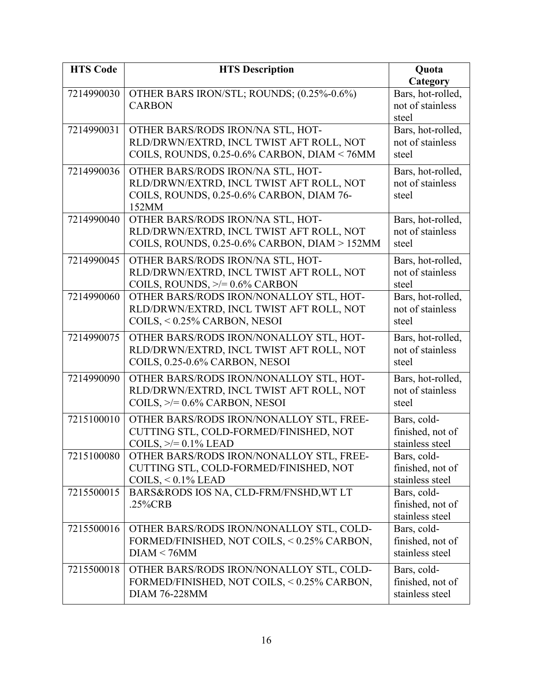| <b>HTS Code</b> | <b>HTS Description</b>                        | Quota             |
|-----------------|-----------------------------------------------|-------------------|
|                 |                                               | Category          |
| 7214990030      | OTHER BARS IRON/STL; ROUNDS; (0.25%-0.6%)     | Bars, hot-rolled, |
|                 | <b>CARBON</b>                                 | not of stainless  |
|                 |                                               | steel             |
| 7214990031      | OTHER BARS/RODS IRON/NA STL, HOT-             | Bars, hot-rolled, |
|                 | RLD/DRWN/EXTRD, INCL TWIST AFT ROLL, NOT      | not of stainless  |
|                 | COILS, ROUNDS, 0.25-0.6% CARBON, DIAM < 76MM  | steel             |
| 7214990036      | OTHER BARS/RODS IRON/NA STL, HOT-             | Bars, hot-rolled, |
|                 | RLD/DRWN/EXTRD, INCL TWIST AFT ROLL, NOT      | not of stainless  |
|                 | COILS, ROUNDS, 0.25-0.6% CARBON, DIAM 76-     | steel             |
|                 | 152MM                                         |                   |
| 7214990040      | OTHER BARS/RODS IRON/NA STL, HOT-             | Bars, hot-rolled, |
|                 | RLD/DRWN/EXTRD, INCL TWIST AFT ROLL, NOT      | not of stainless  |
|                 | COILS, ROUNDS, 0.25-0.6% CARBON, DIAM > 152MM | steel             |
| 7214990045      | OTHER BARS/RODS IRON/NA STL, HOT-             | Bars, hot-rolled, |
|                 | RLD/DRWN/EXTRD, INCL TWIST AFT ROLL, NOT      | not of stainless  |
|                 | COILS, ROUNDS, $\ge$ /= 0.6% CARBON           | steel             |
| 7214990060      | OTHER BARS/RODS IRON/NONALLOY STL, HOT-       | Bars, hot-rolled, |
|                 | RLD/DRWN/EXTRD, INCL TWIST AFT ROLL, NOT      | not of stainless  |
|                 | COILS, < 0.25% CARBON, NESOI                  | steel             |
| 7214990075      | OTHER BARS/RODS IRON/NONALLOY STL, HOT-       | Bars, hot-rolled, |
|                 | RLD/DRWN/EXTRD, INCL TWIST AFT ROLL, NOT      | not of stainless  |
|                 | COILS, 0.25-0.6% CARBON, NESOI                | steel             |
| 7214990090      | OTHER BARS/RODS IRON/NONALLOY STL, HOT-       | Bars, hot-rolled, |
|                 | RLD/DRWN/EXTRD, INCL TWIST AFT ROLL, NOT      | not of stainless  |
|                 | COILS, $\geq$ = 0.6% CARBON, NESOI            | steel             |
| 7215100010      | OTHER BARS/RODS IRON/NONALLOY STL, FREE-      | Bars, cold-       |
|                 | CUTTING STL, COLD-FORMED/FINISHED, NOT        | finished, not of  |
|                 | COILS, $\geq$ = 0.1% LEAD                     | stainless steel   |
| 7215100080      | OTHER BARS/RODS IRON/NONALLOY STL, FREE-      | Bars, cold-       |
|                 | CUTTING STL, COLD-FORMED/FINISHED, NOT        | finished, not of  |
|                 | COILS, $< 0.1\%$ LEAD                         | stainless steel   |
| 7215500015      | BARS&RODS IOS NA, CLD-FRM/FNSHD, WT LT        | Bars, cold-       |
|                 | .25%CRB                                       | finished, not of  |
|                 |                                               | stainless steel   |
| 7215500016      | OTHER BARS/RODS IRON/NONALLOY STL, COLD-      | Bars, cold-       |
|                 | FORMED/FINISHED, NOT COILS, < 0.25% CARBON,   | finished, not of  |
|                 | DIAM < 76MM                                   | stainless steel   |
| 7215500018      | OTHER BARS/RODS IRON/NONALLOY STL, COLD-      | Bars, cold-       |
|                 | FORMED/FINISHED, NOT COILS, < 0.25% CARBON,   | finished, not of  |
|                 | <b>DIAM 76-228MM</b>                          | stainless steel   |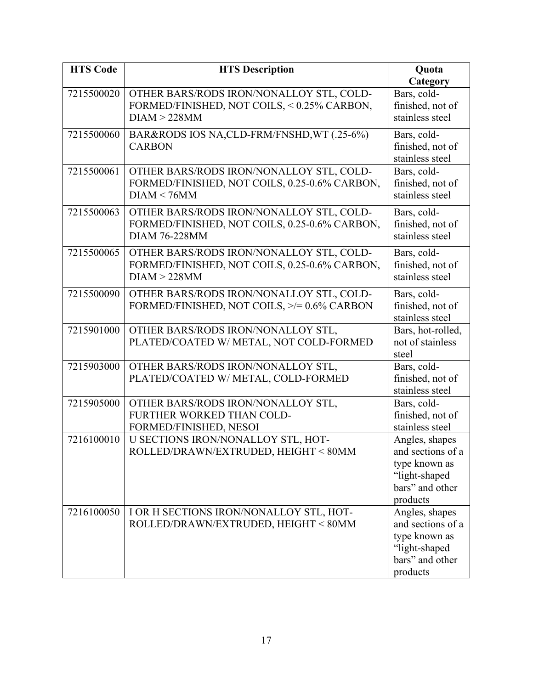| <b>HTS Code</b> | <b>HTS Description</b>                                                                                            | Quota                                                                                                |
|-----------------|-------------------------------------------------------------------------------------------------------------------|------------------------------------------------------------------------------------------------------|
|                 |                                                                                                                   | Category                                                                                             |
| 7215500020      | OTHER BARS/RODS IRON/NONALLOY STL, COLD-<br>FORMED/FINISHED, NOT COILS, < 0.25% CARBON,<br>DIAM > 228MM           | Bars, cold-<br>finished, not of<br>stainless steel                                                   |
| 7215500060      | BAR&RODS IOS NA,CLD-FRM/FNSHD, WT (.25-6%)<br><b>CARBON</b>                                                       | Bars, cold-<br>finished, not of<br>stainless steel                                                   |
| 7215500061      | OTHER BARS/RODS IRON/NONALLOY STL, COLD-<br>FORMED/FINISHED, NOT COILS, 0.25-0.6% CARBON,<br>DIAM < 76MM          | Bars, cold-<br>finished, not of<br>stainless steel                                                   |
| 7215500063      | OTHER BARS/RODS IRON/NONALLOY STL, COLD-<br>FORMED/FINISHED, NOT COILS, 0.25-0.6% CARBON,<br><b>DIAM 76-228MM</b> | Bars, cold-<br>finished, not of<br>stainless steel                                                   |
| 7215500065      | OTHER BARS/RODS IRON/NONALLOY STL, COLD-<br>FORMED/FINISHED, NOT COILS, 0.25-0.6% CARBON,<br>DIAM > 228MM         | Bars, cold-<br>finished, not of<br>stainless steel                                                   |
| 7215500090      | OTHER BARS/RODS IRON/NONALLOY STL, COLD-<br>FORMED/FINISHED, NOT COILS, >/= 0.6% CARBON                           | Bars, cold-<br>finished, not of<br>stainless steel                                                   |
| 7215901000      | OTHER BARS/RODS IRON/NONALLOY STL,<br>PLATED/COATED W/ METAL, NOT COLD-FORMED                                     | Bars, hot-rolled,<br>not of stainless<br>steel                                                       |
| 7215903000      | OTHER BARS/RODS IRON/NONALLOY STL,<br>PLATED/COATED W/ METAL, COLD-FORMED                                         | Bars, cold-<br>finished, not of<br>stainless steel                                                   |
| 7215905000      | OTHER BARS/RODS IRON/NONALLOY STL,<br>FURTHER WORKED THAN COLD-<br>FORMED/FINISHED, NESOI                         | Bars, cold-<br>finished, not of<br>stainless steel                                                   |
| 7216100010      | U SECTIONS IRON/NONALLOY STL, HOT-<br>ROLLED/DRAWN/EXTRUDED, HEIGHT < 80MM                                        | Angles, shapes<br>and sections of a<br>type known as<br>"light-shaped<br>bars" and other<br>products |
| 7216100050      | I OR H SECTIONS IRON/NONALLOY STL, HOT-<br>ROLLED/DRAWN/EXTRUDED, HEIGHT < 80MM                                   | Angles, shapes<br>and sections of a<br>type known as<br>"light-shaped<br>bars" and other<br>products |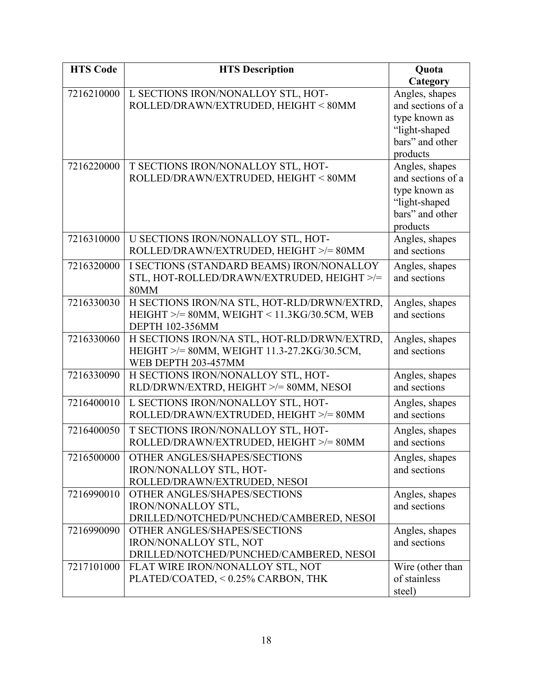| <b>HTS Code</b> | <b>HTS Description</b>                                                       | Quota                          |
|-----------------|------------------------------------------------------------------------------|--------------------------------|
|                 |                                                                              | Category                       |
| 7216210000      | L SECTIONS IRON/NONALLOY STL, HOT-                                           | Angles, shapes                 |
|                 | ROLLED/DRAWN/EXTRUDED, HEIGHT < 80MM                                         | and sections of a              |
|                 |                                                                              | type known as                  |
|                 |                                                                              | "light-shaped                  |
|                 |                                                                              | bars" and other                |
|                 |                                                                              | products                       |
| 7216220000      | T SECTIONS IRON/NONALLOY STL, HOT-                                           | Angles, shapes                 |
|                 | ROLLED/DRAWN/EXTRUDED, HEIGHT < 80MM                                         | and sections of a              |
|                 |                                                                              | type known as                  |
|                 |                                                                              | "light-shaped                  |
|                 |                                                                              | bars" and other                |
| 7216310000      |                                                                              | products                       |
|                 | U SECTIONS IRON/NONALLOY STL, HOT-<br>ROLLED/DRAWN/EXTRUDED, HEIGHT >/= 80MM | Angles, shapes<br>and sections |
|                 |                                                                              |                                |
| 7216320000      | I SECTIONS (STANDARD BEAMS) IRON/NONALLOY                                    | Angles, shapes                 |
|                 | STL, HOT-ROLLED/DRAWN/EXTRUDED, HEIGHT >/=                                   | and sections                   |
|                 | <b>80MM</b>                                                                  |                                |
| 7216330030      | H SECTIONS IRON/NA STL, HOT-RLD/DRWN/EXTRD,                                  | Angles, shapes<br>and sections |
|                 | HEIGHT $\ge$ /= 80MM, WEIGHT < 11.3KG/30.5CM, WEB<br><b>DEPTH 102-356MM</b>  |                                |
| 7216330060      | H SECTIONS IRON/NA STL, HOT-RLD/DRWN/EXTRD,                                  | Angles, shapes                 |
|                 | HEIGHT >/= 80MM, WEIGHT 11.3-27.2KG/30.5CM,                                  | and sections                   |
|                 | WEB DEPTH 203-457MM                                                          |                                |
| 7216330090      | H SECTIONS IRON/NONALLOY STL, HOT-                                           | Angles, shapes                 |
|                 | RLD/DRWN/EXTRD, HEIGHT >/= 80MM, NESOI                                       | and sections                   |
| 7216400010      | L SECTIONS IRON/NONALLOY STL, HOT-                                           | Angles, shapes                 |
|                 | ROLLED/DRAWN/EXTRUDED, HEIGHT >/= 80MM                                       | and sections                   |
| 7216400050      | T SECTIONS IRON/NONALLOY STL, HOT-                                           | Angles, shapes                 |
|                 | ROLLED/DRAWN/EXTRUDED, HEIGHT >/= 80MM                                       | and sections                   |
|                 | OTHER ANGLES/SHAPES/SECTIONS                                                 |                                |
| 7216500000      | IRON/NONALLOY STL, HOT-                                                      | Angles, shapes<br>and sections |
|                 | ROLLED/DRAWN/EXTRUDED, NESOI                                                 |                                |
| 7216990010      | OTHER ANGLES/SHAPES/SECTIONS                                                 | Angles, shapes                 |
|                 | IRON/NONALLOY STL,                                                           | and sections                   |
|                 | DRILLED/NOTCHED/PUNCHED/CAMBERED, NESOI                                      |                                |
| 7216990090      | OTHER ANGLES/SHAPES/SECTIONS                                                 | Angles, shapes                 |
|                 | <b>IRON/NONALLOY STL, NOT</b>                                                | and sections                   |
|                 | DRILLED/NOTCHED/PUNCHED/CAMBERED, NESOI                                      |                                |
| 7217101000      | FLAT WIRE IRON/NONALLOY STL, NOT                                             | Wire (other than               |
|                 | PLATED/COATED, < 0.25% CARBON, THK                                           | of stainless                   |
|                 |                                                                              | steel)                         |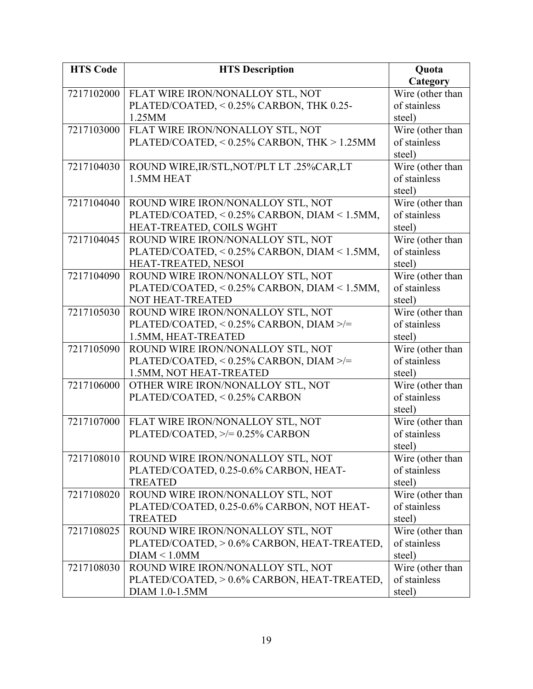| <b>HTS Code</b> | <b>HTS Description</b>                       | Quota            |
|-----------------|----------------------------------------------|------------------|
|                 |                                              | Category         |
| 7217102000      | FLAT WIRE IRON/NONALLOY STL, NOT             | Wire (other than |
|                 | PLATED/COATED, < 0.25% CARBON, THK 0.25-     | of stainless     |
|                 | 1.25MM                                       | steel)           |
| 7217103000      | FLAT WIRE IRON/NONALLOY STL, NOT             | Wire (other than |
|                 | PLATED/COATED, < 0.25% CARBON, THK > 1.25MM  | of stainless     |
|                 |                                              | steel)           |
| 7217104030      | ROUND WIRE, IR/STL, NOT/PLT LT .25%CAR, LT   | Wire (other than |
|                 | 1.5MM HEAT                                   | of stainless     |
|                 |                                              | steel)           |
| 7217104040      | ROUND WIRE IRON/NONALLOY STL, NOT            | Wire (other than |
|                 | PLATED/COATED, < 0.25% CARBON, DIAM < 1.5MM, | of stainless     |
|                 | HEAT-TREATED, COILS WGHT                     | steel)           |
| 7217104045      | ROUND WIRE IRON/NONALLOY STL, NOT            | Wire (other than |
|                 | PLATED/COATED, < 0.25% CARBON, DIAM < 1.5MM, | of stainless     |
|                 | HEAT-TREATED, NESOI                          | steel)           |
| 7217104090      | ROUND WIRE IRON/NONALLOY STL, NOT            | Wire (other than |
|                 | PLATED/COATED, < 0.25% CARBON, DIAM < 1.5MM, | of stainless     |
|                 | <b>NOT HEAT-TREATED</b>                      | steel)           |
| 7217105030      | ROUND WIRE IRON/NONALLOY STL, NOT            | Wire (other than |
|                 | PLATED/COATED, < 0.25% CARBON, DIAM >/=      | of stainless     |
|                 | 1.5MM, HEAT-TREATED                          | steel)           |
| 7217105090      | ROUND WIRE IRON/NONALLOY STL, NOT            | Wire (other than |
|                 | PLATED/COATED, < 0.25% CARBON, DIAM >/=      | of stainless     |
|                 | 1.5MM, NOT HEAT-TREATED                      | steel)           |
| 7217106000      | OTHER WIRE IRON/NONALLOY STL, NOT            | Wire (other than |
|                 | PLATED/COATED, < 0.25% CARBON                | of stainless     |
|                 |                                              | steel)           |
| 7217107000      | FLAT WIRE IRON/NONALLOY STL, NOT             | Wire (other than |
|                 | PLATED/COATED, $\ge$ /= 0.25% CARBON         | of stainless     |
|                 |                                              | steel)           |
| 7217108010      | ROUND WIRE IRON/NONALLOY STL, NOT            | Wire (other than |
|                 | PLATED/COATED, 0.25-0.6% CARBON, HEAT-       | of stainless     |
|                 | <b>TREATED</b>                               | steel)           |
| 7217108020      | ROUND WIRE IRON/NONALLOY STL, NOT            | Wire (other than |
|                 | PLATED/COATED, 0.25-0.6% CARBON, NOT HEAT-   | of stainless     |
|                 | <b>TREATED</b>                               | steel)           |
| 7217108025      | ROUND WIRE IRON/NONALLOY STL, NOT            | Wire (other than |
|                 | PLATED/COATED, > 0.6% CARBON, HEAT-TREATED,  | of stainless     |
|                 | DIAM < 1.0MM                                 | steel)           |
| 7217108030      | ROUND WIRE IRON/NONALLOY STL, NOT            | Wire (other than |
|                 | PLATED/COATED, > 0.6% CARBON, HEAT-TREATED,  | of stainless     |
|                 | DIAM 1.0-1.5MM                               | steel)           |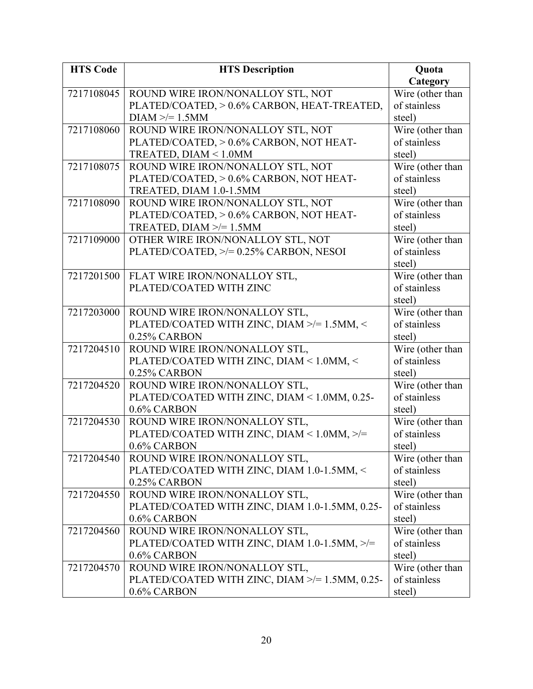| <b>HTS Code</b> | <b>HTS Description</b>                         | Quota            |
|-----------------|------------------------------------------------|------------------|
|                 |                                                | Category         |
| 7217108045      | ROUND WIRE IRON/NONALLOY STL, NOT              | Wire (other than |
|                 | PLATED/COATED, > 0.6% CARBON, HEAT-TREATED,    | of stainless     |
|                 | $DIAM \geq 1.5MM$                              | steel)           |
| 7217108060      | ROUND WIRE IRON/NONALLOY STL, NOT              | Wire (other than |
|                 | PLATED/COATED, > 0.6% CARBON, NOT HEAT-        | of stainless     |
|                 | TREATED, DIAM < 1.0MM                          | steel)           |
| 7217108075      | ROUND WIRE IRON/NONALLOY STL, NOT              | Wire (other than |
|                 | PLATED/COATED, > 0.6% CARBON, NOT HEAT-        | of stainless     |
|                 | TREATED, DIAM 1.0-1.5MM                        | steel)           |
| 7217108090      | ROUND WIRE IRON/NONALLOY STL, NOT              | Wire (other than |
|                 | PLATED/COATED, > 0.6% CARBON, NOT HEAT-        | of stainless     |
|                 | TREATED, DIAM $\ge$ = 1.5MM                    | steel)           |
| 7217109000      | OTHER WIRE IRON/NONALLOY STL, NOT              | Wire (other than |
|                 | PLATED/COATED, $\ge$ /= 0.25% CARBON, NESOI    | of stainless     |
|                 |                                                | steel)           |
| 7217201500      | FLAT WIRE IRON/NONALLOY STL,                   | Wire (other than |
|                 | PLATED/COATED WITH ZINC                        | of stainless     |
|                 |                                                | steel)           |
| 7217203000      | ROUND WIRE IRON/NONALLOY STL,                  | Wire (other than |
|                 | PLATED/COATED WITH ZINC, DIAM >/= 1.5MM, <     | of stainless     |
|                 | 0.25% CARBON                                   | steel)           |
| 7217204510      | ROUND WIRE IRON/NONALLOY STL,                  | Wire (other than |
|                 | PLATED/COATED WITH ZINC, DIAM < 1.0MM, <       | of stainless     |
|                 | 0.25% CARBON                                   | steel)           |
| 7217204520      | ROUND WIRE IRON/NONALLOY STL,                  | Wire (other than |
|                 | PLATED/COATED WITH ZINC, DIAM < 1.0MM, 0.25-   | of stainless     |
|                 | $0.6\%$ CARBON                                 | steel)           |
| 7217204530      | ROUND WIRE IRON/NONALLOY STL,                  | Wire (other than |
|                 | PLATED/COATED WITH ZINC, DIAM < 1.0MM, >/=     | of stainless     |
|                 | 0.6% CARBON                                    | steel)           |
| 7217204540      | ROUND WIRE IRON/NONALLOY STL,                  | Wire (other than |
|                 | PLATED/COATED WITH ZINC, DIAM 1.0-1.5MM, <     | of stainless     |
|                 | 0.25% CARBON                                   | steel)           |
| 7217204550      | ROUND WIRE IRON/NONALLOY STL,                  | Wire (other than |
|                 | PLATED/COATED WITH ZINC, DIAM 1.0-1.5MM, 0.25- | of stainless     |
|                 | 0.6% CARBON                                    | steel)           |
| 7217204560      | ROUND WIRE IRON/NONALLOY STL,                  | Wire (other than |
|                 | PLATED/COATED WITH ZINC, DIAM 1.0-1.5MM, >/=   | of stainless     |
|                 | 0.6% CARBON                                    | steel)           |
| 7217204570      | ROUND WIRE IRON/NONALLOY STL,                  | Wire (other than |
|                 | PLATED/COATED WITH ZINC, DIAM >/= 1.5MM, 0.25- | of stainless     |
|                 | 0.6% CARBON                                    | steel)           |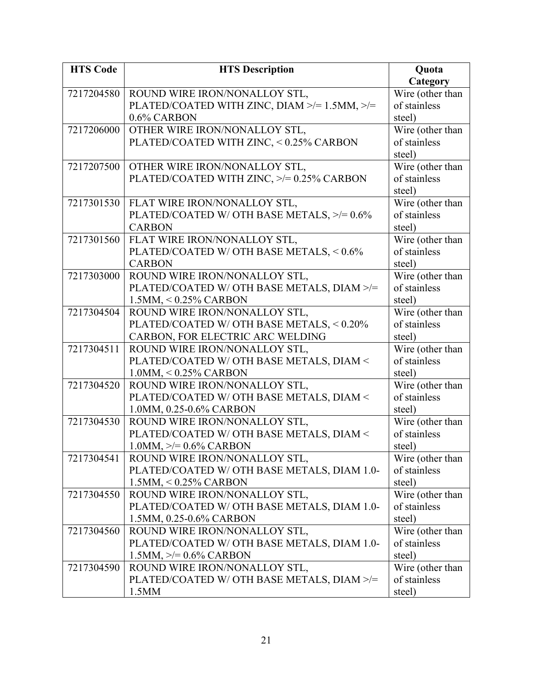| <b>HTS Code</b> | <b>HTS Description</b>                                 | Quota                            |
|-----------------|--------------------------------------------------------|----------------------------------|
|                 |                                                        | Category                         |
| 7217204580      | ROUND WIRE IRON/NONALLOY STL,                          | Wire (other than                 |
|                 | PLATED/COATED WITH ZINC, DIAM $\ge$ /= 1.5MM, $\ge$ /= | of stainless                     |
|                 | 0.6% CARBON                                            | steel)                           |
| 7217206000      | OTHER WIRE IRON/NONALLOY STL,                          | Wire (other than                 |
|                 | PLATED/COATED WITH ZINC, < 0.25% CARBON                | of stainless                     |
|                 |                                                        | steel)                           |
| 7217207500      | OTHER WIRE IRON/NONALLOY STL,                          | Wire (other than                 |
|                 | PLATED/COATED WITH ZINC, >/= 0.25% CARBON              | of stainless                     |
|                 |                                                        | steel)                           |
| 7217301530      | FLAT WIRE IRON/NONALLOY STL,                           | Wire (other than                 |
|                 | PLATED/COATED W/ OTH BASE METALS, >/= 0.6%             | of stainless                     |
|                 | <b>CARBON</b>                                          | steel)                           |
| 7217301560      | FLAT WIRE IRON/NONALLOY STL,                           | Wire (other than                 |
|                 | PLATED/COATED W/ OTH BASE METALS, < 0.6%               | of stainless                     |
|                 | <b>CARBON</b>                                          | steel)                           |
| 7217303000      | ROUND WIRE IRON/NONALLOY STL,                          | Wire (other than                 |
|                 | PLATED/COATED W/ OTH BASE METALS, DIAM >/=             | of stainless                     |
|                 | $1.5$ MM, $< 0.25\%$ CARBON                            | steel)                           |
| 7217304504      | ROUND WIRE IRON/NONALLOY STL,                          | Wire (other than                 |
|                 | PLATED/COATED W/ OTH BASE METALS, < 0.20%              | of stainless                     |
|                 | CARBON, FOR ELECTRIC ARC WELDING                       | steel)                           |
| 7217304511      | ROUND WIRE IRON/NONALLOY STL,                          | Wire (other than                 |
|                 | PLATED/COATED W/ OTH BASE METALS, DIAM <               | of stainless                     |
|                 | $1.0$ MM, < $0.25\%$ CARBON                            | steel)                           |
| 7217304520      | ROUND WIRE IRON/NONALLOY STL,                          | Wire (other than                 |
|                 | PLATED/COATED W/ OTH BASE METALS, DIAM <               | of stainless                     |
|                 | 1.0MM, 0.25-0.6% CARBON                                | steel)                           |
| 7217304530      | ROUND WIRE IRON/NONALLOY STL,                          | Wire (other than                 |
|                 | PLATED/COATED W/ OTH BASE METALS, DIAM <               | of stainless                     |
|                 | $1.0$ MM, $\geq$ = 0.6% CARBON                         | steel)                           |
| 7217304541      | ROUND WIRE IRON/NONALLOY STL,                          | Wire (other than                 |
|                 | PLATED/COATED W/ OTH BASE METALS, DIAM 1.0-            | of stainless                     |
|                 | $1.5$ MM, $\leq 0.25\%$ CARBON                         | steel)                           |
| 7217304550      | ROUND WIRE IRON/NONALLOY STL,                          | Wire (other than                 |
|                 | PLATED/COATED W/ OTH BASE METALS, DIAM 1.0-            | of stainless                     |
|                 | 1.5MM, 0.25-0.6% CARBON                                | steel)                           |
| 7217304560      | ROUND WIRE IRON/NONALLOY STL,                          | Wire (other than                 |
|                 | PLATED/COATED W/ OTH BASE METALS, DIAM 1.0-            | of stainless                     |
|                 | $1.5MM, \geq 0.6\%$ CARBON                             | steel)                           |
| 7217304590      | ROUND WIRE IRON/NONALLOY STL,                          | Wire (other than<br>of stainless |
|                 | PLATED/COATED W/ OTH BASE METALS, DIAM >/=             |                                  |
|                 | 1.5MM                                                  | steel)                           |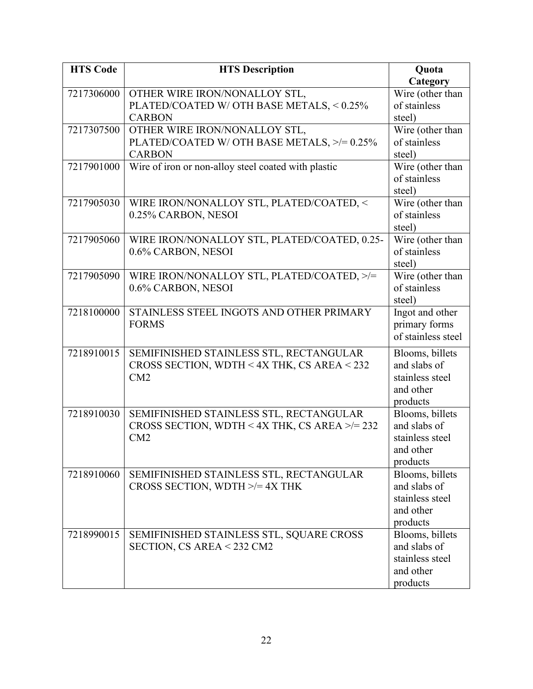| <b>HTS Code</b> | <b>HTS Description</b>                              | Quota                               |
|-----------------|-----------------------------------------------------|-------------------------------------|
|                 |                                                     | Category                            |
| 7217306000      | OTHER WIRE IRON/NONALLOY STL,                       | Wire (other than                    |
|                 | PLATED/COATED W/ OTH BASE METALS, < 0.25%           | of stainless                        |
|                 | <b>CARBON</b>                                       | steel)                              |
| 7217307500      | OTHER WIRE IRON/NONALLOY STL,                       | Wire (other than                    |
|                 | PLATED/COATED W/ OTH BASE METALS, >/= 0.25%         | of stainless                        |
|                 | <b>CARBON</b>                                       | steel)                              |
| 7217901000      | Wire of iron or non-alloy steel coated with plastic | Wire (other than                    |
|                 |                                                     | of stainless                        |
|                 |                                                     | steel)                              |
| 7217905030      | WIRE IRON/NONALLOY STL, PLATED/COATED, <            | Wire (other than                    |
|                 | 0.25% CARBON, NESOI                                 | of stainless                        |
|                 |                                                     | steel)                              |
| 7217905060      | WIRE IRON/NONALLOY STL, PLATED/COATED, 0.25-        | Wire (other than                    |
|                 | 0.6% CARBON, NESOI                                  | of stainless                        |
|                 |                                                     | steel)                              |
| 7217905090      | WIRE IRON/NONALLOY STL, PLATED/COATED, >/=          | Wire (other than                    |
|                 | 0.6% CARBON, NESOI                                  | of stainless                        |
|                 |                                                     | steel)                              |
| 7218100000      | STAINLESS STEEL INGOTS AND OTHER PRIMARY            | Ingot and other                     |
|                 | <b>FORMS</b>                                        | primary forms<br>of stainless steel |
|                 |                                                     |                                     |
| 7218910015      | SEMIFINISHED STAINLESS STL, RECTANGULAR             | Blooms, billets                     |
|                 | CROSS SECTION, WDTH < 4X THK, CS AREA < 232         | and slabs of                        |
|                 | CM2                                                 | stainless steel                     |
|                 |                                                     | and other                           |
|                 |                                                     | products                            |
| 7218910030      | SEMIFINISHED STAINLESS STL, RECTANGULAR             | Blooms, billets                     |
|                 | CROSS SECTION, WDTH < 4X THK, CS AREA $\ge$ = 232   | and slabs of                        |
|                 | CM2                                                 | stainless steel                     |
|                 |                                                     | and other                           |
|                 |                                                     | products                            |
| 7218910060      | SEMIFINISHED STAINLESS STL, RECTANGULAR             | Blooms, billets<br>and slabs of     |
|                 | CROSS SECTION, WDTH $\ge$ /= 4X THK                 | stainless steel                     |
|                 |                                                     | and other                           |
|                 |                                                     | products                            |
| 7218990015      | SEMIFINISHED STAINLESS STL, SQUARE CROSS            | Blooms, billets                     |
|                 | SECTION, CS AREA $<$ 232 CM2                        | and slabs of                        |
|                 |                                                     | stainless steel                     |
|                 |                                                     | and other                           |
|                 |                                                     | products                            |
|                 |                                                     |                                     |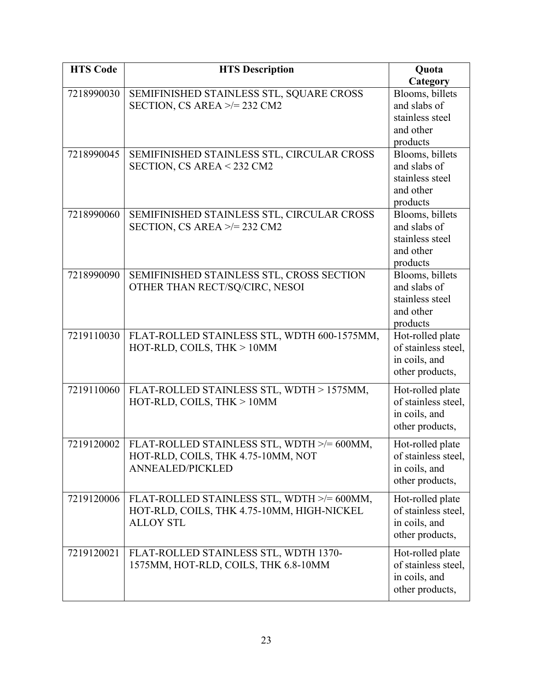| <b>HTS Code</b> | <b>HTS Description</b>                                                        | Quota                           |
|-----------------|-------------------------------------------------------------------------------|---------------------------------|
|                 |                                                                               | Category                        |
| 7218990030      | SEMIFINISHED STAINLESS STL, SQUARE CROSS<br>SECTION, CS AREA $\ge$ /= 232 CM2 | Blooms, billets<br>and slabs of |
|                 |                                                                               | stainless steel                 |
|                 |                                                                               | and other                       |
|                 |                                                                               | products                        |
| 7218990045      | SEMIFINISHED STAINLESS STL, CIRCULAR CROSS                                    | Blooms, billets                 |
|                 | SECTION, CS AREA < 232 CM2                                                    | and slabs of                    |
|                 |                                                                               | stainless steel                 |
|                 |                                                                               | and other                       |
|                 |                                                                               | products                        |
| 7218990060      | SEMIFINISHED STAINLESS STL, CIRCULAR CROSS                                    | Blooms, billets                 |
|                 | SECTION, CS AREA $\ge$ /= 232 CM2                                             | and slabs of                    |
|                 |                                                                               | stainless steel                 |
|                 |                                                                               | and other                       |
| 7218990090      | SEMIFINISHED STAINLESS STL, CROSS SECTION                                     | products<br>Blooms, billets     |
|                 | OTHER THAN RECT/SQ/CIRC, NESOI                                                | and slabs of                    |
|                 |                                                                               | stainless steel                 |
|                 |                                                                               | and other                       |
|                 |                                                                               | products                        |
| 7219110030      | FLAT-ROLLED STAINLESS STL, WDTH 600-1575MM,                                   | Hot-rolled plate                |
|                 | HOT-RLD, COILS, THK > 10MM                                                    | of stainless steel,             |
|                 |                                                                               | in coils, and                   |
|                 |                                                                               | other products,                 |
| 7219110060      | FLAT-ROLLED STAINLESS STL, WDTH > 1575MM,                                     | Hot-rolled plate                |
|                 | HOT-RLD, COILS, THK > 10MM                                                    | of stainless steel,             |
|                 |                                                                               | in coils, and                   |
|                 |                                                                               | other products,                 |
| 7219120002      | FLAT-ROLLED STAINLESS STL, WDTH >/= 600MM,                                    | Hot-rolled plate                |
|                 | HOT-RLD, COILS, THK 4.75-10MM, NOT                                            | of stainless steel,             |
|                 | <b>ANNEALED/PICKLED</b>                                                       | in coils, and                   |
|                 |                                                                               | other products,                 |
| 7219120006      | FLAT-ROLLED STAINLESS STL, WDTH >/= 600MM,                                    | Hot-rolled plate                |
|                 | HOT-RLD, COILS, THK 4.75-10MM, HIGH-NICKEL                                    | of stainless steel,             |
|                 | <b>ALLOY STL</b>                                                              | in coils, and                   |
|                 |                                                                               | other products,                 |
| 7219120021      | FLAT-ROLLED STAINLESS STL, WDTH 1370-                                         | Hot-rolled plate                |
|                 | 1575MM, HOT-RLD, COILS, THK 6.8-10MM                                          | of stainless steel,             |
|                 |                                                                               | in coils, and                   |
|                 |                                                                               | other products,                 |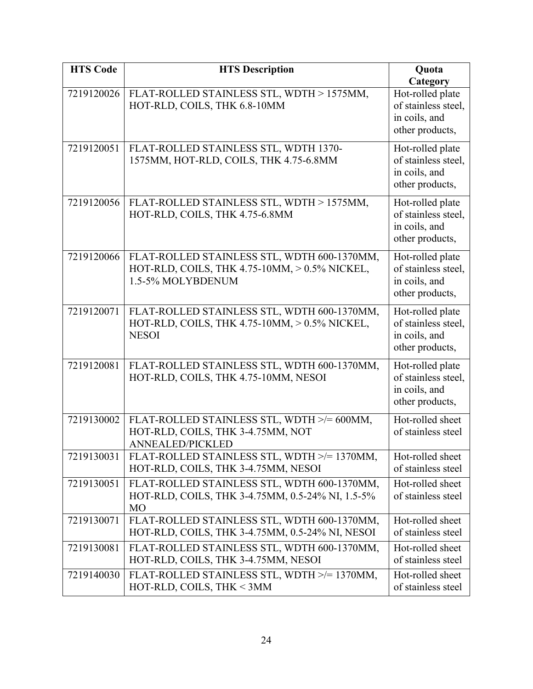| <b>HTS Code</b> | <b>HTS Description</b>                                                                                            | Quota                                                                                   |
|-----------------|-------------------------------------------------------------------------------------------------------------------|-----------------------------------------------------------------------------------------|
| 7219120026      | FLAT-ROLLED STAINLESS STL, WDTH > 1575MM,<br>HOT-RLD, COILS, THK 6.8-10MM                                         | Category<br>Hot-rolled plate<br>of stainless steel,<br>in coils, and<br>other products, |
| 7219120051      | FLAT-ROLLED STAINLESS STL, WDTH 1370-<br>1575MM, HOT-RLD, COILS, THK 4.75-6.8MM                                   | Hot-rolled plate<br>of stainless steel,<br>in coils, and<br>other products,             |
| 7219120056      | FLAT-ROLLED STAINLESS STL, WDTH > 1575MM,<br>HOT-RLD, COILS, THK 4.75-6.8MM                                       | Hot-rolled plate<br>of stainless steel,<br>in coils, and<br>other products,             |
| 7219120066      | FLAT-ROLLED STAINLESS STL, WDTH 600-1370MM,<br>HOT-RLD, COILS, THK 4.75-10MM, > 0.5% NICKEL,<br>1.5-5% MOLYBDENUM | Hot-rolled plate<br>of stainless steel,<br>in coils, and<br>other products,             |
| 7219120071      | FLAT-ROLLED STAINLESS STL, WDTH 600-1370MM,<br>HOT-RLD, COILS, THK 4.75-10MM, > 0.5% NICKEL,<br><b>NESOI</b>      | Hot-rolled plate<br>of stainless steel,<br>in coils, and<br>other products,             |
| 7219120081      | FLAT-ROLLED STAINLESS STL, WDTH 600-1370MM,<br>HOT-RLD, COILS, THK 4.75-10MM, NESOI                               | Hot-rolled plate<br>of stainless steel,<br>in coils, and<br>other products,             |
| 7219130002      | FLAT-ROLLED STAINLESS STL, WDTH >/= 600MM,<br>HOT-RLD, COILS, THK 3-4.75MM, NOT<br><b>ANNEALED/PICKLED</b>        | Hot-rolled sheet<br>of stainless steel                                                  |
| 7219130031      | FLAT-ROLLED STAINLESS STL, WDTH >/= 1370MM,<br>HOT-RLD, COILS, THK 3-4.75MM, NESOI                                | Hot-rolled sheet<br>of stainless steel                                                  |
| 7219130051      | FLAT-ROLLED STAINLESS STL, WDTH 600-1370MM,<br>HOT-RLD, COILS, THK 3-4.75MM, 0.5-24% NI, 1.5-5%<br><b>MO</b>      | Hot-rolled sheet<br>of stainless steel                                                  |
| 7219130071      | FLAT-ROLLED STAINLESS STL, WDTH 600-1370MM,<br>HOT-RLD, COILS, THK 3-4.75MM, 0.5-24% NI, NESOI                    | Hot-rolled sheet<br>of stainless steel                                                  |
| 7219130081      | FLAT-ROLLED STAINLESS STL, WDTH 600-1370MM,<br>HOT-RLD, COILS, THK 3-4.75MM, NESOI                                | Hot-rolled sheet<br>of stainless steel                                                  |
| 7219140030      | FLAT-ROLLED STAINLESS STL, WDTH >/= 1370MM,<br>HOT-RLD, COILS, THK < 3MM                                          | Hot-rolled sheet<br>of stainless steel                                                  |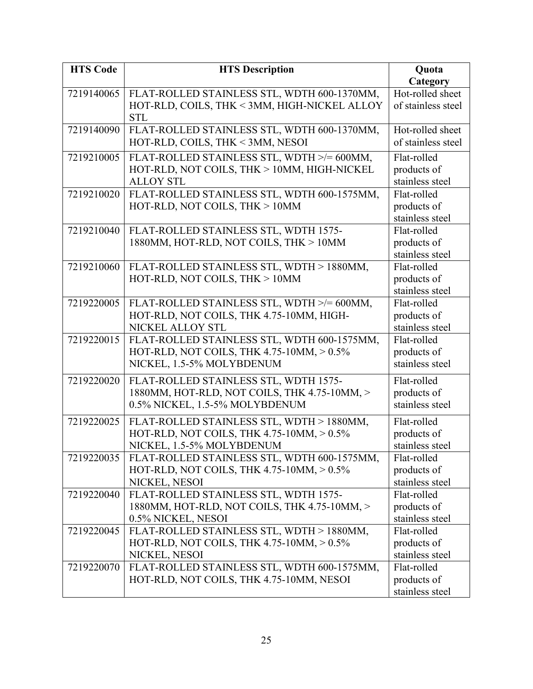| <b>HTS Code</b> | <b>HTS Description</b>                          | Quota              |
|-----------------|-------------------------------------------------|--------------------|
|                 |                                                 | Category           |
| 7219140065      | FLAT-ROLLED STAINLESS STL, WDTH 600-1370MM,     | Hot-rolled sheet   |
|                 | HOT-RLD, COILS, THK < 3MM, HIGH-NICKEL ALLOY    | of stainless steel |
|                 | <b>STL</b>                                      |                    |
| 7219140090      | FLAT-ROLLED STAINLESS STL, WDTH 600-1370MM,     | Hot-rolled sheet   |
|                 | HOT-RLD, COILS, THK < 3MM, NESOI                | of stainless steel |
| 7219210005      | FLAT-ROLLED STAINLESS STL, WDTH >/= 600MM,      | Flat-rolled        |
|                 | HOT-RLD, NOT COILS, THK > 10MM, HIGH-NICKEL     | products of        |
|                 | <b>ALLOY STL</b>                                | stainless steel    |
| 7219210020      | FLAT-ROLLED STAINLESS STL, WDTH 600-1575MM,     | Flat-rolled        |
|                 | HOT-RLD, NOT COILS, THK > 10MM                  | products of        |
|                 |                                                 | stainless steel    |
| 7219210040      | FLAT-ROLLED STAINLESS STL, WDTH 1575-           | Flat-rolled        |
|                 | 1880MM, HOT-RLD, NOT COILS, THK > 10MM          | products of        |
|                 |                                                 | stainless steel    |
| 7219210060      | FLAT-ROLLED STAINLESS STL, WDTH > 1880MM,       | Flat-rolled        |
|                 | HOT-RLD, NOT COILS, THK > 10MM                  | products of        |
|                 |                                                 | stainless steel    |
| 7219220005      | FLAT-ROLLED STAINLESS STL, WDTH >/= 600MM,      | Flat-rolled        |
|                 | HOT-RLD, NOT COILS, THK 4.75-10MM, HIGH-        | products of        |
|                 | NICKEL ALLOY STL                                | stainless steel    |
| 7219220015      | FLAT-ROLLED STAINLESS STL, WDTH 600-1575MM,     | Flat-rolled        |
|                 | HOT-RLD, NOT COILS, THK 4.75-10MM, > 0.5%       | products of        |
|                 | NICKEL, 1.5-5% MOLYBDENUM                       | stainless steel    |
| 7219220020      | FLAT-ROLLED STAINLESS STL, WDTH 1575-           | Flat-rolled        |
|                 | 1880MM, HOT-RLD, NOT COILS, THK 4.75-10MM, >    | products of        |
|                 | 0.5% NICKEL, 1.5-5% MOLYBDENUM                  | stainless steel    |
| 7219220025      | FLAT-ROLLED STAINLESS STL, WDTH > 1880MM,       | Flat-rolled        |
|                 | HOT-RLD, NOT COILS, THK 4.75-10MM, $> 0.5\%$    | products of        |
|                 | NICKEL, 1.5-5% MOLYBDENUM                       | stainless steel    |
| 7219220035      | FLAT-ROLLED STAINLESS STL, WDTH 600-1575MM,     | Flat-rolled        |
|                 | HOT-RLD, NOT COILS, THK 4.75-10MM, > 0.5%       | products of        |
|                 | NICKEL, NESOI                                   | stainless steel    |
| 7219220040      | FLAT-ROLLED STAINLESS STL, WDTH 1575-           | Flat-rolled        |
|                 | 1880MM, HOT-RLD, NOT COILS, THK 4.75-10MM, >    | products of        |
|                 | 0.5% NICKEL, NESOI                              | stainless steel    |
| 7219220045      | FLAT-ROLLED STAINLESS STL, WDTH > 1880MM,       | Flat-rolled        |
|                 | HOT-RLD, NOT COILS, THK $4.75$ -10MM, $> 0.5\%$ | products of        |
|                 | NICKEL, NESOI                                   | stainless steel    |
| 7219220070      | FLAT-ROLLED STAINLESS STL, WDTH 600-1575MM,     | Flat-rolled        |
|                 | HOT-RLD, NOT COILS, THK 4.75-10MM, NESOI        | products of        |
|                 |                                                 | stainless steel    |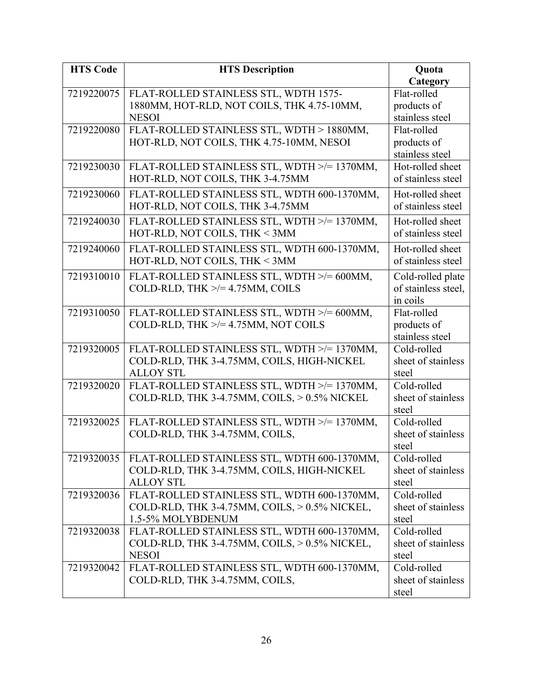| <b>HTS Code</b> | <b>HTS Description</b>                        | Quota                                    |
|-----------------|-----------------------------------------------|------------------------------------------|
|                 |                                               | Category                                 |
| 7219220075      | FLAT-ROLLED STAINLESS STL, WDTH 1575-         | Flat-rolled                              |
|                 | 1880MM, HOT-RLD, NOT COILS, THK 4.75-10MM,    | products of                              |
|                 | <b>NESOI</b>                                  | stainless steel                          |
| 7219220080      | FLAT-ROLLED STAINLESS STL, WDTH > 1880MM,     | Flat-rolled                              |
|                 | HOT-RLD, NOT COILS, THK 4.75-10MM, NESOI      | products of                              |
|                 |                                               | stainless steel                          |
| 7219230030      | FLAT-ROLLED STAINLESS STL, WDTH >/= 1370MM,   | Hot-rolled sheet                         |
|                 | HOT-RLD, NOT COILS, THK 3-4.75MM              | of stainless steel                       |
| 7219230060      | FLAT-ROLLED STAINLESS STL, WDTH 600-1370MM,   | Hot-rolled sheet                         |
|                 | HOT-RLD, NOT COILS, THK 3-4.75MM              | of stainless steel                       |
| 7219240030      | FLAT-ROLLED STAINLESS STL, WDTH >/= 1370MM,   | Hot-rolled sheet                         |
|                 | HOT-RLD, NOT COILS, THK < 3MM                 | of stainless steel                       |
| 7219240060      | FLAT-ROLLED STAINLESS STL, WDTH 600-1370MM,   | Hot-rolled sheet                         |
|                 | HOT-RLD, NOT COILS, THK < 3MM                 | of stainless steel                       |
| 7219310010      | FLAT-ROLLED STAINLESS STL, WDTH >/= 600MM,    |                                          |
|                 | COLD-RLD, THK $\ge$ /= 4.75MM, COILS          | Cold-rolled plate<br>of stainless steel, |
|                 |                                               | in coils                                 |
| 7219310050      | FLAT-ROLLED STAINLESS STL, WDTH >/= 600MM,    | Flat-rolled                              |
|                 | COLD-RLD, THK $\ge$ /= 4.75MM, NOT COILS      | products of                              |
|                 |                                               | stainless steel                          |
| 7219320005      | FLAT-ROLLED STAINLESS STL, WDTH >/= 1370MM,   | Cold-rolled                              |
|                 | COLD-RLD, THK 3-4.75MM, COILS, HIGH-NICKEL    | sheet of stainless                       |
|                 | <b>ALLOY STL</b>                              | steel                                    |
| 7219320020      | FLAT-ROLLED STAINLESS STL, WDTH >/= 1370MM,   | Cold-rolled                              |
|                 | COLD-RLD, THK 3-4.75MM, COILS, > 0.5% NICKEL  | sheet of stainless                       |
|                 |                                               | steel                                    |
| 7219320025      | FLAT-ROLLED STAINLESS STL, WDTH >/= 1370MM,   | Cold-rolled                              |
|                 | COLD-RLD, THK 3-4.75MM, COILS,                | sheet of stainless                       |
|                 |                                               | steel                                    |
| 7219320035      | FLAT-ROLLED STAINLESS STL, WDTH 600-1370MM,   | Cold-rolled                              |
|                 | COLD-RLD, THK 3-4.75MM, COILS, HIGH-NICKEL    | sheet of stainless                       |
|                 | <b>ALLOY STL</b>                              | steel                                    |
| 7219320036      | FLAT-ROLLED STAINLESS STL, WDTH 600-1370MM,   | Cold-rolled                              |
|                 | COLD-RLD, THK 3-4.75MM, COILS, > 0.5% NICKEL, | sheet of stainless                       |
|                 | 1.5-5% MOLYBDENUM                             | steel                                    |
| 7219320038      | FLAT-ROLLED STAINLESS STL, WDTH 600-1370MM,   | Cold-rolled                              |
|                 | COLD-RLD, THK 3-4.75MM, COILS, > 0.5% NICKEL, | sheet of stainless                       |
|                 | <b>NESOI</b>                                  | steel                                    |
| 7219320042      | FLAT-ROLLED STAINLESS STL, WDTH 600-1370MM,   | Cold-rolled                              |
|                 | COLD-RLD, THK 3-4.75MM, COILS,                | sheet of stainless                       |
|                 |                                               | steel                                    |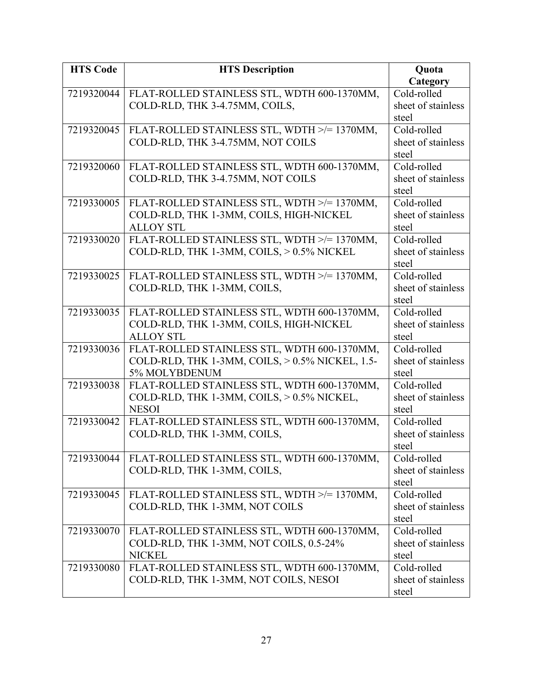| <b>HTS Code</b> | <b>HTS Description</b>                                                                         | Quota                |
|-----------------|------------------------------------------------------------------------------------------------|----------------------|
|                 |                                                                                                | Category             |
| 7219320044      | FLAT-ROLLED STAINLESS STL, WDTH 600-1370MM,                                                    | Cold-rolled          |
|                 | COLD-RLD, THK 3-4.75MM, COILS,                                                                 | sheet of stainless   |
|                 |                                                                                                | steel                |
| 7219320045      | FLAT-ROLLED STAINLESS STL, WDTH >/= 1370MM,                                                    | Cold-rolled          |
|                 | COLD-RLD, THK 3-4.75MM, NOT COILS                                                              | sheet of stainless   |
|                 |                                                                                                | steel                |
| 7219320060      | FLAT-ROLLED STAINLESS STL, WDTH 600-1370MM,                                                    | Cold-rolled          |
|                 | COLD-RLD, THK 3-4.75MM, NOT COILS                                                              | sheet of stainless   |
|                 |                                                                                                | steel                |
| 7219330005      | FLAT-ROLLED STAINLESS STL, WDTH >/= 1370MM,                                                    | Cold-rolled          |
|                 | COLD-RLD, THK 1-3MM, COILS, HIGH-NICKEL                                                        | sheet of stainless   |
|                 | <b>ALLOY STL</b>                                                                               | steel                |
| 7219330020      | FLAT-ROLLED STAINLESS STL, WDTH >/= 1370MM,                                                    | Cold-rolled          |
|                 | COLD-RLD, THK 1-3MM, COILS, > 0.5% NICKEL                                                      | sheet of stainless   |
|                 |                                                                                                | steel                |
| 7219330025      | FLAT-ROLLED STAINLESS STL, WDTH >/= 1370MM,                                                    | Cold-rolled          |
|                 | COLD-RLD, THK 1-3MM, COILS,                                                                    | sheet of stainless   |
|                 |                                                                                                | steel                |
| 7219330035      | FLAT-ROLLED STAINLESS STL, WDTH 600-1370MM,                                                    | Cold-rolled          |
|                 | COLD-RLD, THK 1-3MM, COILS, HIGH-NICKEL<br><b>ALLOY STL</b>                                    | sheet of stainless   |
|                 |                                                                                                | steel<br>Cold-rolled |
| 7219330036      | FLAT-ROLLED STAINLESS STL, WDTH 600-1370MM,<br>COLD-RLD, THK 1-3MM, COILS, > 0.5% NICKEL, 1.5- | sheet of stainless   |
|                 | 5% MOLYBDENUM                                                                                  | steel                |
| 7219330038      | FLAT-ROLLED STAINLESS STL, WDTH 600-1370MM,                                                    | Cold-rolled          |
|                 | COLD-RLD, THK 1-3MM, COILS, > 0.5% NICKEL,                                                     | sheet of stainless   |
|                 | <b>NESOI</b>                                                                                   | steel                |
| 7219330042      | FLAT-ROLLED STAINLESS STL, WDTH 600-1370MM,                                                    | Cold-rolled          |
|                 | COLD-RLD, THK 1-3MM, COILS,                                                                    | sheet of stainless   |
|                 |                                                                                                | steel                |
| 7219330044      | FLAT-ROLLED STAINLESS STL, WDTH 600-1370MM,                                                    | Cold-rolled          |
|                 | COLD-RLD, THK 1-3MM, COILS,                                                                    | sheet of stainless   |
|                 |                                                                                                | steel                |
| 7219330045      | FLAT-ROLLED STAINLESS STL, WDTH >/= 1370MM,                                                    | Cold-rolled          |
|                 | COLD-RLD, THK 1-3MM, NOT COILS                                                                 | sheet of stainless   |
|                 |                                                                                                | steel                |
| 7219330070      | FLAT-ROLLED STAINLESS STL, WDTH 600-1370MM,                                                    | Cold-rolled          |
|                 | COLD-RLD, THK 1-3MM, NOT COILS, 0.5-24%                                                        | sheet of stainless   |
|                 | <b>NICKEL</b>                                                                                  | steel                |
| 7219330080      | FLAT-ROLLED STAINLESS STL, WDTH 600-1370MM,                                                    | Cold-rolled          |
|                 | COLD-RLD, THK 1-3MM, NOT COILS, NESOI                                                          | sheet of stainless   |
|                 |                                                                                                | steel                |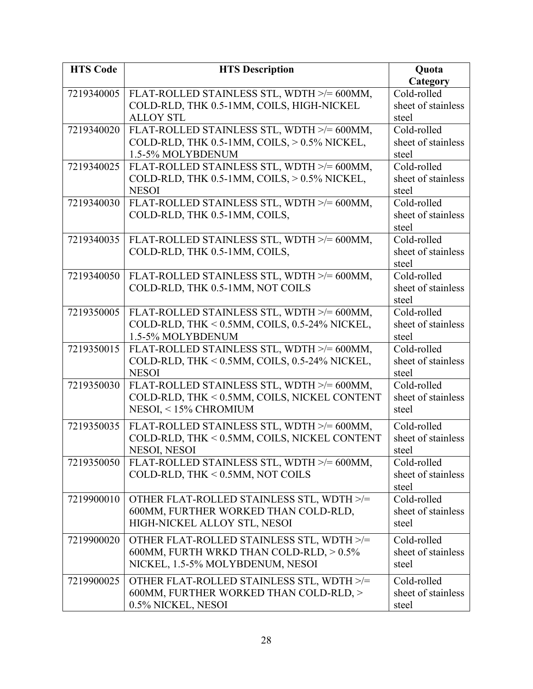| <b>HTS Code</b> | <b>HTS Description</b>                                                         | Quota                |
|-----------------|--------------------------------------------------------------------------------|----------------------|
|                 |                                                                                | Category             |
| 7219340005      | FLAT-ROLLED STAINLESS STL, WDTH >/= 600MM,                                     | Cold-rolled          |
|                 | COLD-RLD, THK 0.5-1MM, COILS, HIGH-NICKEL                                      | sheet of stainless   |
|                 | <b>ALLOY STL</b>                                                               | steel                |
| 7219340020      | FLAT-ROLLED STAINLESS STL, WDTH >/= 600MM,                                     | Cold-rolled          |
|                 | COLD-RLD, THK 0.5-1MM, COILS, > 0.5% NICKEL,                                   | sheet of stainless   |
|                 | 1.5-5% MOLYBDENUM                                                              | steel                |
| 7219340025      | FLAT-ROLLED STAINLESS STL, WDTH >/= 600MM,                                     | Cold-rolled          |
|                 | COLD-RLD, THK 0.5-1MM, COILS, > 0.5% NICKEL,                                   | sheet of stainless   |
|                 | <b>NESOI</b>                                                                   | steel                |
| 7219340030      | FLAT-ROLLED STAINLESS STL, WDTH >/= 600MM,                                     | Cold-rolled          |
|                 | COLD-RLD, THK 0.5-1MM, COILS,                                                  | sheet of stainless   |
|                 |                                                                                | steel                |
| 7219340035      | FLAT-ROLLED STAINLESS STL, WDTH >/= 600MM,                                     | Cold-rolled          |
|                 | COLD-RLD, THK 0.5-1MM, COILS,                                                  | sheet of stainless   |
|                 |                                                                                | steel<br>Cold-rolled |
| 7219340050      | FLAT-ROLLED STAINLESS STL, WDTH >/= 600MM,<br>COLD-RLD, THK 0.5-1MM, NOT COILS | sheet of stainless   |
|                 |                                                                                | steel                |
| 7219350005      | FLAT-ROLLED STAINLESS STL, WDTH >/= 600MM,                                     | Cold-rolled          |
|                 | COLD-RLD, THK < 0.5MM, COILS, 0.5-24% NICKEL,                                  | sheet of stainless   |
|                 | 1.5-5% MOLYBDENUM                                                              | steel                |
| 7219350015      | FLAT-ROLLED STAINLESS STL, WDTH >/= 600MM,                                     | Cold-rolled          |
|                 | COLD-RLD, THK < 0.5MM, COILS, 0.5-24% NICKEL,                                  | sheet of stainless   |
|                 | <b>NESOI</b>                                                                   | steel                |
| 7219350030      | FLAT-ROLLED STAINLESS STL, WDTH >/= 600MM,                                     | Cold-rolled          |
|                 | COLD-RLD, THK < 0.5MM, COILS, NICKEL CONTENT                                   | sheet of stainless   |
|                 | NESOI, <15% CHROMIUM                                                           | steel                |
| 7219350035      | FLAT-ROLLED STAINLESS STL, WDTH >/= 600MM,                                     | Cold-rolled          |
|                 | COLD-RLD, THK < 0.5MM, COILS, NICKEL CONTENT                                   | sheet of stainless   |
|                 | NESOI, NESOI                                                                   | steel                |
| 7219350050      | FLAT-ROLLED STAINLESS STL, WDTH >/= 600MM,                                     | Cold-rolled          |
|                 | COLD-RLD, THK < 0.5MM, NOT COILS                                               | sheet of stainless   |
|                 |                                                                                | steel                |
| 7219900010      | OTHER FLAT-ROLLED STAINLESS STL, WDTH >/=                                      | Cold-rolled          |
|                 | 600MM, FURTHER WORKED THAN COLD-RLD,                                           | sheet of stainless   |
|                 | HIGH-NICKEL ALLOY STL, NESOI                                                   | steel                |
| 7219900020      | OTHER FLAT-ROLLED STAINLESS STL, WDTH >/=                                      | Cold-rolled          |
|                 | 600MM, FURTH WRKD THAN COLD-RLD, > 0.5%                                        | sheet of stainless   |
|                 | NICKEL, 1.5-5% MOLYBDENUM, NESOI                                               | steel                |
| 7219900025      | OTHER FLAT-ROLLED STAINLESS STL, WDTH >/=                                      | Cold-rolled          |
|                 | 600MM, FURTHER WORKED THAN COLD-RLD, >                                         | sheet of stainless   |
|                 | 0.5% NICKEL, NESOI                                                             | steel                |
|                 |                                                                                |                      |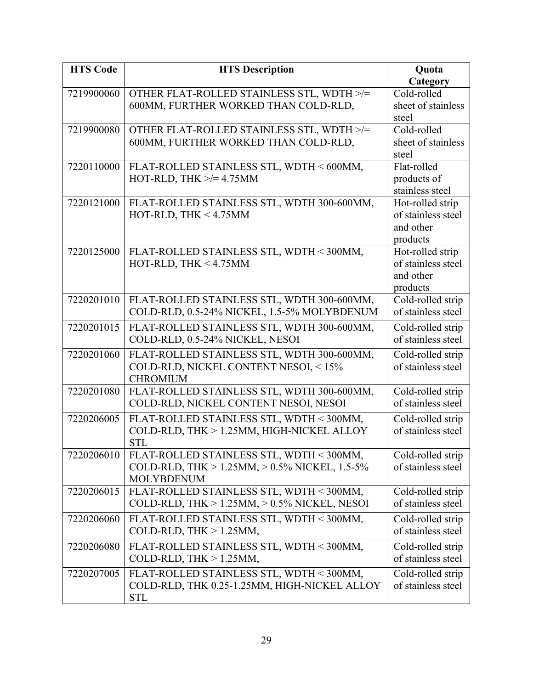| <b>HTS Code</b> | <b>HTS Description</b>                                  | Quota                                   |
|-----------------|---------------------------------------------------------|-----------------------------------------|
|                 |                                                         | Category                                |
| 7219900060      | OTHER FLAT-ROLLED STAINLESS STL, WDTH >/=               | Cold-rolled                             |
|                 | 600MM, FURTHER WORKED THAN COLD-RLD,                    | sheet of stainless                      |
|                 |                                                         | steel                                   |
| 7219900080      | OTHER FLAT-ROLLED STAINLESS STL, WDTH >/=               | Cold-rolled                             |
|                 | 600MM, FURTHER WORKED THAN COLD-RLD,                    | sheet of stainless                      |
|                 |                                                         | steel                                   |
| 7220110000      | FLAT-ROLLED STAINLESS STL, WDTH < 600MM,                | Flat-rolled                             |
|                 | HOT-RLD, THK $\ge$ /= 4.75MM                            | products of                             |
|                 |                                                         | stainless steel                         |
| 7220121000      | FLAT-ROLLED STAINLESS STL, WDTH 300-600MM,              | Hot-rolled strip                        |
|                 | HOT-RLD, THK $<$ 4.75MM                                 | of stainless steel                      |
|                 |                                                         | and other                               |
|                 |                                                         | products                                |
| 7220125000      | FLAT-ROLLED STAINLESS STL, WDTH < 300MM,                | Hot-rolled strip<br>of stainless steel  |
|                 | HOT-RLD, THK $<$ 4.75MM                                 | and other                               |
|                 |                                                         | products                                |
| 7220201010      | FLAT-ROLLED STAINLESS STL, WDTH 300-600MM,              | Cold-rolled strip                       |
|                 | COLD-RLD, 0.5-24% NICKEL, 1.5-5% MOLYBDENUM             | of stainless steel                      |
| 7220201015      | FLAT-ROLLED STAINLESS STL, WDTH 300-600MM,              | Cold-rolled strip                       |
|                 | COLD-RLD, 0.5-24% NICKEL, NESOI                         | of stainless steel                      |
|                 |                                                         |                                         |
| 7220201060      | FLAT-ROLLED STAINLESS STL, WDTH 300-600MM,              | Cold-rolled strip<br>of stainless steel |
|                 | COLD-RLD, NICKEL CONTENT NESOI, <15%<br><b>CHROMIUM</b> |                                         |
| 7220201080      | FLAT-ROLLED STAINLESS STL, WDTH 300-600MM,              | Cold-rolled strip                       |
|                 | COLD-RLD, NICKEL CONTENT NESOI, NESOI                   | of stainless steel                      |
| 7220206005      | FLAT-ROLLED STAINLESS STL, WDTH < 300MM,                | Cold-rolled strip                       |
|                 | COLD-RLD, THK > 1.25MM, HIGH-NICKEL ALLOY               | of stainless steel                      |
|                 | <b>STL</b>                                              |                                         |
| 7220206010      | FLAT-ROLLED STAINLESS STL, WDTH < 300MM,                | Cold-rolled strip                       |
|                 | COLD-RLD, THK > $1.25$ MM, > $0.5\%$ NICKEL, $1.5-5\%$  | of stainless steel                      |
|                 | <b>MOLYBDENUM</b>                                       |                                         |
| 7220206015      | FLAT-ROLLED STAINLESS STL, WDTH < 300MM,                | Cold-rolled strip                       |
|                 | COLD-RLD, THK $> 1.25$ MM, $> 0.5\%$ NICKEL, NESOI      | of stainless steel                      |
| 7220206060      | FLAT-ROLLED STAINLESS STL, WDTH < 300MM,                | Cold-rolled strip                       |
|                 | COLD-RLD, THK $> 1.25$ MM,                              | of stainless steel                      |
| 7220206080      | FLAT-ROLLED STAINLESS STL, WDTH < 300MM,                | Cold-rolled strip                       |
|                 | COLD-RLD, THK $> 1.25$ MM,                              | of stainless steel                      |
| 7220207005      | FLAT-ROLLED STAINLESS STL, WDTH < 300MM,                | Cold-rolled strip                       |
|                 | COLD-RLD, THK 0.25-1.25MM, HIGH-NICKEL ALLOY            | of stainless steel                      |
|                 | <b>STL</b>                                              |                                         |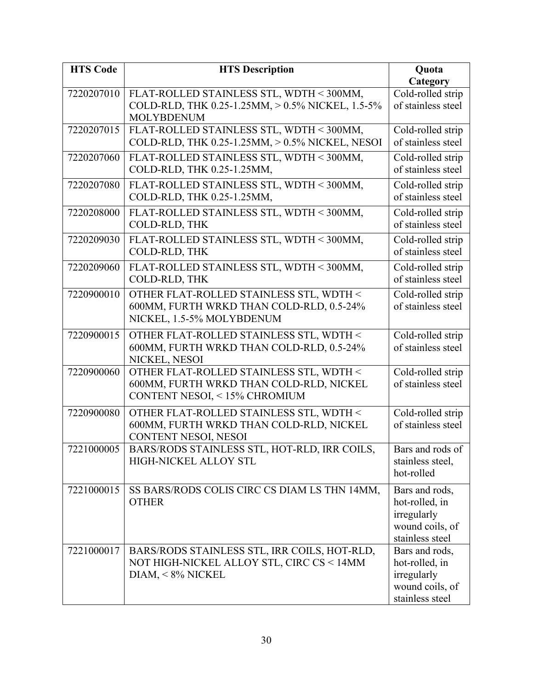| <b>HTS Code</b> | <b>HTS Description</b>                           | <b>Quota</b>                   |
|-----------------|--------------------------------------------------|--------------------------------|
|                 |                                                  | Category                       |
| 7220207010      | FLAT-ROLLED STAINLESS STL, WDTH < 300MM,         | Cold-rolled strip              |
|                 | COLD-RLD, THK 0.25-1.25MM, > 0.5% NICKEL, 1.5-5% | of stainless steel             |
|                 | <b>MOLYBDENUM</b>                                |                                |
| 7220207015      | FLAT-ROLLED STAINLESS STL, WDTH < 300MM,         | Cold-rolled strip              |
|                 | COLD-RLD, THK 0.25-1.25MM, > 0.5% NICKEL, NESOI  | of stainless steel             |
| 7220207060      | FLAT-ROLLED STAINLESS STL, WDTH < 300MM,         | Cold-rolled strip              |
|                 | COLD-RLD, THK 0.25-1.25MM,                       | of stainless steel             |
| 7220207080      | FLAT-ROLLED STAINLESS STL, WDTH < 300MM,         | Cold-rolled strip              |
|                 | COLD-RLD, THK 0.25-1.25MM,                       | of stainless steel             |
| 7220208000      | FLAT-ROLLED STAINLESS STL, WDTH < 300MM,         | Cold-rolled strip              |
|                 | COLD-RLD, THK                                    | of stainless steel             |
| 7220209030      | FLAT-ROLLED STAINLESS STL, WDTH < 300MM,         | Cold-rolled strip              |
|                 | COLD-RLD, THK                                    | of stainless steel             |
| 7220209060      | FLAT-ROLLED STAINLESS STL, WDTH < 300MM,         | Cold-rolled strip              |
|                 | COLD-RLD, THK                                    | of stainless steel             |
| 7220900010      | OTHER FLAT-ROLLED STAINLESS STL, WDTH <          | Cold-rolled strip              |
|                 | 600MM, FURTH WRKD THAN COLD-RLD, 0.5-24%         | of stainless steel             |
|                 | NICKEL, 1.5-5% MOLYBDENUM                        |                                |
| 7220900015      | OTHER FLAT-ROLLED STAINLESS STL, WDTH <          | Cold-rolled strip              |
|                 | 600MM, FURTH WRKD THAN COLD-RLD, 0.5-24%         | of stainless steel             |
|                 | NICKEL, NESOI                                    |                                |
| 7220900060      | OTHER FLAT-ROLLED STAINLESS STL, WDTH <          | Cold-rolled strip              |
|                 | 600MM, FURTH WRKD THAN COLD-RLD, NICKEL          | of stainless steel             |
|                 | CONTENT NESOI, < 15% CHROMIUM                    |                                |
| 7220900080      | OTHER FLAT-ROLLED STAINLESS STL, WDTH <          | Cold-rolled strip              |
|                 | 600MM, FURTH WRKD THAN COLD-RLD, NICKEL          | of stainless steel             |
|                 | CONTENT NESOI, NESOI                             |                                |
| 7221000005      | BARS/RODS STAINLESS STL, HOT-RLD, IRR COILS      | Bars and rods of               |
|                 | HIGH-NICKEL ALLOY STL                            | stainless steel,               |
|                 |                                                  | hot-rolled                     |
| 7221000015      | SS BARS/RODS COLIS CIRC CS DIAM LS THN 14MM,     | Bars and rods,                 |
|                 | <b>OTHER</b>                                     | hot-rolled, in                 |
|                 |                                                  | irregularly                    |
|                 |                                                  | wound coils, of                |
|                 |                                                  | stainless steel                |
| 7221000017      | BARS/RODS STAINLESS STL, IRR COILS, HOT-RLD,     | Bars and rods,                 |
|                 | NOT HIGH-NICKEL ALLOY STL, CIRC CS < 14MM        | hot-rolled, in                 |
|                 | $DIAM, < 8\%$ NICKEL                             | irregularly<br>wound coils, of |
|                 |                                                  | stainless steel                |
|                 |                                                  |                                |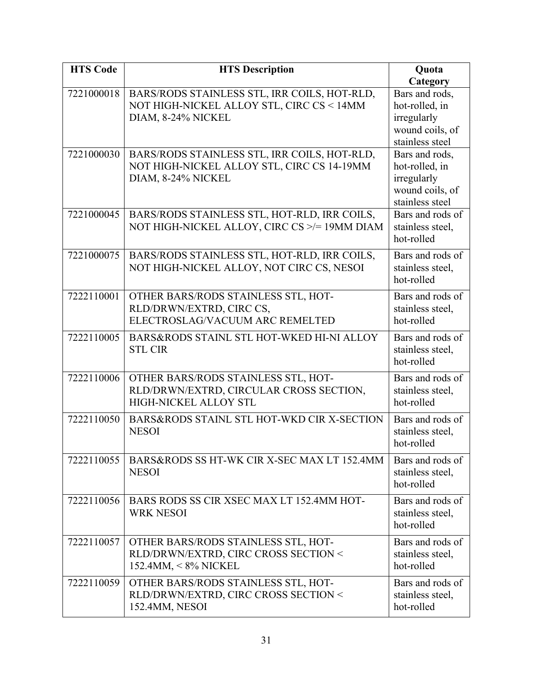| <b>HTS Code</b> | <b>HTS Description</b>                                                                     | Quota                            |
|-----------------|--------------------------------------------------------------------------------------------|----------------------------------|
|                 |                                                                                            | Category                         |
| 7221000018      | BARS/RODS STAINLESS STL, IRR COILS, HOT-RLD,                                               | Bars and rods,                   |
|                 | NOT HIGH-NICKEL ALLOY STL, CIRC CS < 14MM                                                  | hot-rolled, in                   |
|                 | DIAM, 8-24% NICKEL                                                                         | irregularly                      |
|                 |                                                                                            | wound coils, of                  |
|                 |                                                                                            | stainless steel                  |
| 7221000030      | BARS/RODS STAINLESS STL, IRR COILS, HOT-RLD,<br>NOT HIGH-NICKEL ALLOY STL, CIRC CS 14-19MM | Bars and rods,<br>hot-rolled, in |
|                 | DIAM, 8-24% NICKEL                                                                         | irregularly                      |
|                 |                                                                                            | wound coils, of                  |
|                 |                                                                                            | stainless steel                  |
| 7221000045      | BARS/RODS STAINLESS STL, HOT-RLD, IRR COILS,                                               | Bars and rods of                 |
|                 | NOT HIGH-NICKEL ALLOY, CIRC CS >/= 19MM DIAM                                               | stainless steel,                 |
|                 |                                                                                            | hot-rolled                       |
| 7221000075      | BARS/RODS STAINLESS STL, HOT-RLD, IRR COILS,                                               | Bars and rods of                 |
|                 | NOT HIGH-NICKEL ALLOY, NOT CIRC CS, NESOI                                                  | stainless steel,                 |
|                 |                                                                                            | hot-rolled                       |
| 7222110001      | OTHER BARS/RODS STAINLESS STL, HOT-                                                        | Bars and rods of                 |
|                 | RLD/DRWN/EXTRD, CIRC CS,                                                                   | stainless steel,                 |
|                 | ELECTROSLAG/VACUUM ARC REMELTED                                                            | hot-rolled                       |
| 7222110005      | BARS&RODS STAINL STL HOT-WKED HI-NI ALLOY                                                  | Bars and rods of                 |
|                 | <b>STL CIR</b>                                                                             | stainless steel,                 |
|                 |                                                                                            | hot-rolled                       |
| 7222110006      | OTHER BARS/RODS STAINLESS STL, HOT-                                                        | Bars and rods of                 |
|                 | RLD/DRWN/EXTRD, CIRCULAR CROSS SECTION,                                                    | stainless steel,                 |
|                 | <b>HIGH-NICKEL ALLOY STL</b>                                                               | hot-rolled                       |
| 7222110050      | BARS&RODS STAINL STL HOT-WKD CIR X-SECTION                                                 | Bars and rods of                 |
|                 | <b>NESOI</b>                                                                               | stainless steel,                 |
|                 |                                                                                            | hot-rolled                       |
| 7222110055      | BARS&RODS SS HT-WK CIR X-SEC MAX LT 152.4MM                                                | Bars and rods of                 |
|                 | <b>NESOI</b>                                                                               | stainless steel,                 |
|                 |                                                                                            | hot-rolled                       |
| 7222110056      | BARS RODS SS CIR XSEC MAX LT 152.4MM HOT-                                                  | Bars and rods of                 |
|                 | <b>WRK NESOI</b>                                                                           | stainless steel,                 |
|                 |                                                                                            | hot-rolled                       |
| 7222110057      | OTHER BARS/RODS STAINLESS STL, HOT-                                                        | Bars and rods of                 |
|                 | RLD/DRWN/EXTRD, CIRC CROSS SECTION <                                                       | stainless steel,                 |
|                 | $152.4$ MM, $\leq 8\%$ NICKEL                                                              | hot-rolled                       |
| 7222110059      | OTHER BARS/RODS STAINLESS STL, HOT-                                                        | Bars and rods of                 |
|                 | RLD/DRWN/EXTRD, CIRC CROSS SECTION <                                                       | stainless steel,                 |
|                 | 152.4MM, NESOI                                                                             | hot-rolled                       |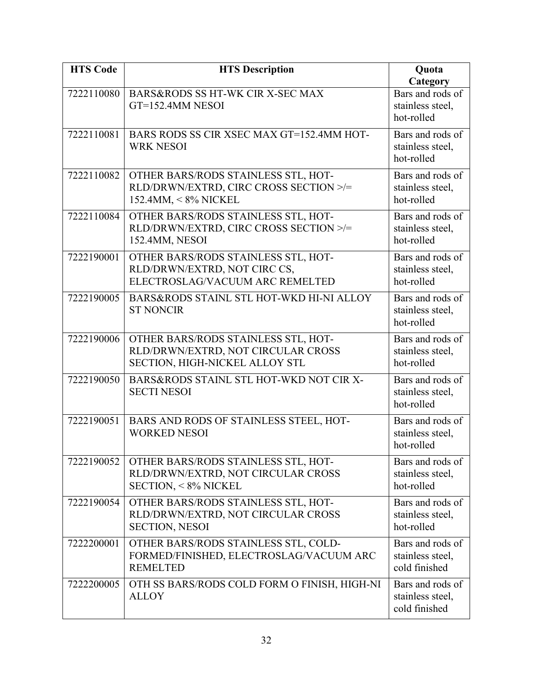| <b>HTS Code</b> | <b>HTS Description</b>                                                                                      | Quota<br>Category                                     |
|-----------------|-------------------------------------------------------------------------------------------------------------|-------------------------------------------------------|
| 7222110080      | BARS&RODS SS HT-WK CIR X-SEC MAX<br>GT=152.4MM NESOI                                                        | Bars and rods of<br>stainless steel,<br>hot-rolled    |
| 7222110081      | BARS RODS SS CIR XSEC MAX GT=152.4MM HOT-<br><b>WRK NESOI</b>                                               | Bars and rods of<br>stainless steel,<br>hot-rolled    |
| 7222110082      | OTHER BARS/RODS STAINLESS STL, HOT-<br>RLD/DRWN/EXTRD, CIRC CROSS SECTION >/=<br>152.4MM, < 8% NICKEL       | Bars and rods of<br>stainless steel,<br>hot-rolled    |
| 7222110084      | OTHER BARS/RODS STAINLESS STL, HOT-<br>RLD/DRWN/EXTRD, CIRC CROSS SECTION >/=<br>152.4MM, NESOI             | Bars and rods of<br>stainless steel,<br>hot-rolled    |
| 7222190001      | OTHER BARS/RODS STAINLESS STL, HOT-<br>RLD/DRWN/EXTRD, NOT CIRC CS,<br>ELECTROSLAG/VACUUM ARC REMELTED      | Bars and rods of<br>stainless steel,<br>hot-rolled    |
| 7222190005      | BARS&RODS STAINL STL HOT-WKD HI-NI ALLOY<br><b>ST NONCIR</b>                                                | Bars and rods of<br>stainless steel,<br>hot-rolled    |
| 7222190006      | OTHER BARS/RODS STAINLESS STL, HOT-<br>RLD/DRWN/EXTRD, NOT CIRCULAR CROSS<br>SECTION, HIGH-NICKEL ALLOY STL | Bars and rods of<br>stainless steel,<br>hot-rolled    |
| 7222190050      | BARS&RODS STAINL STL HOT-WKD NOT CIR X-<br><b>SECTI NESOI</b>                                               | Bars and rods of<br>stainless steel,<br>hot-rolled    |
| 7222190051      | BARS AND RODS OF STAINLESS STEEL, HOT-<br><b>WORKED NESOI</b>                                               | Bars and rods of<br>stainless steel,<br>hot-rolled    |
| 7222190052      | OTHER BARS/RODS STAINLESS STL, HOT-<br>RLD/DRWN/EXTRD, NOT CIRCULAR CROSS<br><b>SECTION, &lt; 8% NICKEL</b> | Bars and rods of<br>stainless steel,<br>hot-rolled    |
| 7222190054      | OTHER BARS/RODS STAINLESS STL, HOT-<br>RLD/DRWN/EXTRD, NOT CIRCULAR CROSS<br><b>SECTION, NESOI</b>          | Bars and rods of<br>stainless steel,<br>hot-rolled    |
| 7222200001      | OTHER BARS/RODS STAINLESS STL, COLD-<br>FORMED/FINISHED, ELECTROSLAG/VACUUM ARC<br><b>REMELTED</b>          | Bars and rods of<br>stainless steel,<br>cold finished |
| 7222200005      | OTH SS BARS/RODS COLD FORM O FINISH, HIGH-NI<br><b>ALLOY</b>                                                | Bars and rods of<br>stainless steel,<br>cold finished |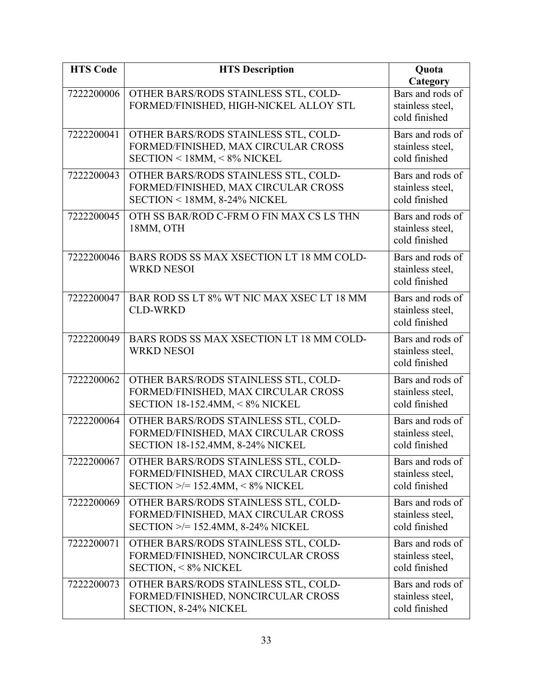| <b>HTS Code</b> | <b>HTS Description</b>                                                                                                   | Quota                                                             |
|-----------------|--------------------------------------------------------------------------------------------------------------------------|-------------------------------------------------------------------|
| 7222200006      | OTHER BARS/RODS STAINLESS STL, COLD-<br>FORMED/FINISHED, HIGH-NICKEL ALLOY STL                                           | Category<br>Bars and rods of<br>stainless steel,<br>cold finished |
| 7222200041      | OTHER BARS/RODS STAINLESS STL, COLD-<br>FORMED/FINISHED, MAX CIRCULAR CROSS<br>SECTION < 18MM, < 8% NICKEL               | Bars and rods of<br>stainless steel,<br>cold finished             |
| 7222200043      | OTHER BARS/RODS STAINLESS STL, COLD-<br>FORMED/FINISHED, MAX CIRCULAR CROSS<br>SECTION < 18MM, 8-24% NICKEL              | Bars and rods of<br>stainless steel,<br>cold finished             |
| 7222200045      | OTH SS BAR/ROD C-FRM O FIN MAX CS LS THN<br>18MM, OTH                                                                    | Bars and rods of<br>stainless steel,<br>cold finished             |
| 7222200046      | BARS RODS SS MAX XSECTION LT 18 MM COLD-<br><b>WRKD NESOI</b>                                                            | Bars and rods of<br>stainless steel,<br>cold finished             |
| 7222200047      | BAR ROD SS LT 8% WT NIC MAX XSEC LT 18 MM<br><b>CLD-WRKD</b>                                                             | Bars and rods of<br>stainless steel,<br>cold finished             |
| 7222200049      | BARS RODS SS MAX XSECTION LT 18 MM COLD-<br><b>WRKD NESOI</b>                                                            | Bars and rods of<br>stainless steel,<br>cold finished             |
| 7222200062      | OTHER BARS/RODS STAINLESS STL, COLD-<br>FORMED/FINISHED, MAX CIRCULAR CROSS<br><b>SECTION 18-152.4MM, &lt; 8% NICKEL</b> | Bars and rods of<br>stainless steel,<br>cold finished             |
| 7222200064      | OTHER BARS/RODS STAINLESS STL, COLD-<br>FORMED/FINISHED, MAX CIRCULAR CROSS<br><b>SECTION 18-152.4MM, 8-24% NICKEL</b>   | Bars and rods of<br>stainless steel,<br>cold finished             |
| 7222200067      | OTHER BARS/RODS STAINLESS STL, COLD-<br>FORMED/FINISHED, MAX CIRCULAR CROSS<br>$SECTION \geq 152.4$ MM, < 8% NICKEL      | Bars and rods of<br>stainless steel,<br>cold finished             |
| 7222200069      | OTHER BARS/RODS STAINLESS STL, COLD-<br>FORMED/FINISHED, MAX CIRCULAR CROSS<br>$SECTION \geq 152.4$ MM, 8-24% NICKEL     | Bars and rods of<br>stainless steel,<br>cold finished             |
| 7222200071      | OTHER BARS/RODS STAINLESS STL, COLD-<br>FORMED/FINISHED, NONCIRCULAR CROSS<br><b>SECTION, &lt; 8% NICKEL</b>             | Bars and rods of<br>stainless steel,<br>cold finished             |
| 7222200073      | OTHER BARS/RODS STAINLESS STL, COLD-<br>FORMED/FINISHED, NONCIRCULAR CROSS<br><b>SECTION, 8-24% NICKEL</b>               | Bars and rods of<br>stainless steel,<br>cold finished             |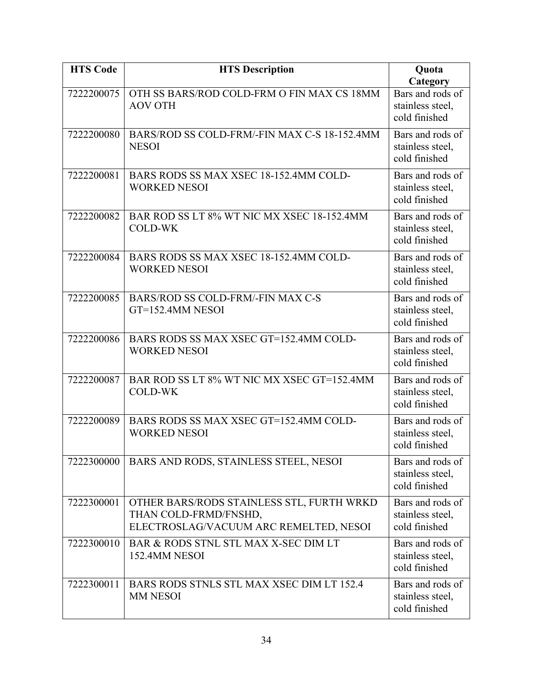| <b>HTS Code</b> | <b>HTS Description</b>                                                                                       | Quota<br>Category                                     |
|-----------------|--------------------------------------------------------------------------------------------------------------|-------------------------------------------------------|
| 7222200075      | OTH SS BARS/ROD COLD-FRM O FIN MAX CS 18MM<br><b>AOV OTH</b>                                                 | Bars and rods of<br>stainless steel,<br>cold finished |
| 7222200080      | BARS/ROD SS COLD-FRM/-FIN MAX C-S 18-152.4MM<br><b>NESOI</b>                                                 | Bars and rods of<br>stainless steel,<br>cold finished |
| 7222200081      | BARS RODS SS MAX XSEC 18-152.4MM COLD-<br><b>WORKED NESOI</b>                                                | Bars and rods of<br>stainless steel,<br>cold finished |
| 7222200082      | BAR ROD SS LT 8% WT NIC MX XSEC 18-152.4MM<br><b>COLD-WK</b>                                                 | Bars and rods of<br>stainless steel,<br>cold finished |
| 7222200084      | BARS RODS SS MAX XSEC 18-152.4MM COLD-<br><b>WORKED NESOI</b>                                                | Bars and rods of<br>stainless steel,<br>cold finished |
| 7222200085      | BARS/ROD SS COLD-FRM/-FIN MAX C-S<br>GT=152.4MM NESOI                                                        | Bars and rods of<br>stainless steel,<br>cold finished |
| 7222200086      | BARS RODS SS MAX XSEC GT=152.4MM COLD-<br><b>WORKED NESOI</b>                                                | Bars and rods of<br>stainless steel,<br>cold finished |
| 7222200087      | BAR ROD SS LT 8% WT NIC MX XSEC GT=152.4MM<br><b>COLD-WK</b>                                                 | Bars and rods of<br>stainless steel,<br>cold finished |
| 7222200089      | BARS RODS SS MAX XSEC GT=152.4MM COLD-<br><b>WORKED NESOI</b>                                                | Bars and rods of<br>stainless steel,<br>cold finished |
| 7222300000      | BARS AND RODS, STAINLESS STEEL, NESOI                                                                        | Bars and rods of<br>stainless steel,<br>cold finished |
| 7222300001      | OTHER BARS/RODS STAINLESS STL, FURTH WRKD<br>THAN COLD-FRMD/FNSHD,<br>ELECTROSLAG/VACUUM ARC REMELTED, NESOI | Bars and rods of<br>stainless steel,<br>cold finished |
| 7222300010      | BAR & RODS STNL STL MAX X-SEC DIM LT<br>152.4MM NESOI                                                        | Bars and rods of<br>stainless steel,<br>cold finished |
| 7222300011      | BARS RODS STNLS STL MAX XSEC DIM LT 152.4<br><b>MM NESOI</b>                                                 | Bars and rods of<br>stainless steel,<br>cold finished |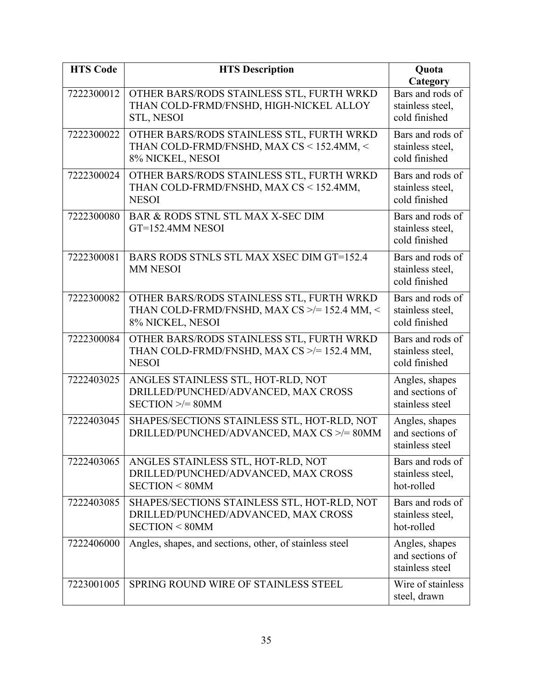| <b>HTS Code</b> | <b>HTS Description</b>                                                                                         | Quota                                                 |
|-----------------|----------------------------------------------------------------------------------------------------------------|-------------------------------------------------------|
|                 |                                                                                                                | Category                                              |
| 7222300012      | OTHER BARS/RODS STAINLESS STL, FURTH WRKD<br>THAN COLD-FRMD/FNSHD, HIGH-NICKEL ALLOY<br><b>STL, NESOI</b>      | Bars and rods of<br>stainless steel,<br>cold finished |
| 7222300022      | OTHER BARS/RODS STAINLESS STL, FURTH WRKD<br>THAN COLD-FRMD/FNSHD, MAX CS < 152.4MM, <<br>8% NICKEL, NESOI     | Bars and rods of<br>stainless steel,<br>cold finished |
| 7222300024      | OTHER BARS/RODS STAINLESS STL, FURTH WRKD<br>THAN COLD-FRMD/FNSHD, MAX CS < 152.4MM,<br><b>NESOI</b>           | Bars and rods of<br>stainless steel,<br>cold finished |
| 7222300080      | BAR & RODS STNL STL MAX X-SEC DIM<br>GT=152.4MM NESOI                                                          | Bars and rods of<br>stainless steel,<br>cold finished |
| 7222300081      | BARS RODS STNLS STL MAX XSEC DIM GT=152.4<br><b>MM NESOI</b>                                                   | Bars and rods of<br>stainless steel,<br>cold finished |
| 7222300082      | OTHER BARS/RODS STAINLESS STL, FURTH WRKD<br>THAN COLD-FRMD/FNSHD, MAX CS >/= 152.4 MM, <<br>8% NICKEL, NESOI  | Bars and rods of<br>stainless steel,<br>cold finished |
| 7222300084      | OTHER BARS/RODS STAINLESS STL, FURTH WRKD<br>THAN COLD-FRMD/FNSHD, MAX CS >/=152.4 MM,<br><b>NESOI</b>         | Bars and rods of<br>stainless steel,<br>cold finished |
| 7222403025      | ANGLES STAINLESS STL, HOT-RLD, NOT<br>DRILLED/PUNCHED/ADVANCED, MAX CROSS<br>$SECTION \ge 80$ MM               | Angles, shapes<br>and sections of<br>stainless steel  |
| 7222403045      | SHAPES/SECTIONS STAINLESS STL, HOT-RLD, NOT<br>DRILLED/PUNCHED/ADVANCED, MAX CS >/= 80MM                       | Angles, shapes<br>and sections of<br>stainless steel  |
| 7222403065      | ANGLES STAINLESS STL, HOT-RLD, NOT<br>DRILLED/PUNCHED/ADVANCED, MAX CROSS<br><b>SECTION &lt; 80MM</b>          | Bars and rods of<br>stainless steel,<br>hot-rolled    |
| 7222403085      | SHAPES/SECTIONS STAINLESS STL, HOT-RLD, NOT<br>DRILLED/PUNCHED/ADVANCED, MAX CROSS<br><b>SECTION &lt; 80MM</b> | Bars and rods of<br>stainless steel,<br>hot-rolled    |
| 7222406000      | Angles, shapes, and sections, other, of stainless steel                                                        | Angles, shapes<br>and sections of<br>stainless steel  |
| 7223001005      | SPRING ROUND WIRE OF STAINLESS STEEL                                                                           | Wire of stainless<br>steel, drawn                     |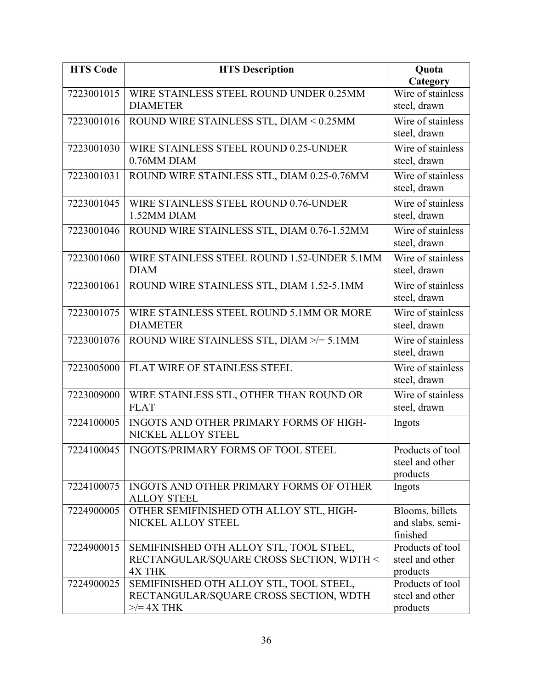| <b>HTS Code</b> | <b>HTS Description</b>                                        | Quota             |
|-----------------|---------------------------------------------------------------|-------------------|
|                 |                                                               | Category          |
| 7223001015      | WIRE STAINLESS STEEL ROUND UNDER 0.25MM<br><b>DIAMETER</b>    | Wire of stainless |
|                 |                                                               | steel, drawn      |
| 7223001016      | ROUND WIRE STAINLESS STL, DIAM < 0.25MM                       | Wire of stainless |
|                 |                                                               | steel, drawn      |
| 7223001030      | WIRE STAINLESS STEEL ROUND 0.25-UNDER                         | Wire of stainless |
|                 | 0.76MM DIAM                                                   | steel, drawn      |
| 7223001031      | ROUND WIRE STAINLESS STL, DIAM 0.25-0.76MM                    | Wire of stainless |
|                 |                                                               | steel, drawn      |
| 7223001045      | WIRE STAINLESS STEEL ROUND 0.76-UNDER                         | Wire of stainless |
|                 | 1.52MM DIAM                                                   | steel, drawn      |
| 7223001046      | ROUND WIRE STAINLESS STL, DIAM 0.76-1.52MM                    | Wire of stainless |
|                 |                                                               | steel, drawn      |
| 7223001060      | WIRE STAINLESS STEEL ROUND 1.52-UNDER 5.1MM                   | Wire of stainless |
|                 | <b>DIAM</b>                                                   | steel, drawn      |
| 7223001061      | ROUND WIRE STAINLESS STL, DIAM 1.52-5.1MM                     | Wire of stainless |
|                 |                                                               | steel, drawn      |
| 7223001075      | WIRE STAINLESS STEEL ROUND 5.1MM OR MORE                      | Wire of stainless |
|                 | <b>DIAMETER</b>                                               | steel, drawn      |
| 7223001076      | ROUND WIRE STAINLESS STL, DIAM >/= 5.1MM                      | Wire of stainless |
|                 |                                                               | steel, drawn      |
| 7223005000      | FLAT WIRE OF STAINLESS STEEL                                  | Wire of stainless |
|                 |                                                               | steel, drawn      |
| 7223009000      | WIRE STAINLESS STL, OTHER THAN ROUND OR                       | Wire of stainless |
|                 | <b>FLAT</b>                                                   | steel, drawn      |
| 7224100005      | INGOTS AND OTHER PRIMARY FORMS OF HIGH-                       | Ingots            |
|                 | NICKEL ALLOY STEEL                                            |                   |
| 7224100045      | INGOTS/PRIMARY FORMS OF TOOL STEEL                            | Products of tool  |
|                 |                                                               | steel and other   |
|                 |                                                               | products          |
| 7224100075      | INGOTS AND OTHER PRIMARY FORMS OF OTHER                       | Ingots            |
| 7224900005      | <b>ALLOY STEEL</b><br>OTHER SEMIFINISHED OTH ALLOY STL, HIGH- | Blooms, billets   |
|                 | NICKEL ALLOY STEEL                                            | and slabs, semi-  |
|                 |                                                               | finished          |
| 7224900015      | SEMIFINISHED OTH ALLOY STL, TOOL STEEL,                       | Products of tool  |
|                 | RECTANGULAR/SQUARE CROSS SECTION, WDTH <                      | steel and other   |
|                 | <b>4X THK</b>                                                 | products          |
| 7224900025      | SEMIFINISHED OTH ALLOY STL, TOOL STEEL,                       | Products of tool  |
|                 | RECTANGULAR/SQUARE CROSS SECTION, WDTH                        | steel and other   |
|                 | $\ge$ /= 4X THK                                               | products          |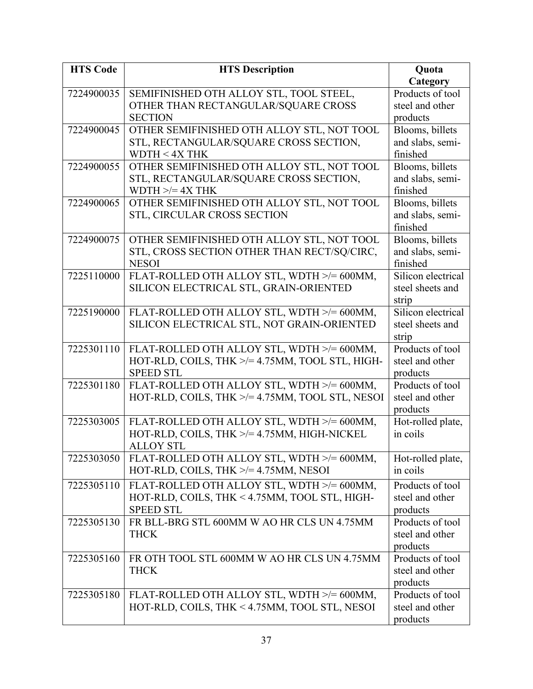| <b>HTS Code</b> | <b>HTS Description</b>                               | Quota              |
|-----------------|------------------------------------------------------|--------------------|
|                 |                                                      | Category           |
| 7224900035      | SEMIFINISHED OTH ALLOY STL, TOOL STEEL,              | Products of tool   |
|                 | OTHER THAN RECTANGULAR/SQUARE CROSS                  | steel and other    |
|                 | <b>SECTION</b>                                       | products           |
| 7224900045      | OTHER SEMIFINISHED OTH ALLOY STL, NOT TOOL           | Blooms, billets    |
|                 | STL, RECTANGULAR/SQUARE CROSS SECTION,               | and slabs, semi-   |
|                 | WDTH $<$ 4X THK                                      | finished           |
| 7224900055      | OTHER SEMIFINISHED OTH ALLOY STL, NOT TOOL           | Blooms, billets    |
|                 | STL, RECTANGULAR/SQUARE CROSS SECTION,               | and slabs, semi-   |
|                 | WDTH $\ge$ /= 4X THK                                 | finished           |
| 7224900065      | OTHER SEMIFINISHED OTH ALLOY STL, NOT TOOL           | Blooms, billets    |
|                 | STL, CIRCULAR CROSS SECTION                          | and slabs, semi-   |
|                 |                                                      | finished           |
| 7224900075      | OTHER SEMIFINISHED OTH ALLOY STL, NOT TOOL           | Blooms, billets    |
|                 | STL, CROSS SECTION OTHER THAN RECT/SQ/CIRC,          | and slabs, semi-   |
|                 | <b>NESOI</b>                                         | finished           |
| 7225110000      | FLAT-ROLLED OTH ALLOY STL, WDTH >/= 600MM,           | Silicon electrical |
|                 | SILICON ELECTRICAL STL, GRAIN-ORIENTED               | steel sheets and   |
|                 |                                                      | strip              |
| 7225190000      | FLAT-ROLLED OTH ALLOY STL, WDTH >/= 600MM,           | Silicon electrical |
|                 | SILICON ELECTRICAL STL, NOT GRAIN-ORIENTED           | steel sheets and   |
|                 |                                                      | strip              |
| 7225301110      | FLAT-ROLLED OTH ALLOY STL, WDTH >/= 600MM,           | Products of tool   |
|                 | HOT-RLD, COILS, THK >/= 4.75MM, TOOL STL, HIGH-      | steel and other    |
|                 | <b>SPEED STL</b>                                     | products           |
| 7225301180      | FLAT-ROLLED OTH ALLOY STL, WDTH >/= 600MM,           | Products of tool   |
|                 | HOT-RLD, COILS, THK $\ge$ /= 4.75MM, TOOL STL, NESOI | steel and other    |
|                 |                                                      | products           |
| 7225303005      | FLAT-ROLLED OTH ALLOY STL, WDTH >/= 600MM,           | Hot-rolled plate,  |
|                 | HOT-RLD, COILS, THK >/= 4.75MM, HIGH-NICKEL          | in coils           |
|                 | <b>ALLOY STL</b>                                     |                    |
| 7225303050      | FLAT-ROLLED OTH ALLOY STL, WDTH >/= 600MM,           | Hot-rolled plate,  |
|                 | HOT-RLD, COILS, THK $\ge$ /= 4.75MM, NESOI           | in coils           |
| 7225305110      | FLAT-ROLLED OTH ALLOY STL, WDTH >/= 600MM,           | Products of tool   |
|                 | HOT-RLD, COILS, THK < 4.75MM, TOOL STL, HIGH-        | steel and other    |
|                 | <b>SPEED STL</b>                                     | products           |
| 7225305130      | FR BLL-BRG STL 600MM W AO HR CLS UN 4.75MM           | Products of tool   |
|                 | <b>THCK</b>                                          | steel and other    |
|                 |                                                      | products           |
| 7225305160      | FR OTH TOOL STL 600MM W AO HR CLS UN 4.75MM          | Products of tool   |
|                 | <b>THCK</b>                                          | steel and other    |
|                 |                                                      | products           |
| 7225305180      | FLAT-ROLLED OTH ALLOY STL, WDTH >/= 600MM,           | Products of tool   |
|                 | HOT-RLD, COILS, THK < 4.75MM, TOOL STL, NESOI        | steel and other    |
|                 |                                                      | products           |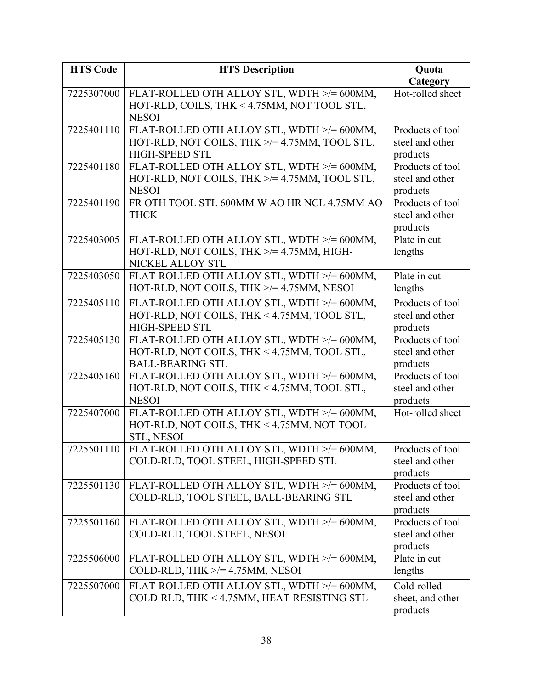| <b>HTS Code</b> | <b>HTS Description</b>                                   | Quota            |
|-----------------|----------------------------------------------------------|------------------|
|                 |                                                          | Category         |
| 7225307000      | FLAT-ROLLED OTH ALLOY STL, WDTH >/= 600MM,               | Hot-rolled sheet |
|                 | HOT-RLD, COILS, THK < 4.75MM, NOT TOOL STL,              |                  |
|                 | <b>NESOI</b>                                             |                  |
| 7225401110      | FLAT-ROLLED OTH ALLOY STL, WDTH >/= 600MM,               | Products of tool |
|                 | HOT-RLD, NOT COILS, THK $\ge$ /= 4.75MM, TOOL STL,       | steel and other  |
|                 | <b>HIGH-SPEED STL</b>                                    | products         |
| 7225401180      | FLAT-ROLLED OTH ALLOY STL, WDTH >/= 600MM,               | Products of tool |
|                 | HOT-RLD, NOT COILS, THK $\ge$ = 4.75MM, TOOL STL,        | steel and other  |
|                 | <b>NESOI</b>                                             | products         |
| 7225401190      | FR OTH TOOL STL 600MM W AO HR NCL 4.75MM AO              | Products of tool |
|                 | <b>THCK</b>                                              | steel and other  |
|                 |                                                          | products         |
| 7225403005      | FLAT-ROLLED OTH ALLOY STL, WDTH >/= 600MM,               | Plate in cut     |
|                 | HOT-RLD, NOT COILS, THK $\ge$ /= 4.75MM, HIGH-           | lengths          |
|                 | NICKEL ALLOY STL                                         |                  |
| 7225403050      | FLAT-ROLLED OTH ALLOY STL, WDTH >/= 600MM,               | Plate in cut     |
|                 | HOT-RLD, NOT COILS, THK $\ge$ /= 4.75MM, NESOI           | lengths          |
| 7225405110      | FLAT-ROLLED OTH ALLOY STL, WDTH >/= 600MM,               | Products of tool |
|                 | HOT-RLD, NOT COILS, THK < 4.75MM, TOOL STL,              | steel and other  |
|                 | <b>HIGH-SPEED STL</b>                                    | products         |
| 7225405130      | FLAT-ROLLED OTH ALLOY STL, WDTH >/= 600MM,               | Products of tool |
|                 | HOT-RLD, NOT COILS, THK < 4.75MM, TOOL STL,              | steel and other  |
|                 | <b>BALL-BEARING STL</b>                                  | products         |
| 7225405160      | FLAT-ROLLED OTH ALLOY STL, WDTH >/= 600MM,               | Products of tool |
|                 | HOT-RLD, NOT COILS, THK < 4.75MM, TOOL STL,              | steel and other  |
|                 | <b>NESOI</b>                                             | products         |
| 7225407000      | FLAT-ROLLED OTH ALLOY STL, WDTH >/= 600MM,               | Hot-rolled sheet |
|                 | HOT-RLD, NOT COILS, THK < 4.75MM, NOT TOOL<br>STL, NESOI |                  |
| 7225501110      | FLAT-ROLLED OTH ALLOY STL, WDTH >/= 600MM                | Products of tool |
|                 | COLD-RLD, TOOL STEEL, HIGH-SPEED STL                     | steel and other  |
|                 |                                                          | products         |
| 7225501130      | FLAT-ROLLED OTH ALLOY STL, WDTH >/= 600MM,               | Products of tool |
|                 | COLD-RLD, TOOL STEEL, BALL-BEARING STL                   | steel and other  |
|                 |                                                          | products         |
| 7225501160      | FLAT-ROLLED OTH ALLOY STL, WDTH >/= 600MM,               | Products of tool |
|                 | COLD-RLD, TOOL STEEL, NESOI                              | steel and other  |
|                 |                                                          | products         |
| 7225506000      | FLAT-ROLLED OTH ALLOY STL, WDTH >/= 600MM,               | Plate in cut     |
|                 | COLD-RLD, THK $\ge$ /= 4.75MM, NESOI                     | lengths          |
| 7225507000      | FLAT-ROLLED OTH ALLOY STL, WDTH >/= 600MM,               | Cold-rolled      |
|                 | COLD-RLD, THK < 4.75MM, HEAT-RESISTING STL               | sheet, and other |
|                 |                                                          | products         |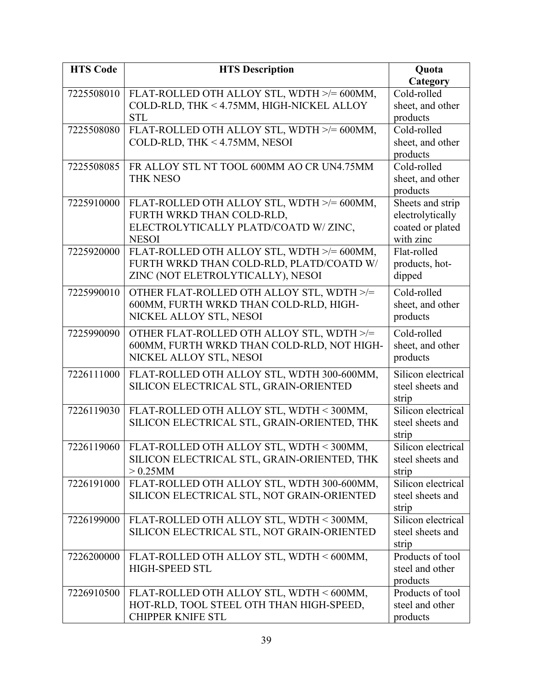| <b>HTS Code</b> | <b>HTS Description</b>                      | Quota              |
|-----------------|---------------------------------------------|--------------------|
|                 |                                             | Category           |
| 7225508010      | FLAT-ROLLED OTH ALLOY STL, WDTH >/= 600MM,  | Cold-rolled        |
|                 | COLD-RLD, THK < 4.75MM, HIGH-NICKEL ALLOY   | sheet, and other   |
|                 | <b>STL</b>                                  | products           |
| 7225508080      | FLAT-ROLLED OTH ALLOY STL, WDTH >/= 600MM,  | Cold-rolled        |
|                 | COLD-RLD, THK < 4.75MM, NESOI               | sheet, and other   |
|                 |                                             | products           |
| 7225508085      | FR ALLOY STL NT TOOL 600MM AO CR UN4.75MM   | Cold-rolled        |
|                 | <b>THK NESO</b>                             | sheet, and other   |
|                 |                                             | products           |
| 7225910000      | FLAT-ROLLED OTH ALLOY STL, WDTH >/= 600MM,  | Sheets and strip   |
|                 | FURTH WRKD THAN COLD-RLD,                   | electrolytically   |
|                 | ELECTROLYTICALLY PLATD/COATD W/ZINC,        | coated or plated   |
|                 | <b>NESOI</b>                                | with zinc          |
| 7225920000      | FLAT-ROLLED OTH ALLOY STL, WDTH >/= 600MM,  | Flat-rolled        |
|                 | FURTH WRKD THAN COLD-RLD, PLATD/COATD W/    | products, hot-     |
|                 | ZINC (NOT ELETROLYTICALLY), NESOI           | dipped             |
| 7225990010      | OTHER FLAT-ROLLED OTH ALLOY STL, WDTH >/=   | Cold-rolled        |
|                 | 600MM, FURTH WRKD THAN COLD-RLD, HIGH-      | sheet, and other   |
|                 | NICKEL ALLOY STL, NESOI                     | products           |
| 7225990090      | OTHER FLAT-ROLLED OTH ALLOY STL, WDTH >/=   | Cold-rolled        |
|                 | 600MM, FURTH WRKD THAN COLD-RLD, NOT HIGH-  | sheet, and other   |
|                 | NICKEL ALLOY STL, NESOI                     | products           |
| 7226111000      | FLAT-ROLLED OTH ALLOY STL, WDTH 300-600MM,  | Silicon electrical |
|                 | SILICON ELECTRICAL STL, GRAIN-ORIENTED      | steel sheets and   |
|                 |                                             | strip              |
| 7226119030      | FLAT-ROLLED OTH ALLOY STL, WDTH < 300MM,    | Silicon electrical |
|                 | SILICON ELECTRICAL STL, GRAIN-ORIENTED, THK | steel sheets and   |
|                 |                                             | strip              |
| 7226119060      | FLAT-ROLLED OTH ALLOY STL, WDTH < 300MM,    | Silicon electrical |
|                 | SILICON ELECTRICAL STL, GRAIN-ORIENTED, THK | steel sheets and   |
|                 | $> 0.25$ MM                                 | strip              |
| 7226191000      | FLAT-ROLLED OTH ALLOY STL, WDTH 300-600MM,  | Silicon electrical |
|                 | SILICON ELECTRICAL STL, NOT GRAIN-ORIENTED  | steel sheets and   |
|                 |                                             | strip              |
| 7226199000      | FLAT-ROLLED OTH ALLOY STL, WDTH < 300MM,    | Silicon electrical |
|                 | SILICON ELECTRICAL STL, NOT GRAIN-ORIENTED  | steel sheets and   |
|                 |                                             | strip              |
| 7226200000      | FLAT-ROLLED OTH ALLOY STL, WDTH < 600MM,    | Products of tool   |
|                 | <b>HIGH-SPEED STL</b>                       | steel and other    |
|                 |                                             | products           |
| 7226910500      | FLAT-ROLLED OTH ALLOY STL, WDTH < 600MM,    | Products of tool   |
|                 | HOT-RLD, TOOL STEEL OTH THAN HIGH-SPEED,    | steel and other    |
|                 | <b>CHIPPER KNIFE STL</b>                    | products           |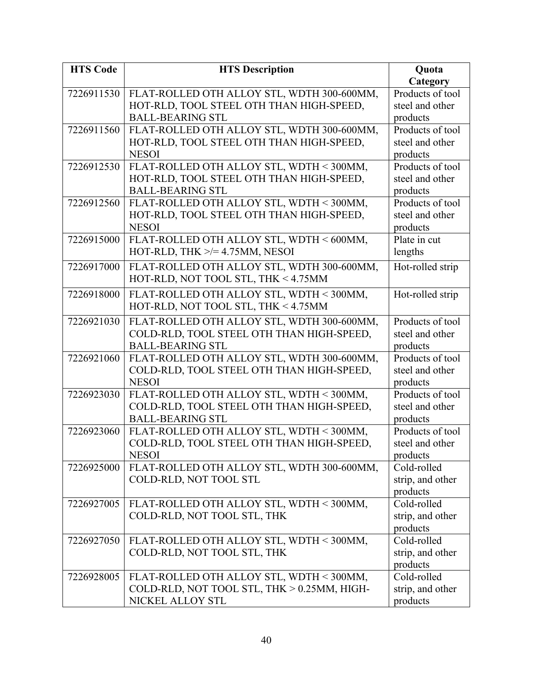| <b>HTS Code</b> | <b>HTS Description</b>                                                          | Quota                        |
|-----------------|---------------------------------------------------------------------------------|------------------------------|
|                 |                                                                                 | Category                     |
| 7226911530      | FLAT-ROLLED OTH ALLOY STL, WDTH 300-600MM,                                      | Products of tool             |
|                 | HOT-RLD, TOOL STEEL OTH THAN HIGH-SPEED,                                        | steel and other              |
|                 | <b>BALL-BEARING STL</b>                                                         | products                     |
| 7226911560      | FLAT-ROLLED OTH ALLOY STL, WDTH 300-600MM,                                      | Products of tool             |
|                 | HOT-RLD, TOOL STEEL OTH THAN HIGH-SPEED,                                        | steel and other              |
|                 | <b>NESOI</b>                                                                    | products                     |
| 7226912530      | FLAT-ROLLED OTH ALLOY STL, WDTH < 300MM,                                        | Products of tool             |
|                 | HOT-RLD, TOOL STEEL OTH THAN HIGH-SPEED,                                        | steel and other              |
|                 | <b>BALL-BEARING STL</b>                                                         | products                     |
| 7226912560      | FLAT-ROLLED OTH ALLOY STL, WDTH < 300MM,                                        | Products of tool             |
|                 | HOT-RLD, TOOL STEEL OTH THAN HIGH-SPEED,                                        | steel and other              |
|                 | <b>NESOI</b>                                                                    | products<br>Plate in cut     |
| 7226915000      | FLAT-ROLLED OTH ALLOY STL, WDTH < 600MM,<br>HOT-RLD, THK $\ge$ /= 4.75MM, NESOI |                              |
|                 |                                                                                 | lengths                      |
| 7226917000      | FLAT-ROLLED OTH ALLOY STL, WDTH 300-600MM,                                      | Hot-rolled strip             |
|                 | HOT-RLD, NOT TOOL STL, THK < 4.75MM                                             |                              |
| 7226918000      | FLAT-ROLLED OTH ALLOY STL, WDTH < 300MM,                                        | Hot-rolled strip             |
|                 | HOT-RLD, NOT TOOL STL, THK < 4.75MM                                             |                              |
| 7226921030      | FLAT-ROLLED OTH ALLOY STL, WDTH 300-600MM,                                      | Products of tool             |
|                 | COLD-RLD, TOOL STEEL OTH THAN HIGH-SPEED,                                       | steel and other              |
|                 | <b>BALL-BEARING STL</b>                                                         | products                     |
| 7226921060      | FLAT-ROLLED OTH ALLOY STL, WDTH 300-600MM,                                      | Products of tool             |
|                 | COLD-RLD, TOOL STEEL OTH THAN HIGH-SPEED,                                       | steel and other              |
|                 | <b>NESOI</b>                                                                    | products                     |
| 7226923030      | FLAT-ROLLED OTH ALLOY STL, WDTH < 300MM,                                        | Products of tool             |
|                 | COLD-RLD, TOOL STEEL OTH THAN HIGH-SPEED,                                       | steel and other              |
|                 | <b>BALL-BEARING STL</b>                                                         | products                     |
| 7226923060      | FLAT-ROLLED OTH ALLOY STL, WDTH < 300MM,                                        | Products of tool             |
|                 | COLD-RLD, TOOL STEEL OTH THAN HIGH-SPEED,                                       | steel and other              |
|                 | <b>NESOI</b>                                                                    | products                     |
| 7226925000      | FLAT-ROLLED OTH ALLOY STL, WDTH 300-600MM,                                      | Cold-rolled                  |
|                 | COLD-RLD, NOT TOOL STL                                                          | strip, and other<br>products |
| 7226927005      | FLAT-ROLLED OTH ALLOY STL, WDTH < 300MM,                                        | Cold-rolled                  |
|                 | COLD-RLD, NOT TOOL STL, THK                                                     | strip, and other             |
|                 |                                                                                 | products                     |
| 7226927050      | FLAT-ROLLED OTH ALLOY STL, WDTH < 300MM,                                        | Cold-rolled                  |
|                 | COLD-RLD, NOT TOOL STL, THK                                                     | strip, and other             |
|                 |                                                                                 | products                     |
| 7226928005      | FLAT-ROLLED OTH ALLOY STL, WDTH < 300MM,                                        | Cold-rolled                  |
|                 | COLD-RLD, NOT TOOL STL, THK > 0.25MM, HIGH-                                     | strip, and other             |
|                 | NICKEL ALLOY STL                                                                | products                     |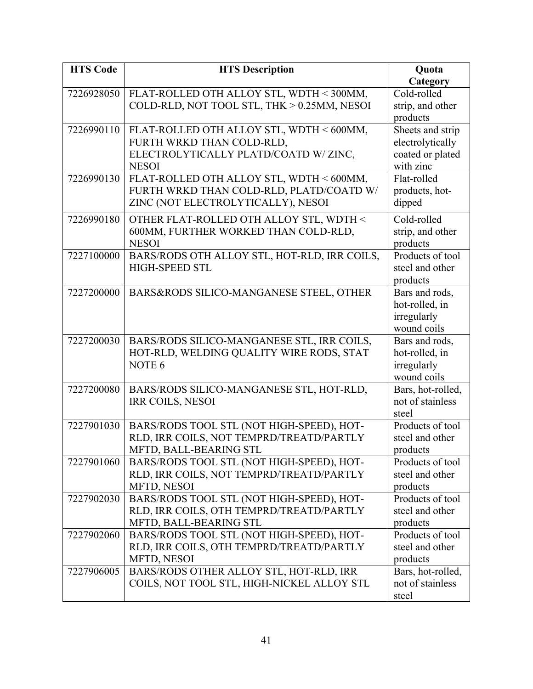| <b>HTS Code</b> | <b>HTS Description</b>                       | Quota                            |
|-----------------|----------------------------------------------|----------------------------------|
|                 |                                              | Category                         |
| 7226928050      | FLAT-ROLLED OTH ALLOY STL, WDTH < 300MM,     | Cold-rolled                      |
|                 | COLD-RLD, NOT TOOL STL, THK > 0.25MM, NESOI  | strip, and other                 |
|                 |                                              | products                         |
| 7226990110      | FLAT-ROLLED OTH ALLOY STL, WDTH < 600MM,     | Sheets and strip                 |
|                 | FURTH WRKD THAN COLD-RLD,                    | electrolytically                 |
|                 | ELECTROLYTICALLY PLATD/COATD W/ZINC,         | coated or plated                 |
|                 | <b>NESOI</b>                                 | with zinc                        |
| 7226990130      | FLAT-ROLLED OTH ALLOY STL, WDTH < 600MM,     | Flat-rolled                      |
|                 | FURTH WRKD THAN COLD-RLD, PLATD/COATD W/     | products, hot-                   |
|                 | ZINC (NOT ELECTROLYTICALLY), NESOI           | dipped                           |
| 7226990180      | OTHER FLAT-ROLLED OTH ALLOY STL, WDTH <      | Cold-rolled                      |
|                 | 600MM, FURTHER WORKED THAN COLD-RLD,         | strip, and other                 |
|                 | <b>NESOI</b>                                 | products                         |
| 7227100000      | BARS/RODS OTH ALLOY STL, HOT-RLD, IRR COILS, | Products of tool                 |
|                 | <b>HIGH-SPEED STL</b>                        | steel and other                  |
|                 |                                              | products                         |
| 7227200000      | BARS&RODS SILICO-MANGANESE STEEL, OTHER      | Bars and rods,                   |
|                 |                                              | hot-rolled, in                   |
|                 |                                              | irregularly                      |
|                 |                                              | wound coils                      |
| 7227200030      | BARS/RODS SILICO-MANGANESE STL, IRR COILS,   | Bars and rods,                   |
|                 | HOT-RLD, WELDING QUALITY WIRE RODS, STAT     | hot-rolled, in                   |
|                 | NOTE <sub>6</sub>                            | irregularly                      |
| 7227200080      | BARS/RODS SILICO-MANGANESE STL, HOT-RLD,     | wound coils<br>Bars, hot-rolled, |
|                 | <b>IRR COILS, NESOI</b>                      | not of stainless                 |
|                 |                                              | steel                            |
| 7227901030      | BARS/RODS TOOL STL (NOT HIGH-SPEED), HOT-    | Products of tool                 |
|                 | RLD, IRR COILS, NOT TEMPRD/TREATD/PARTLY     | steel and other                  |
|                 | MFTD, BALL-BEARING STL                       | products                         |
| 7227901060      | BARS/RODS TOOL STL (NOT HIGH-SPEED), HOT-    | Products of tool                 |
|                 | RLD, IRR COILS, NOT TEMPRD/TREATD/PARTLY     | steel and other                  |
|                 | MFTD, NESOI                                  | products                         |
| 7227902030      | BARS/RODS TOOL STL (NOT HIGH-SPEED), HOT-    | Products of tool                 |
|                 | RLD, IRR COILS, OTH TEMPRD/TREATD/PARTLY     | steel and other                  |
|                 | MFTD, BALL-BEARING STL                       | products                         |
| 7227902060      | BARS/RODS TOOL STL (NOT HIGH-SPEED), HOT-    | Products of tool                 |
|                 | RLD, IRR COILS, OTH TEMPRD/TREATD/PARTLY     | steel and other                  |
|                 | MFTD, NESOI                                  | products                         |
| 7227906005      | BARS/RODS OTHER ALLOY STL, HOT-RLD, IRR      | Bars, hot-rolled,                |
|                 | COILS, NOT TOOL STL, HIGH-NICKEL ALLOY STL   | not of stainless                 |
|                 |                                              | steel                            |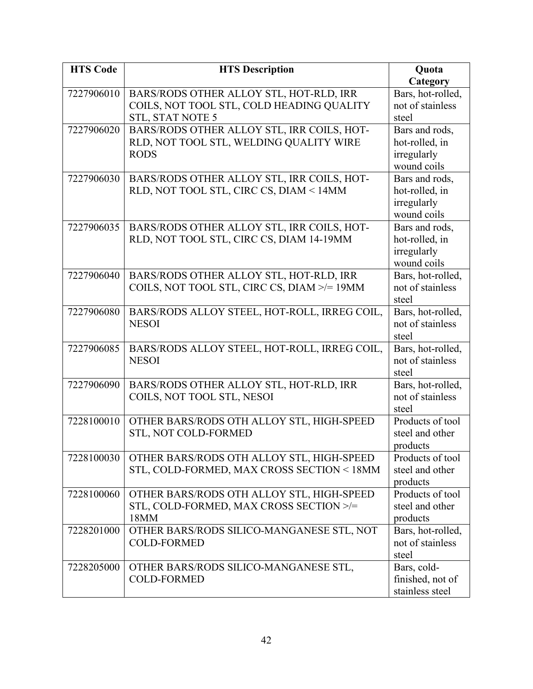| <b>HTS Code</b> | <b>HTS Description</b>                       | Quota                               |
|-----------------|----------------------------------------------|-------------------------------------|
|                 |                                              | Category                            |
| 7227906010      | BARS/RODS OTHER ALLOY STL, HOT-RLD, IRR      | Bars, hot-rolled,                   |
|                 | COILS, NOT TOOL STL, COLD HEADING QUALITY    | not of stainless                    |
|                 | <b>STL, STAT NOTE 5</b>                      | steel                               |
| 7227906020      | BARS/RODS OTHER ALLOY STL, IRR COILS, HOT-   | Bars and rods,                      |
|                 | RLD, NOT TOOL STL, WELDING QUALITY WIRE      | hot-rolled, in                      |
|                 | <b>RODS</b>                                  | irregularly                         |
|                 |                                              | wound coils                         |
| 7227906030      | BARS/RODS OTHER ALLOY STL, IRR COILS, HOT-   | Bars and rods,                      |
|                 | RLD, NOT TOOL STL, CIRC CS, DIAM < 14MM      | hot-rolled, in                      |
|                 |                                              | irregularly                         |
|                 |                                              | wound coils                         |
| 7227906035      | BARS/RODS OTHER ALLOY STL, IRR COILS, HOT-   | Bars and rods,                      |
|                 | RLD, NOT TOOL STL, CIRC CS, DIAM 14-19MM     | hot-rolled, in                      |
|                 |                                              | irregularly                         |
|                 |                                              | wound coils                         |
| 7227906040      | BARS/RODS OTHER ALLOY STL, HOT-RLD, IRR      | Bars, hot-rolled,                   |
|                 | COILS, NOT TOOL STL, CIRC CS, DIAM >/= 19MM  | not of stainless                    |
|                 |                                              | steel                               |
| 7227906080      | BARS/RODS ALLOY STEEL, HOT-ROLL, IRREG COIL, | Bars, hot-rolled,                   |
|                 | <b>NESOI</b>                                 | not of stainless                    |
|                 |                                              | steel                               |
| 7227906085      | BARS/RODS ALLOY STEEL, HOT-ROLL, IRREG COIL, | Bars, hot-rolled,                   |
|                 | <b>NESOI</b>                                 | not of stainless                    |
|                 |                                              | steel                               |
| 7227906090      | BARS/RODS OTHER ALLOY STL, HOT-RLD, IRR      | Bars, hot-rolled,                   |
|                 | COILS, NOT TOOL STL, NESOI                   | not of stainless                    |
|                 |                                              | steel                               |
| 7228100010      | OTHER BARS/RODS OTH ALLOY STL, HIGH-SPEED    | Products of tool                    |
|                 | STL, NOT COLD-FORMED                         | steel and other                     |
|                 | OTHER BARS/RODS OTH ALLOY STL, HIGH-SPEED    | products                            |
| 7228100030      | STL, COLD-FORMED, MAX CROSS SECTION < 18MM   | Products of tool<br>steel and other |
|                 |                                              | products                            |
| 7228100060      | OTHER BARS/RODS OTH ALLOY STL, HIGH-SPEED    | Products of tool                    |
|                 | STL, COLD-FORMED, MAX CROSS SECTION >/=      | steel and other                     |
|                 | 18MM                                         | products                            |
| 7228201000      | OTHER BARS/RODS SILICO-MANGANESE STL, NOT    | Bars, hot-rolled,                   |
|                 | <b>COLD-FORMED</b>                           | not of stainless                    |
|                 |                                              | steel                               |
| 7228205000      | OTHER BARS/RODS SILICO-MANGANESE STL,        | Bars, cold-                         |
|                 | <b>COLD-FORMED</b>                           | finished, not of                    |
|                 |                                              | stainless steel                     |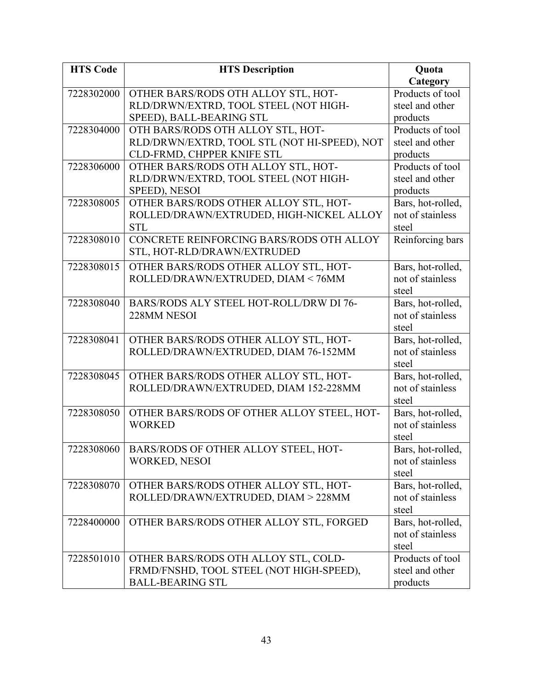| <b>HTS Code</b> | <b>HTS Description</b>                       | Quota                     |
|-----------------|----------------------------------------------|---------------------------|
|                 |                                              | Category                  |
| 7228302000      | OTHER BARS/RODS OTH ALLOY STL, HOT-          | Products of tool          |
|                 | RLD/DRWN/EXTRD, TOOL STEEL (NOT HIGH-        | steel and other           |
|                 | SPEED), BALL-BEARING STL                     | products                  |
| 7228304000      | OTH BARS/RODS OTH ALLOY STL, HOT-            | Products of tool          |
|                 | RLD/DRWN/EXTRD, TOOL STL (NOT HI-SPEED), NOT | steel and other           |
|                 | CLD-FRMD, CHPPER KNIFE STL                   | products                  |
| 7228306000      | OTHER BARS/RODS OTH ALLOY STL, HOT-          | Products of tool          |
|                 | RLD/DRWN/EXTRD, TOOL STEEL (NOT HIGH-        | steel and other           |
|                 | SPEED), NESOI                                | products                  |
| 7228308005      | OTHER BARS/RODS OTHER ALLOY STL, HOT-        | Bars, hot-rolled,         |
|                 | ROLLED/DRAWN/EXTRUDED, HIGH-NICKEL ALLOY     | not of stainless          |
|                 | <b>STL</b>                                   | steel                     |
| 7228308010      | CONCRETE REINFORCING BARS/RODS OTH ALLOY     | Reinforcing bars          |
|                 | STL, HOT-RLD/DRAWN/EXTRUDED                  |                           |
| 7228308015      | OTHER BARS/RODS OTHER ALLOY STL, HOT-        | Bars, hot-rolled,         |
|                 | ROLLED/DRAWN/EXTRUDED, DIAM < 76MM           | not of stainless          |
|                 |                                              | steel                     |
| 7228308040      | BARS/RODS ALY STEEL HOT-ROLL/DRW DI 76-      | Bars, hot-rolled,         |
|                 | 228MM NESOI                                  | not of stainless          |
|                 |                                              | steel                     |
| 7228308041      | OTHER BARS/RODS OTHER ALLOY STL, HOT-        | Bars, hot-rolled,         |
|                 | ROLLED/DRAWN/EXTRUDED, DIAM 76-152MM         | not of stainless          |
|                 |                                              | steel                     |
| 7228308045      | OTHER BARS/RODS OTHER ALLOY STL, HOT-        | Bars, hot-rolled,         |
|                 | ROLLED/DRAWN/EXTRUDED, DIAM 152-228MM        | not of stainless          |
|                 |                                              | steel                     |
| 7228308050      | OTHER BARS/RODS OF OTHER ALLOY STEEL, HOT-   | Bars, hot-rolled,         |
|                 | <b>WORKED</b>                                | not of stainless          |
|                 |                                              | steel                     |
| 7228308060      | <b>BARS/RODS OF OTHER ALLOY STEEL, HOT-</b>  | Bars, hot-rolled.         |
|                 | <b>WORKED, NESOI</b>                         | not of stainless          |
|                 |                                              | steel                     |
| 7228308070      | OTHER BARS/RODS OTHER ALLOY STL, HOT-        | Bars, hot-rolled,         |
|                 | ROLLED/DRAWN/EXTRUDED, DIAM > 228MM          | not of stainless          |
|                 |                                              | steel                     |
| 7228400000      | OTHER BARS/RODS OTHER ALLOY STL, FORGED      | Bars, hot-rolled,         |
|                 |                                              | not of stainless<br>steel |
| 7228501010      | OTHER BARS/RODS OTH ALLOY STL, COLD-         | Products of tool          |
|                 | FRMD/FNSHD, TOOL STEEL (NOT HIGH-SPEED),     | steel and other           |
|                 | <b>BALL-BEARING STL</b>                      | products                  |
|                 |                                              |                           |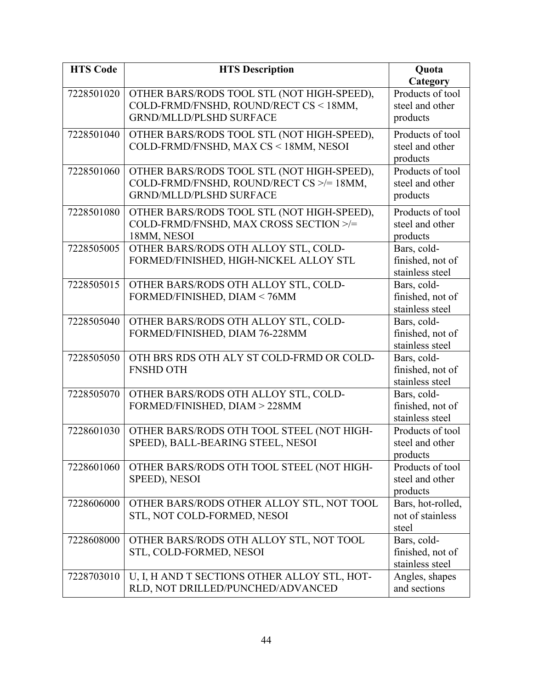| <b>HTS Code</b> | <b>HTS Description</b>                       | Quota                     |
|-----------------|----------------------------------------------|---------------------------|
|                 |                                              | Category                  |
| 7228501020      | OTHER BARS/RODS TOOL STL (NOT HIGH-SPEED),   | Products of tool          |
|                 | COLD-FRMD/FNSHD, ROUND/RECT CS < 18MM,       | steel and other           |
|                 | <b>GRND/MLLD/PLSHD SURFACE</b>               | products                  |
| 7228501040      | OTHER BARS/RODS TOOL STL (NOT HIGH-SPEED),   | Products of tool          |
|                 | COLD-FRMD/FNSHD, MAX CS < 18MM, NESOI        | steel and other           |
|                 |                                              | products                  |
| 7228501060      | OTHER BARS/RODS TOOL STL (NOT HIGH-SPEED),   | Products of tool          |
|                 | COLD-FRMD/FNSHD, ROUND/RECT CS >/= 18MM,     | steel and other           |
|                 | <b>GRND/MLLD/PLSHD SURFACE</b>               | products                  |
| 7228501080      | OTHER BARS/RODS TOOL STL (NOT HIGH-SPEED),   | Products of tool          |
|                 | COLD-FRMD/FNSHD, MAX CROSS SECTION >/=       | steel and other           |
|                 | 18MM, NESOI                                  | products                  |
| 7228505005      | OTHER BARS/RODS OTH ALLOY STL, COLD-         | Bars, cold-               |
|                 | FORMED/FINISHED, HIGH-NICKEL ALLOY STL       | finished, not of          |
|                 |                                              | stainless steel           |
| 7228505015      | OTHER BARS/RODS OTH ALLOY STL, COLD-         | Bars, cold-               |
|                 | FORMED/FINISHED, DIAM < 76MM                 | finished, not of          |
|                 |                                              | stainless steel           |
| 7228505040      | OTHER BARS/RODS OTH ALLOY STL, COLD-         | Bars, cold-               |
|                 | FORMED/FINISHED, DIAM 76-228MM               | finished, not of          |
|                 |                                              | stainless steel           |
| 7228505050      | OTH BRS RDS OTH ALY ST COLD-FRMD OR COLD-    | Bars, cold-               |
|                 | <b>FNSHD OTH</b>                             | finished, not of          |
|                 |                                              | stainless steel           |
| 7228505070      | OTHER BARS/RODS OTH ALLOY STL, COLD-         | Bars, cold-               |
|                 | FORMED/FINISHED, DIAM > 228MM                | finished, not of          |
|                 |                                              | stainless steel           |
| 7228601030      | OTHER BARS/RODS OTH TOOL STEEL (NOT HIGH-    | Products of tool          |
|                 | SPEED), BALL-BEARING STEEL, NESOI            | steel and other           |
|                 |                                              | products                  |
| 7228601060      | OTHER BARS/RODS OTH TOOL STEEL (NOT HIGH-    | Products of tool          |
|                 | SPEED), NESOI                                | steel and other           |
|                 |                                              | products                  |
| 7228606000      | OTHER BARS/RODS OTHER ALLOY STL, NOT TOOL    | Bars, hot-rolled,         |
|                 | STL, NOT COLD-FORMED, NESOI                  | not of stainless<br>steel |
| 7228608000      | OTHER BARS/RODS OTH ALLOY STL, NOT TOOL      | Bars, cold-               |
|                 | STL, COLD-FORMED, NESOI                      | finished, not of          |
|                 |                                              | stainless steel           |
| 7228703010      | U, I, H AND T SECTIONS OTHER ALLOY STL, HOT- | Angles, shapes            |
|                 | RLD, NOT DRILLED/PUNCHED/ADVANCED            | and sections              |
|                 |                                              |                           |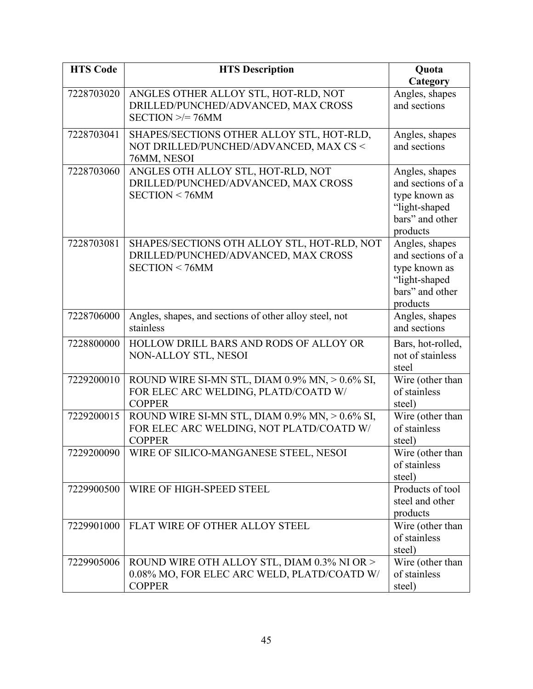| <b>HTS Code</b> | <b>HTS Description</b>                                                                                      | Quota                                                                                                |
|-----------------|-------------------------------------------------------------------------------------------------------------|------------------------------------------------------------------------------------------------------|
|                 |                                                                                                             | Category                                                                                             |
| 7228703020      | ANGLES OTHER ALLOY STL, HOT-RLD, NOT<br>DRILLED/PUNCHED/ADVANCED, MAX CROSS<br>$SECTION \geq 76MM$          | Angles, shapes<br>and sections                                                                       |
| 7228703041      | SHAPES/SECTIONS OTHER ALLOY STL, HOT-RLD,<br>NOT DRILLED/PUNCHED/ADVANCED, MAX CS <<br>76MM, NESOI          | Angles, shapes<br>and sections                                                                       |
| 7228703060      | ANGLES OTH ALLOY STL, HOT-RLD, NOT<br>DRILLED/PUNCHED/ADVANCED, MAX CROSS<br>SECTION < 76MM                 | Angles, shapes<br>and sections of a<br>type known as<br>"light-shaped<br>bars" and other<br>products |
| 7228703081      | SHAPES/SECTIONS OTH ALLOY STL, HOT-RLD, NOT<br>DRILLED/PUNCHED/ADVANCED, MAX CROSS<br>SECTION < 76MM        | Angles, shapes<br>and sections of a<br>type known as<br>"light-shaped<br>bars" and other<br>products |
| 7228706000      | Angles, shapes, and sections of other alloy steel, not<br>stainless                                         | Angles, shapes<br>and sections                                                                       |
| 7228800000      | HOLLOW DRILL BARS AND RODS OF ALLOY OR<br>NON-ALLOY STL, NESOI                                              | Bars, hot-rolled,<br>not of stainless<br>steel                                                       |
| 7229200010      | ROUND WIRE SI-MN STL, DIAM 0.9% MN, > 0.6% SI,<br>FOR ELEC ARC WELDING, PLATD/COATD W/<br><b>COPPER</b>     | Wire (other than<br>of stainless<br>steel)                                                           |
| 7229200015      | ROUND WIRE SI-MN STL, DIAM 0.9% MN, > 0.6% SI,<br>FOR ELEC ARC WELDING, NOT PLATD/COATD W/<br><b>COPPER</b> | Wire (other than<br>of stainless<br>steel)                                                           |
| 7229200090      | WIRE OF SILICO-MANGANESE STEEL, NESOI                                                                       | Wire (other than<br>of stainless<br>steel)                                                           |
| 7229900500      | WIRE OF HIGH-SPEED STEEL                                                                                    | Products of tool<br>steel and other<br>products                                                      |
| 7229901000      | FLAT WIRE OF OTHER ALLOY STEEL                                                                              | Wire (other than<br>of stainless<br>steel)                                                           |
| 7229905006      | ROUND WIRE OTH ALLOY STL, DIAM 0.3% NI OR ><br>0.08% MO, FOR ELEC ARC WELD, PLATD/COATD W/<br><b>COPPER</b> | Wire (other than<br>of stainless<br>steel)                                                           |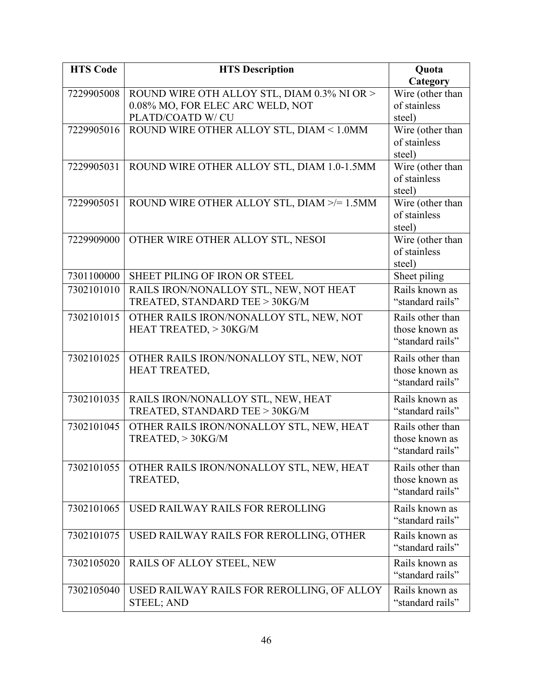| <b>HTS Code</b> | <b>HTS Description</b>                                               | Quota                              |
|-----------------|----------------------------------------------------------------------|------------------------------------|
|                 |                                                                      | Category                           |
| 7229905008      | ROUND WIRE OTH ALLOY STL, DIAM 0.3% NI OR >                          | Wire (other than                   |
|                 | 0.08% MO, FOR ELEC ARC WELD, NOT                                     | of stainless                       |
|                 | PLATD/COATD W/ CU                                                    | steel)                             |
| 7229905016      | ROUND WIRE OTHER ALLOY STL, DIAM < 1.0MM                             | Wire (other than                   |
|                 |                                                                      | of stainless                       |
|                 |                                                                      | steel)                             |
| 7229905031      | ROUND WIRE OTHER ALLOY STL, DIAM 1.0-1.5MM                           | Wire (other than                   |
|                 |                                                                      | of stainless                       |
|                 |                                                                      | steel)                             |
| 7229905051      | ROUND WIRE OTHER ALLOY STL, DIAM >/= 1.5MM                           | Wire (other than<br>of stainless   |
|                 |                                                                      | steel)                             |
| 7229909000      | OTHER WIRE OTHER ALLOY STL, NESOI                                    | Wire (other than                   |
|                 |                                                                      | of stainless                       |
|                 |                                                                      | steel)                             |
| 7301100000      | SHEET PILING OF IRON OR STEEL                                        | Sheet piling                       |
| 7302101010      | RAILS IRON/NONALLOY STL, NEW, NOT HEAT                               | Rails known as                     |
|                 | TREATED, STANDARD TEE > 30KG/M                                       | "standard rails"                   |
| 7302101015      | OTHER RAILS IRON/NONALLOY STL, NEW, NOT                              | Rails other than                   |
|                 | HEAT TREATED, > 30KG/M                                               | those known as                     |
|                 |                                                                      | "standard rails"                   |
| 7302101025      | OTHER RAILS IRON/NONALLOY STL, NEW, NOT                              | Rails other than                   |
|                 | HEAT TREATED,                                                        | those known as                     |
|                 |                                                                      | "standard rails"                   |
| 7302101035      |                                                                      | Rails known as                     |
|                 | RAILS IRON/NONALLOY STL, NEW, HEAT<br>TREATED, STANDARD TEE > 30KG/M | "standard rails"                   |
|                 |                                                                      |                                    |
| 7302101045      | OTHER RAILS IRON/NONALLOY STL, NEW, HEAT                             | Rails other than<br>those known as |
|                 | $TREATED$ , $>$ 30KG/M                                               | "standard rails"                   |
|                 |                                                                      |                                    |
| 7302101055      | OTHER RAILS IRON/NONALLOY STL, NEW, HEAT                             | Rails other than                   |
|                 | TREATED,                                                             | those known as                     |
|                 |                                                                      | "standard rails"                   |
| 7302101065      | USED RAILWAY RAILS FOR REROLLING                                     | Rails known as                     |
|                 |                                                                      | "standard rails"                   |
| 7302101075      | USED RAILWAY RAILS FOR REROLLING, OTHER                              | Rails known as                     |
|                 |                                                                      | "standard rails"                   |
| 7302105020      | <b>RAILS OF ALLOY STEEL, NEW</b>                                     | Rails known as                     |
|                 |                                                                      | "standard rails"                   |
| 7302105040      | USED RAILWAY RAILS FOR REROLLING, OF ALLOY                           | Rails known as                     |
|                 | <b>STEEL; AND</b>                                                    | "standard rails"                   |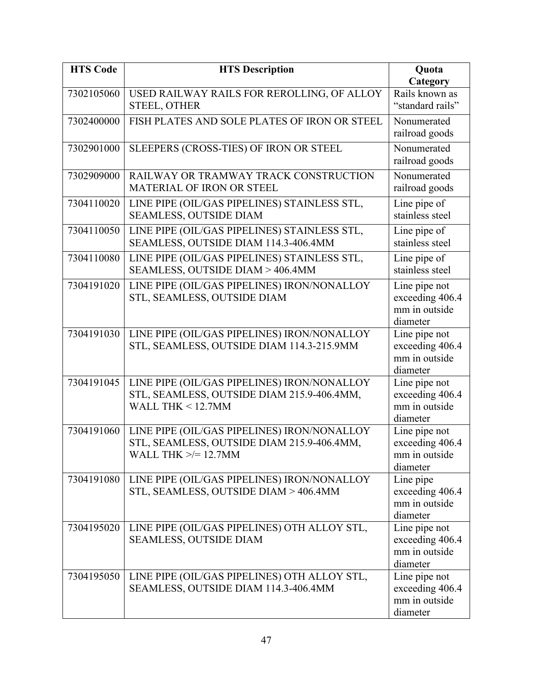| <b>HTS Code</b> | <b>HTS Description</b>                                                                                           | Quota<br>Category                                             |
|-----------------|------------------------------------------------------------------------------------------------------------------|---------------------------------------------------------------|
| 7302105060      | USED RAILWAY RAILS FOR REROLLING, OF ALLOY<br><b>STEEL, OTHER</b>                                                | Rails known as<br>"standard rails"                            |
| 7302400000      | FISH PLATES AND SOLE PLATES OF IRON OR STEEL                                                                     | Nonumerated<br>railroad goods                                 |
| 7302901000      | SLEEPERS (CROSS-TIES) OF IRON OR STEEL                                                                           | Nonumerated<br>railroad goods                                 |
| 7302909000      | RAILWAY OR TRAMWAY TRACK CONSTRUCTION<br><b>MATERIAL OF IRON OR STEEL</b>                                        | Nonumerated<br>railroad goods                                 |
| 7304110020      | LINE PIPE (OIL/GAS PIPELINES) STAINLESS STL,<br>SEAMLESS, OUTSIDE DIAM                                           | Line pipe of<br>stainless steel                               |
| 7304110050      | LINE PIPE (OIL/GAS PIPELINES) STAINLESS STL,<br>SEAMLESS, OUTSIDE DIAM 114.3-406.4MM                             | Line pipe of<br>stainless steel                               |
| 7304110080      | LINE PIPE (OIL/GAS PIPELINES) STAINLESS STL,<br>SEAMLESS, OUTSIDE DIAM > 406.4MM                                 | Line pipe of<br>stainless steel                               |
| 7304191020      | LINE PIPE (OIL/GAS PIPELINES) IRON/NONALLOY<br>STL, SEAMLESS, OUTSIDE DIAM                                       | Line pipe not<br>exceeding 406.4<br>mm in outside<br>diameter |
| 7304191030      | LINE PIPE (OIL/GAS PIPELINES) IRON/NONALLOY<br>STL, SEAMLESS, OUTSIDE DIAM 114.3-215.9MM                         | Line pipe not<br>exceeding 406.4<br>mm in outside<br>diameter |
| 7304191045      | LINE PIPE (OIL/GAS PIPELINES) IRON/NONALLOY<br>STL, SEAMLESS, OUTSIDE DIAM 215.9-406.4MM,<br>WALL THK $<$ 12.7MM | Line pipe not<br>exceeding 406.4<br>mm in outside<br>diameter |
| 7304191060      | LINE PIPE (OIL/GAS PIPELINES) IRON/NONALLOY<br>STL, SEAMLESS, OUTSIDE DIAM 215.9-406.4MM,<br>WALL THK >/= 12.7MM | Line pipe not<br>exceeding 406.4<br>mm in outside<br>diameter |
| 7304191080      | LINE PIPE (OIL/GAS PIPELINES) IRON/NONALLOY<br>STL, SEAMLESS, OUTSIDE DIAM > 406.4MM                             | Line pipe<br>exceeding 406.4<br>mm in outside<br>diameter     |
| 7304195020      | LINE PIPE (OIL/GAS PIPELINES) OTH ALLOY STL,<br>SEAMLESS, OUTSIDE DIAM                                           | Line pipe not<br>exceeding 406.4<br>mm in outside<br>diameter |
| 7304195050      | LINE PIPE (OIL/GAS PIPELINES) OTH ALLOY STL,<br>SEAMLESS, OUTSIDE DIAM 114.3-406.4MM                             | Line pipe not<br>exceeding 406.4<br>mm in outside<br>diameter |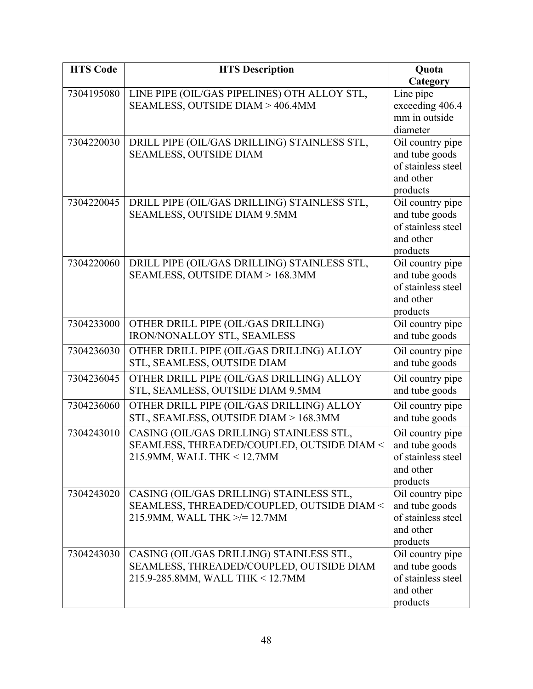| <b>HTS Code</b> | <b>HTS Description</b>                       | Quota                           |
|-----------------|----------------------------------------------|---------------------------------|
|                 |                                              | Category                        |
| 7304195080      | LINE PIPE (OIL/GAS PIPELINES) OTH ALLOY STL, | Line pipe                       |
|                 | SEAMLESS, OUTSIDE DIAM > 406.4MM             | exceeding 406.4                 |
|                 |                                              | mm in outside                   |
|                 |                                              | diameter                        |
| 7304220030      | DRILL PIPE (OIL/GAS DRILLING) STAINLESS STL, | Oil country pipe                |
|                 | <b>SEAMLESS, OUTSIDE DIAM</b>                | and tube goods                  |
|                 |                                              | of stainless steel              |
|                 |                                              | and other                       |
|                 |                                              | products                        |
| 7304220045      | DRILL PIPE (OIL/GAS DRILLING) STAINLESS STL, | Oil country pipe                |
|                 | SEAMLESS, OUTSIDE DIAM 9.5MM                 | and tube goods                  |
|                 |                                              | of stainless steel              |
|                 |                                              | and other                       |
| 7304220060      | DRILL PIPE (OIL/GAS DRILLING) STAINLESS STL, | products<br>Oil country pipe    |
|                 | SEAMLESS, OUTSIDE DIAM > 168.3MM             | and tube goods                  |
|                 |                                              | of stainless steel              |
|                 |                                              | and other                       |
|                 |                                              | products                        |
| 7304233000      | OTHER DRILL PIPE (OIL/GAS DRILLING)          | Oil country pipe                |
|                 | IRON/NONALLOY STL, SEAMLESS                  | and tube goods                  |
| 7304236030      | OTHER DRILL PIPE (OIL/GAS DRILLING) ALLOY    | Oil country pipe                |
|                 | STL, SEAMLESS, OUTSIDE DIAM                  | and tube goods                  |
|                 |                                              |                                 |
| 7304236045      | OTHER DRILL PIPE (OIL/GAS DRILLING) ALLOY    | Oil country pipe                |
|                 | STL, SEAMLESS, OUTSIDE DIAM 9.5MM            | and tube goods                  |
| 7304236060      | OTHER DRILL PIPE (OIL/GAS DRILLING) ALLOY    | Oil country pipe                |
|                 | STL, SEAMLESS, OUTSIDE DIAM > 168.3MM        | and tube goods                  |
| 7304243010      | CASING (OIL/GAS DRILLING) STAINLESS STL,     | Oil country pipe                |
|                 | SEAMLESS, THREADED/COUPLED, OUTSIDE DIAM <   | and tube goods                  |
|                 | 215.9MM, WALL THK < 12.7MM                   | of stainless steel              |
|                 |                                              | and other                       |
|                 |                                              | products                        |
| 7304243020      | CASING (OIL/GAS DRILLING) STAINLESS STL,     | Oil country pipe                |
|                 | SEAMLESS, THREADED/COUPLED, OUTSIDE DIAM <   | and tube goods                  |
|                 | 215.9MM, WALL THK >/= 12.7MM                 | of stainless steel              |
|                 |                                              | and other                       |
|                 |                                              | products                        |
| 7304243030      | CASING (OIL/GAS DRILLING) STAINLESS STL,     | Oil country pipe                |
|                 | SEAMLESS, THREADED/COUPLED, OUTSIDE DIAM     | and tube goods                  |
|                 | 215.9-285.8MM, WALL THK < 12.7MM             | of stainless steel<br>and other |
|                 |                                              |                                 |
|                 |                                              | products                        |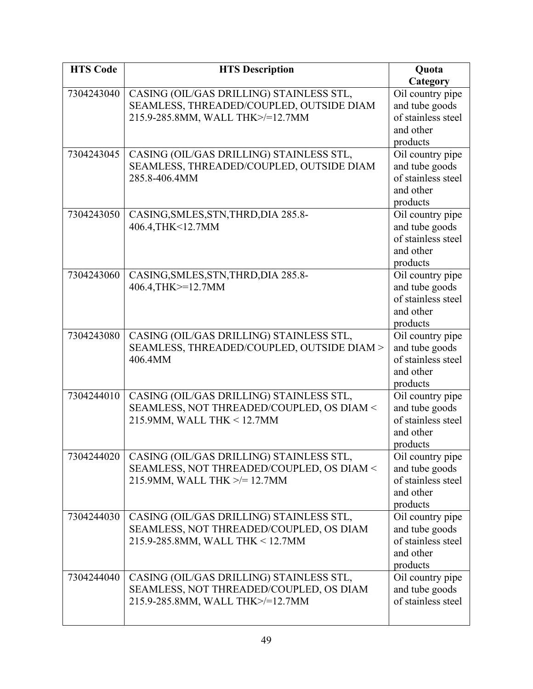| <b>HTS Code</b> | <b>HTS Description</b>                                    | Quota                                |
|-----------------|-----------------------------------------------------------|--------------------------------------|
|                 |                                                           | Category                             |
| 7304243040      | CASING (OIL/GAS DRILLING) STAINLESS STL,                  | Oil country pipe                     |
|                 | SEAMLESS, THREADED/COUPLED, OUTSIDE DIAM                  | and tube goods                       |
|                 | 215.9-285.8MM, WALL THK>/=12.7MM                          | of stainless steel                   |
|                 |                                                           | and other                            |
|                 |                                                           | products                             |
| 7304243045      | CASING (OIL/GAS DRILLING) STAINLESS STL,                  | Oil country pipe                     |
|                 | SEAMLESS, THREADED/COUPLED, OUTSIDE DIAM                  | and tube goods                       |
|                 | 285.8-406.4MM                                             | of stainless steel                   |
|                 |                                                           | and other                            |
|                 |                                                           | products                             |
| 7304243050      | CASING, SMLES, STN, THRD, DIA 285.8-<br>406.4, THK<12.7MM | Oil country pipe<br>and tube goods   |
|                 |                                                           | of stainless steel                   |
|                 |                                                           | and other                            |
|                 |                                                           | products                             |
| 7304243060      | CASING, SMLES, STN, THRD, DIA 285.8-                      | Oil country pipe                     |
|                 | 406.4, THK >= 12.7 MM                                     | and tube goods                       |
|                 |                                                           | of stainless steel                   |
|                 |                                                           | and other                            |
|                 |                                                           | products                             |
| 7304243080      | CASING (OIL/GAS DRILLING) STAINLESS STL,                  | Oil country pipe                     |
|                 | SEAMLESS, THREADED/COUPLED, OUTSIDE DIAM >                | and tube goods                       |
|                 | 406.4MM                                                   | of stainless steel                   |
|                 |                                                           | and other                            |
|                 |                                                           | products                             |
| 7304244010      | CASING (OIL/GAS DRILLING) STAINLESS STL,                  | Oil country pipe                     |
|                 | SEAMLESS, NOT THREADED/COUPLED, OS DIAM <                 | and tube goods                       |
|                 | 215.9MM, WALL THK < 12.7MM                                | of stainless steel                   |
|                 |                                                           | and other                            |
|                 |                                                           | products                             |
| 7304244020      | CASING (OIL/GAS DRILLING) STAINLESS STL,                  | Oil country pipe                     |
|                 | SEAMLESS, NOT THREADED/COUPLED, OS DIAM <                 | and tube goods<br>of stainless steel |
|                 | 215.9MM, WALL THK >/= 12.7MM                              | and other                            |
|                 |                                                           | products                             |
| 7304244030      | CASING (OIL/GAS DRILLING) STAINLESS STL,                  | Oil country pipe                     |
|                 | SEAMLESS, NOT THREADED/COUPLED, OS DIAM                   | and tube goods                       |
|                 | 215.9-285.8MM, WALL THK < 12.7MM                          | of stainless steel                   |
|                 |                                                           | and other                            |
|                 |                                                           | products                             |
| 7304244040      | CASING (OIL/GAS DRILLING) STAINLESS STL,                  | Oil country pipe                     |
|                 | SEAMLESS, NOT THREADED/COUPLED, OS DIAM                   | and tube goods                       |
|                 | 215.9-285.8MM, WALL THK>/=12.7MM                          | of stainless steel                   |
|                 |                                                           |                                      |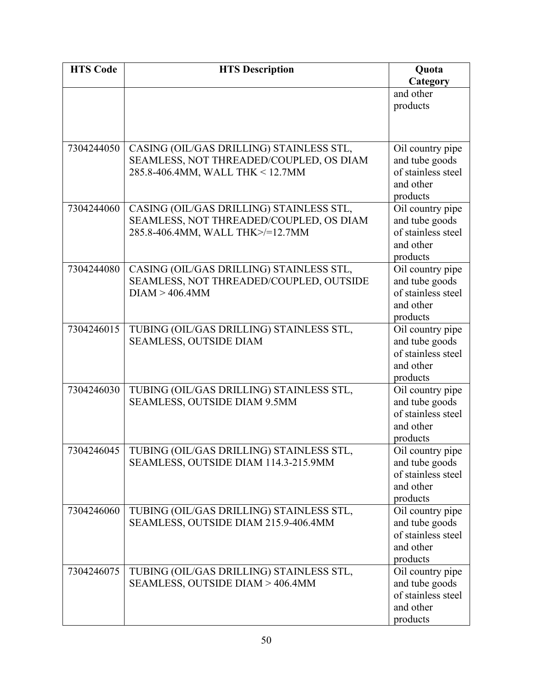| <b>HTS Code</b> | <b>HTS Description</b>                                    | Quota                                |
|-----------------|-----------------------------------------------------------|--------------------------------------|
|                 |                                                           | Category                             |
|                 |                                                           | and other                            |
|                 |                                                           | products                             |
|                 |                                                           |                                      |
|                 |                                                           |                                      |
| 7304244050      | CASING (OIL/GAS DRILLING) STAINLESS STL,                  | Oil country pipe                     |
|                 | SEAMLESS, NOT THREADED/COUPLED, OS DIAM                   | and tube goods                       |
|                 | 285.8-406.4MM, WALL THK < 12.7MM                          | of stainless steel                   |
|                 |                                                           | and other                            |
|                 |                                                           | products                             |
| 7304244060      | CASING (OIL/GAS DRILLING) STAINLESS STL,                  | Oil country pipe                     |
|                 | SEAMLESS, NOT THREADED/COUPLED, OS DIAM                   | and tube goods                       |
|                 | 285.8-406.4MM, WALL THK>/=12.7MM                          | of stainless steel                   |
|                 |                                                           | and other                            |
|                 |                                                           | products                             |
| 7304244080      | CASING (OIL/GAS DRILLING) STAINLESS STL,                  | Oil country pipe                     |
|                 | SEAMLESS, NOT THREADED/COUPLED, OUTSIDE<br>DIAM > 406.4MM | and tube goods<br>of stainless steel |
|                 |                                                           | and other                            |
|                 |                                                           | products                             |
| 7304246015      | TUBING (OIL/GAS DRILLING) STAINLESS STL,                  | Oil country pipe                     |
|                 | <b>SEAMLESS, OUTSIDE DIAM</b>                             | and tube goods                       |
|                 |                                                           | of stainless steel                   |
|                 |                                                           | and other                            |
|                 |                                                           | products                             |
| 7304246030      | TUBING (OIL/GAS DRILLING) STAINLESS STL,                  | Oil country pipe                     |
|                 | SEAMLESS, OUTSIDE DIAM 9.5MM                              | and tube goods                       |
|                 |                                                           | of stainless steel                   |
|                 |                                                           | and other                            |
|                 |                                                           | products                             |
|                 | 7304246045   TUBING (OIL/GAS DRILLING) STAINLESS STL,     | Oil country pipe                     |
|                 | SEAMLESS, OUTSIDE DIAM 114.3-215.9MM                      | and tube goods                       |
|                 |                                                           | of stainless steel                   |
|                 |                                                           | and other                            |
|                 |                                                           | products                             |
| 7304246060      | TUBING (OIL/GAS DRILLING) STAINLESS STL,                  | Oil country pipe                     |
|                 | SEAMLESS, OUTSIDE DIAM 215.9-406.4MM                      | and tube goods                       |
|                 |                                                           | of stainless steel<br>and other      |
|                 |                                                           | products                             |
| 7304246075      | TUBING (OIL/GAS DRILLING) STAINLESS STL,                  | Oil country pipe                     |
|                 | SEAMLESS, OUTSIDE DIAM > 406.4MM                          | and tube goods                       |
|                 |                                                           | of stainless steel                   |
|                 |                                                           | and other                            |
|                 |                                                           | products                             |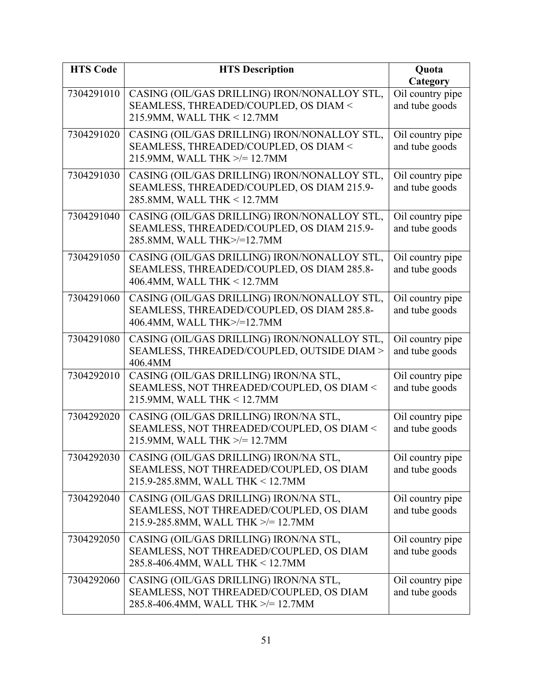| <b>HTS Code</b> | <b>HTS Description</b>                                                                                                   | Quota                                          |
|-----------------|--------------------------------------------------------------------------------------------------------------------------|------------------------------------------------|
| 7304291010      | CASING (OIL/GAS DRILLING) IRON/NONALLOY STL,<br>SEAMLESS, THREADED/COUPLED, OS DIAM <<br>215.9MM, WALL THK < 12.7MM      | Category<br>Oil country pipe<br>and tube goods |
| 7304291020      | CASING (OIL/GAS DRILLING) IRON/NONALLOY STL,<br>SEAMLESS, THREADED/COUPLED, OS DIAM <<br>215.9MM, WALL THK >/= 12.7MM    | Oil country pipe<br>and tube goods             |
| 7304291030      | CASING (OIL/GAS DRILLING) IRON/NONALLOY STL,<br>SEAMLESS, THREADED/COUPLED, OS DIAM 215.9-<br>285.8MM, WALL THK < 12.7MM | Oil country pipe<br>and tube goods             |
| 7304291040      | CASING (OIL/GAS DRILLING) IRON/NONALLOY STL,<br>SEAMLESS, THREADED/COUPLED, OS DIAM 215.9-<br>285.8MM, WALL THK>/=12.7MM | Oil country pipe<br>and tube goods             |
| 7304291050      | CASING (OIL/GAS DRILLING) IRON/NONALLOY STL,<br>SEAMLESS, THREADED/COUPLED, OS DIAM 285.8-<br>406.4MM, WALL THK < 12.7MM | Oil country pipe<br>and tube goods             |
| 7304291060      | CASING (OIL/GAS DRILLING) IRON/NONALLOY STL,<br>SEAMLESS, THREADED/COUPLED, OS DIAM 285.8-<br>406.4MM, WALL THK>/=12.7MM | Oil country pipe<br>and tube goods             |
| 7304291080      | CASING (OIL/GAS DRILLING) IRON/NONALLOY STL,<br>SEAMLESS, THREADED/COUPLED, OUTSIDE DIAM ><br>406.4MM                    | Oil country pipe<br>and tube goods             |
| 7304292010      | CASING (OIL/GAS DRILLING) IRON/NA STL,<br>SEAMLESS, NOT THREADED/COUPLED, OS DIAM <<br>215.9MM, WALL THK < 12.7MM        | Oil country pipe<br>and tube goods             |
| 7304292020      | CASING (OIL/GAS DRILLING) IRON/NA STL,<br>SEAMLESS, NOT THREADED/COUPLED, OS DIAM <<br>215.9MM, WALL THK >/= 12.7MM      | Oil country pipe<br>and tube goods             |
| 7304292030      | CASING (OIL/GAS DRILLING) IRON/NA STL,<br>SEAMLESS, NOT THREADED/COUPLED, OS DIAM<br>215.9-285.8MM, WALL THK < 12.7MM    | Oil country pipe<br>and tube goods             |
| 7304292040      | CASING (OIL/GAS DRILLING) IRON/NA STL,<br>SEAMLESS, NOT THREADED/COUPLED, OS DIAM<br>215.9-285.8MM, WALL THK >/= 12.7MM  | Oil country pipe<br>and tube goods             |
| 7304292050      | CASING (OIL/GAS DRILLING) IRON/NA STL,<br>SEAMLESS, NOT THREADED/COUPLED, OS DIAM<br>285.8-406.4MM, WALL THK < 12.7MM    | Oil country pipe<br>and tube goods             |
| 7304292060      | CASING (OIL/GAS DRILLING) IRON/NA STL,<br>SEAMLESS, NOT THREADED/COUPLED, OS DIAM<br>285.8-406.4MM, WALL THK >/= 12.7MM  | Oil country pipe<br>and tube goods             |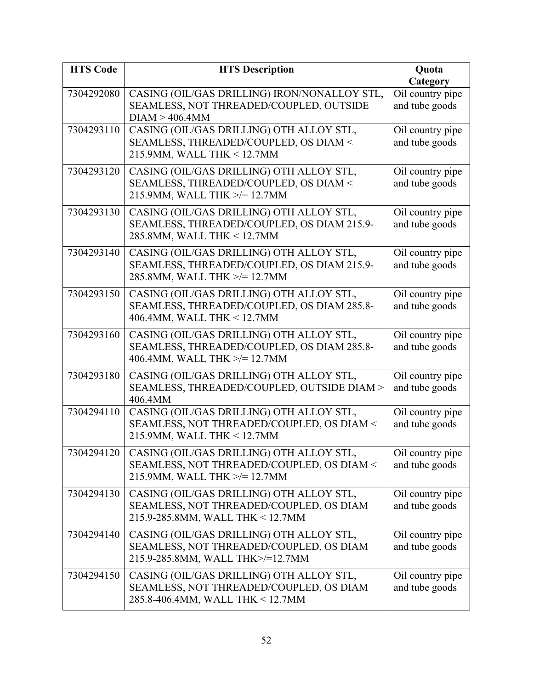| <b>HTS Code</b> | <b>HTS Description</b>                                                                                                  | Quota                                          |
|-----------------|-------------------------------------------------------------------------------------------------------------------------|------------------------------------------------|
| 7304292080      | CASING (OIL/GAS DRILLING) IRON/NONALLOY STL,<br>SEAMLESS, NOT THREADED/COUPLED, OUTSIDE<br>DIAM > 406.4MM               | Category<br>Oil country pipe<br>and tube goods |
| 7304293110      | CASING (OIL/GAS DRILLING) OTH ALLOY STL,<br>SEAMLESS, THREADED/COUPLED, OS DIAM <<br>215.9MM, WALL THK < 12.7MM         | Oil country pipe<br>and tube goods             |
| 7304293120      | CASING (OIL/GAS DRILLING) OTH ALLOY STL,<br>SEAMLESS, THREADED/COUPLED, OS DIAM <<br>215.9MM, WALL THK >/= 12.7MM       | Oil country pipe<br>and tube goods             |
| 7304293130      | CASING (OIL/GAS DRILLING) OTH ALLOY STL,<br>SEAMLESS, THREADED/COUPLED, OS DIAM 215.9-<br>285.8MM, WALL THK < 12.7MM    | Oil country pipe<br>and tube goods             |
| 7304293140      | CASING (OIL/GAS DRILLING) OTH ALLOY STL,<br>SEAMLESS, THREADED/COUPLED, OS DIAM 215.9-<br>285.8MM, WALL THK >/= 12.7MM  | Oil country pipe<br>and tube goods             |
| 7304293150      | CASING (OIL/GAS DRILLING) OTH ALLOY STL,<br>SEAMLESS, THREADED/COUPLED, OS DIAM 285.8-<br>406.4MM, WALL THK < 12.7MM    | Oil country pipe<br>and tube goods             |
| 7304293160      | CASING (OIL/GAS DRILLING) OTH ALLOY STL,<br>SEAMLESS, THREADED/COUPLED, OS DIAM 285.8-<br>406.4MM, WALL THK >/= 12.7MM  | Oil country pipe<br>and tube goods             |
| 7304293180      | CASING (OIL/GAS DRILLING) OTH ALLOY STL,<br>SEAMLESS, THREADED/COUPLED, OUTSIDE DIAM ><br>406.4MM                       | Oil country pipe<br>and tube goods             |
| 7304294110      | CASING (OIL/GAS DRILLING) OTH ALLOY STL,<br>SEAMLESS, NOT THREADED/COUPLED, OS DIAM <<br>215.9MM, WALL THK < 12.7MM     | Oil country pipe<br>and tube goods             |
| 7304294120      | CASING (OIL/GAS DRILLING) OTH ALLOY STL,<br>SEAMLESS, NOT THREADED/COUPLED, OS DIAM <<br>215.9MM, WALL THK >/= 12.7MM   | Oil country pipe<br>and tube goods             |
| 7304294130      | CASING (OIL/GAS DRILLING) OTH ALLOY STL,<br>SEAMLESS, NOT THREADED/COUPLED, OS DIAM<br>215.9-285.8MM, WALL THK < 12.7MM | Oil country pipe<br>and tube goods             |
| 7304294140      | CASING (OIL/GAS DRILLING) OTH ALLOY STL,<br>SEAMLESS, NOT THREADED/COUPLED, OS DIAM<br>215.9-285.8MM, WALL THK>/=12.7MM | Oil country pipe<br>and tube goods             |
| 7304294150      | CASING (OIL/GAS DRILLING) OTH ALLOY STL,<br>SEAMLESS, NOT THREADED/COUPLED, OS DIAM<br>285.8-406.4MM, WALL THK < 12.7MM | Oil country pipe<br>and tube goods             |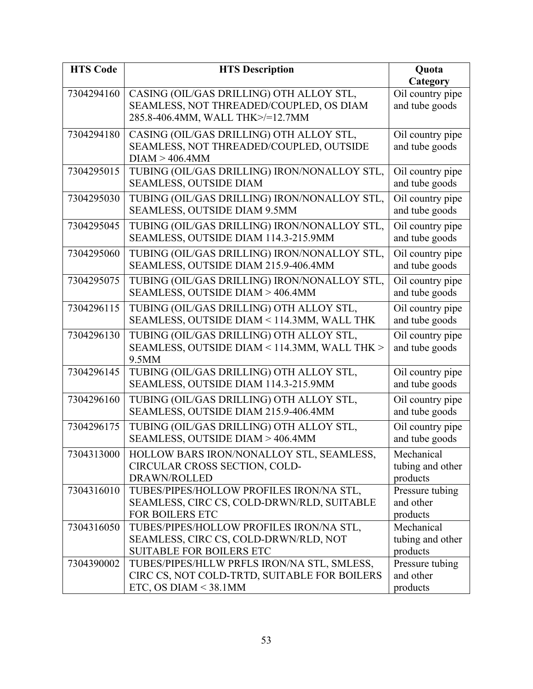| <b>HTS Code</b> | <b>HTS Description</b>                       | Quota            |
|-----------------|----------------------------------------------|------------------|
|                 |                                              | Category         |
| 7304294160      | CASING (OIL/GAS DRILLING) OTH ALLOY STL,     | Oil country pipe |
|                 | SEAMLESS, NOT THREADED/COUPLED, OS DIAM      | and tube goods   |
|                 | 285.8-406.4MM, WALL THK>/=12.7MM             |                  |
| 7304294180      | CASING (OIL/GAS DRILLING) OTH ALLOY STL,     | Oil country pipe |
|                 | SEAMLESS, NOT THREADED/COUPLED, OUTSIDE      | and tube goods   |
|                 | DIAM > 406.4MM                               |                  |
| 7304295015      | TUBING (OIL/GAS DRILLING) IRON/NONALLOY STL, | Oil country pipe |
|                 | SEAMLESS, OUTSIDE DIAM                       | and tube goods   |
| 7304295030      | TUBING (OIL/GAS DRILLING) IRON/NONALLOY STL, | Oil country pipe |
|                 | SEAMLESS, OUTSIDE DIAM 9.5MM                 | and tube goods   |
| 7304295045      | TUBING (OIL/GAS DRILLING) IRON/NONALLOY STL, | Oil country pipe |
|                 | SEAMLESS, OUTSIDE DIAM 114.3-215.9MM         | and tube goods   |
| 7304295060      | TUBING (OIL/GAS DRILLING) IRON/NONALLOY STL, | Oil country pipe |
|                 | SEAMLESS, OUTSIDE DIAM 215.9-406.4MM         | and tube goods   |
| 7304295075      | TUBING (OIL/GAS DRILLING) IRON/NONALLOY STL, | Oil country pipe |
|                 | SEAMLESS, OUTSIDE DIAM > 406.4MM             | and tube goods   |
| 7304296115      | TUBING (OIL/GAS DRILLING) OTH ALLOY STL,     | Oil country pipe |
|                 | SEAMLESS, OUTSIDE DIAM < 114.3MM, WALL THK   | and tube goods   |
| 7304296130      | TUBING (OIL/GAS DRILLING) OTH ALLOY STL,     | Oil country pipe |
|                 | SEAMLESS, OUTSIDE DIAM < 114.3MM, WALL THK > | and tube goods   |
|                 | 9.5MM                                        |                  |
| 7304296145      | TUBING (OIL/GAS DRILLING) OTH ALLOY STL,     | Oil country pipe |
|                 | SEAMLESS, OUTSIDE DIAM 114.3-215.9MM         | and tube goods   |
| 7304296160      | TUBING (OIL/GAS DRILLING) OTH ALLOY STL,     | Oil country pipe |
|                 | SEAMLESS, OUTSIDE DIAM 215.9-406.4MM         | and tube goods   |
| 7304296175      | TUBING (OIL/GAS DRILLING) OTH ALLOY STL,     | Oil country pipe |
|                 | SEAMLESS, OUTSIDE DIAM > 406.4MM             | and tube goods   |
| 7304313000      | HOLLOW BARS IRON/NONALLOY STL, SEAMLESS,     | Mechanical       |
|                 | CIRCULAR CROSS SECTION, COLD-                | tubing and other |
|                 | DRAWN/ROLLED                                 | products         |
| 7304316010      | TUBES/PIPES/HOLLOW PROFILES IRON/NA STL,     | Pressure tubing  |
|                 | SEAMLESS, CIRC CS, COLD-DRWN/RLD, SUITABLE   | and other        |
|                 | <b>FOR BOILERS ETC</b>                       | products         |
| 7304316050      | TUBES/PIPES/HOLLOW PROFILES IRON/NA STL,     | Mechanical       |
|                 | SEAMLESS, CIRC CS, COLD-DRWN/RLD, NOT        | tubing and other |
|                 | <b>SUITABLE FOR BOILERS ETC</b>              | products         |
| 7304390002      | TUBES/PIPES/HLLW PRFLS IRON/NA STL, SMLESS,  | Pressure tubing  |
|                 | CIRC CS, NOT COLD-TRTD, SUITABLE FOR BOILERS | and other        |
|                 | ETC, OS DIAM $<$ 38.1MM                      | products         |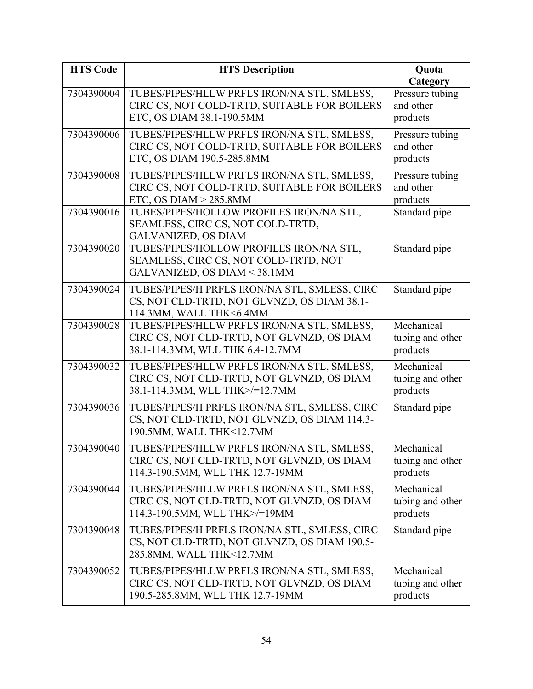| <b>HTS Code</b> | <b>HTS Description</b>                                                                                                        | Quota                                                |
|-----------------|-------------------------------------------------------------------------------------------------------------------------------|------------------------------------------------------|
| 7304390004      | TUBES/PIPES/HLLW PRFLS IRON/NA STL, SMLESS,<br>CIRC CS, NOT COLD-TRTD, SUITABLE FOR BOILERS<br>ETC, OS DIAM 38.1-190.5MM      | Category<br>Pressure tubing<br>and other<br>products |
| 7304390006      | TUBES/PIPES/HLLW PRFLS IRON/NA STL, SMLESS,<br>CIRC CS, NOT COLD-TRTD, SUITABLE FOR BOILERS<br>ETC, OS DIAM 190.5-285.8MM     | Pressure tubing<br>and other<br>products             |
| 7304390008      | TUBES/PIPES/HLLW PRFLS IRON/NA STL, SMLESS,<br>CIRC CS, NOT COLD-TRTD, SUITABLE FOR BOILERS<br>ETC, OS DIAM $> 285.8$ MM      | Pressure tubing<br>and other<br>products             |
| 7304390016      | TUBES/PIPES/HOLLOW PROFILES IRON/NA STL,<br>SEAMLESS, CIRC CS, NOT COLD-TRTD,<br><b>GALVANIZED, OS DIAM</b>                   | Standard pipe                                        |
| 7304390020      | TUBES/PIPES/HOLLOW PROFILES IRON/NA STL,<br>SEAMLESS, CIRC CS, NOT COLD-TRTD, NOT<br>GALVANIZED, OS DIAM < 38.1MM             | Standard pipe                                        |
| 7304390024      | TUBES/PIPES/H PRFLS IRON/NA STL, SMLESS, CIRC<br>CS, NOT CLD-TRTD, NOT GLVNZD, OS DIAM 38.1-<br>114.3MM, WALL THK<6.4MM       | Standard pipe                                        |
| 7304390028      | TUBES/PIPES/HLLW PRFLS IRON/NA STL, SMLESS,<br>CIRC CS, NOT CLD-TRTD, NOT GLVNZD, OS DIAM<br>38.1-114.3MM, WLL THK 6.4-12.7MM | Mechanical<br>tubing and other<br>products           |
| 7304390032      | TUBES/PIPES/HLLW PRFLS IRON/NA STL, SMLESS,<br>CIRC CS, NOT CLD-TRTD, NOT GLVNZD, OS DIAM<br>38.1-114.3MM, WLL THK>/=12.7MM   | Mechanical<br>tubing and other<br>products           |
| 7304390036      | TUBES/PIPES/H PRFLS IRON/NA STL, SMLESS, CIRC<br>CS, NOT CLD-TRTD, NOT GLVNZD, OS DIAM 114.3-<br>190.5MM, WALL THK<12.7MM     | Standard pipe                                        |
| 7304390040      | TUBES/PIPES/HLLW PRFLS IRON/NA STL, SMLESS.<br>CIRC CS, NOT CLD-TRTD, NOT GLVNZD, OS DIAM<br>114.3-190.5MM, WLL THK 12.7-19MM | Mechanical<br>tubing and other<br>products           |
| 7304390044      | TUBES/PIPES/HLLW PRFLS IRON/NA STL, SMLESS,<br>CIRC CS, NOT CLD-TRTD, NOT GLVNZD, OS DIAM<br>114.3-190.5MM, WLL THK>/=19MM    | Mechanical<br>tubing and other<br>products           |
| 7304390048      | TUBES/PIPES/H PRFLS IRON/NA STL, SMLESS, CIRC<br>CS, NOT CLD-TRTD, NOT GLVNZD, OS DIAM 190.5-<br>285.8MM, WALL THK<12.7MM     | Standard pipe                                        |
| 7304390052      | TUBES/PIPES/HLLW PRFLS IRON/NA STL, SMLESS,<br>CIRC CS, NOT CLD-TRTD, NOT GLVNZD, OS DIAM<br>190.5-285.8MM, WLL THK 12.7-19MM | Mechanical<br>tubing and other<br>products           |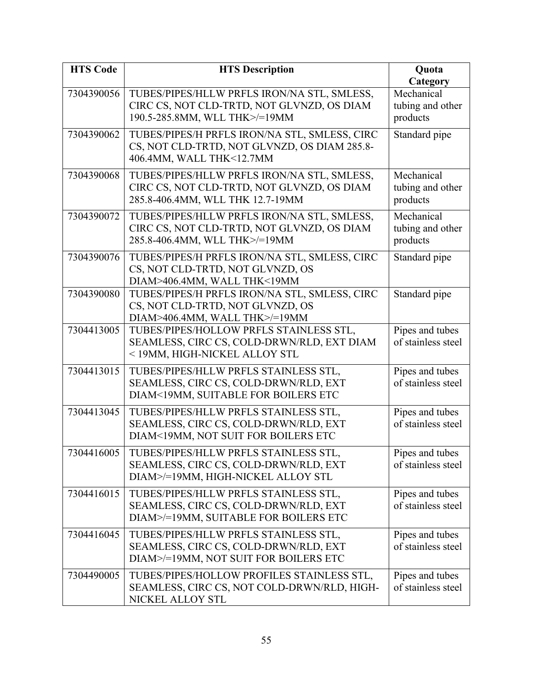| <b>HTS Code</b> | <b>HTS Description</b>                             | Quota              |
|-----------------|----------------------------------------------------|--------------------|
|                 |                                                    | Category           |
| 7304390056      | TUBES/PIPES/HLLW PRFLS IRON/NA STL, SMLESS,        | Mechanical         |
|                 | CIRC CS, NOT CLD-TRTD, NOT GLVNZD, OS DIAM         | tubing and other   |
|                 | 190.5-285.8MM, WLL THK>/=19MM                      | products           |
| 7304390062      | TUBES/PIPES/H PRFLS IRON/NA STL, SMLESS, CIRC      | Standard pipe      |
|                 | CS, NOT CLD-TRTD, NOT GLVNZD, OS DIAM 285.8-       |                    |
|                 | 406.4MM, WALL THK<12.7MM                           |                    |
| 7304390068      | TUBES/PIPES/HLLW PRFLS IRON/NA STL, SMLESS,        | Mechanical         |
|                 | CIRC CS, NOT CLD-TRTD, NOT GLVNZD, OS DIAM         | tubing and other   |
|                 | 285.8-406.4MM, WLL THK 12.7-19MM                   | products           |
| 7304390072      | TUBES/PIPES/HLLW PRFLS IRON/NA STL, SMLESS,        | Mechanical         |
|                 | CIRC CS, NOT CLD-TRTD, NOT GLVNZD, OS DIAM         | tubing and other   |
|                 | 285.8-406.4MM, WLL THK>/=19MM                      | products           |
| 7304390076      | TUBES/PIPES/H PRFLS IRON/NA STL, SMLESS, CIRC      | Standard pipe      |
|                 | CS, NOT CLD-TRTD, NOT GLVNZD, OS                   |                    |
|                 | DIAM>406.4MM, WALL THK<19MM                        |                    |
| 7304390080      | TUBES/PIPES/H PRFLS IRON/NA STL, SMLESS, CIRC      | Standard pipe      |
|                 | CS, NOT CLD-TRTD, NOT GLVNZD, OS                   |                    |
|                 | DIAM>406.4MM, WALL THK>/=19MM                      |                    |
| 7304413005      | TUBES/PIPES/HOLLOW PRFLS STAINLESS STL,            | Pipes and tubes    |
|                 | SEAMLESS, CIRC CS, COLD-DRWN/RLD, EXT DIAM         | of stainless steel |
|                 | <19MM, HIGH-NICKEL ALLOY STL                       |                    |
| 7304413015      | TUBES/PIPES/HLLW PRFLS STAINLESS STL,              | Pipes and tubes    |
|                 | SEAMLESS, CIRC CS, COLD-DRWN/RLD, EXT              | of stainless steel |
|                 | DIAM<19MM, SUITABLE FOR BOILERS ETC                |                    |
| 7304413045      | TUBES/PIPES/HLLW PRFLS STAINLESS STL,              | Pipes and tubes    |
|                 | SEAMLESS, CIRC CS, COLD-DRWN/RLD, EXT              | of stainless steel |
|                 | DIAM<19MM, NOT SUIT FOR BOILERS ETC                |                    |
|                 | 7304416005   TUBES/PIPES/HLLW PRFLS STAINLESS STL, | Pipes and tubes    |
|                 | SEAMLESS, CIRC CS, COLD-DRWN/RLD, EXT              | of stainless steel |
|                 | DIAM>/=19MM, HIGH-NICKEL ALLOY STL                 |                    |
| 7304416015      | TUBES/PIPES/HLLW PRFLS STAINLESS STL,              | Pipes and tubes    |
|                 | SEAMLESS, CIRC CS, COLD-DRWN/RLD, EXT              | of stainless steel |
|                 | DIAM>/=19MM, SUITABLE FOR BOILERS ETC              |                    |
| 7304416045      | TUBES/PIPES/HLLW PRFLS STAINLESS STL,              | Pipes and tubes    |
|                 | SEAMLESS, CIRC CS, COLD-DRWN/RLD, EXT              | of stainless steel |
|                 | DIAM>/=19MM, NOT SUIT FOR BOILERS ETC              |                    |
| 7304490005      | TUBES/PIPES/HOLLOW PROFILES STAINLESS STL,         | Pipes and tubes    |
|                 | SEAMLESS, CIRC CS, NOT COLD-DRWN/RLD, HIGH-        | of stainless steel |
|                 | NICKEL ALLOY STL                                   |                    |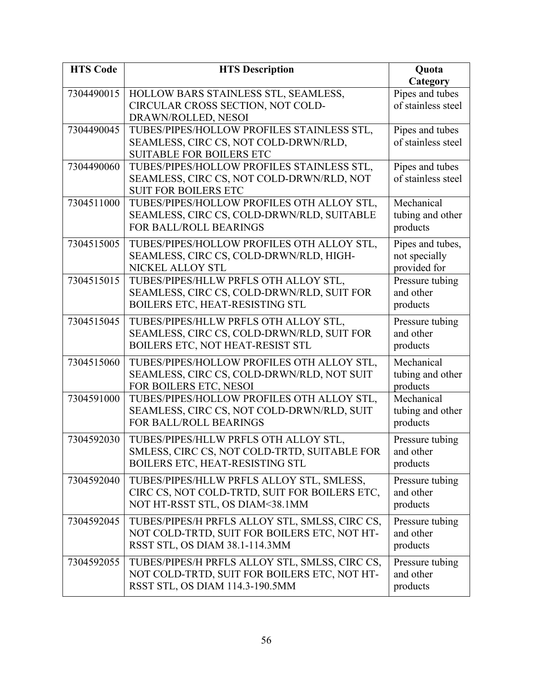| <b>HTS Code</b> | <b>HTS Description</b>                                                                   | Quota                                 |
|-----------------|------------------------------------------------------------------------------------------|---------------------------------------|
|                 |                                                                                          | Category                              |
| 7304490015      | HOLLOW BARS STAINLESS STL, SEAMLESS,<br>CIRCULAR CROSS SECTION, NOT COLD-                | Pipes and tubes<br>of stainless steel |
|                 | DRAWN/ROLLED, NESOI                                                                      |                                       |
| 7304490045      | TUBES/PIPES/HOLLOW PROFILES STAINLESS STL,                                               | Pipes and tubes                       |
|                 | SEAMLESS, CIRC CS, NOT COLD-DRWN/RLD,                                                    | of stainless steel                    |
|                 | <b>SUITABLE FOR BOILERS ETC</b>                                                          |                                       |
| 7304490060      | TUBES/PIPES/HOLLOW PROFILES STAINLESS STL,                                               | Pipes and tubes                       |
|                 | SEAMLESS, CIRC CS, NOT COLD-DRWN/RLD, NOT                                                | of stainless steel                    |
|                 | <b>SUIT FOR BOILERS ETC</b>                                                              |                                       |
| 7304511000      | TUBES/PIPES/HOLLOW PROFILES OTH ALLOY STL,                                               | Mechanical                            |
|                 | SEAMLESS, CIRC CS, COLD-DRWN/RLD, SUITABLE                                               | tubing and other                      |
|                 | <b>FOR BALL/ROLL BEARINGS</b>                                                            | products                              |
| 7304515005      | TUBES/PIPES/HOLLOW PROFILES OTH ALLOY STL,                                               | Pipes and tubes,                      |
|                 | SEAMLESS, CIRC CS, COLD-DRWN/RLD, HIGH-                                                  | not specially                         |
|                 | NICKEL ALLOY STL                                                                         | provided for                          |
| 7304515015      | TUBES/PIPES/HLLW PRFLS OTH ALLOY STL,                                                    | Pressure tubing                       |
|                 | SEAMLESS, CIRC CS, COLD-DRWN/RLD, SUIT FOR<br>BOILERS ETC, HEAT-RESISTING STL            | and other                             |
|                 |                                                                                          | products                              |
| 7304515045      | TUBES/PIPES/HLLW PRFLS OTH ALLOY STL,                                                    | Pressure tubing                       |
|                 | SEAMLESS, CIRC CS, COLD-DRWN/RLD, SUIT FOR                                               | and other                             |
|                 | BOILERS ETC, NOT HEAT-RESIST STL                                                         | products                              |
| 7304515060      | TUBES/PIPES/HOLLOW PROFILES OTH ALLOY STL,                                               | Mechanical                            |
|                 | SEAMLESS, CIRC CS, COLD-DRWN/RLD, NOT SUIT                                               | tubing and other                      |
| 7304591000      | FOR BOILERS ETC, NESOI                                                                   | products<br>Mechanical                |
|                 | TUBES/PIPES/HOLLOW PROFILES OTH ALLOY STL,<br>SEAMLESS, CIRC CS, NOT COLD-DRWN/RLD, SUIT | tubing and other                      |
|                 | FOR BALL/ROLL BEARINGS                                                                   | products                              |
|                 |                                                                                          |                                       |
| 7304592030      | TUBES/PIPES/HLLW PRFLS OTH ALLOY STL,                                                    | Pressure tubing                       |
|                 | SMLESS, CIRC CS, NOT COLD-TRTD, SUITABLE FOR<br><b>BOILERS ETC, HEAT-RESISTING STL</b>   | and other<br>products                 |
|                 |                                                                                          |                                       |
| 7304592040      | TUBES/PIPES/HLLW PRFLS ALLOY STL, SMLESS,                                                | Pressure tubing                       |
|                 | CIRC CS, NOT COLD-TRTD, SUIT FOR BOILERS ETC,<br>NOT HT-RSST STL, OS DIAM<38.1MM         | and other<br>products                 |
|                 |                                                                                          |                                       |
| 7304592045      | TUBES/PIPES/H PRFLS ALLOY STL, SMLSS, CIRC CS,                                           | Pressure tubing                       |
|                 | NOT COLD-TRTD, SUIT FOR BOILERS ETC, NOT HT-<br>RSST STL, OS DIAM 38.1-114.3MM           | and other                             |
|                 |                                                                                          | products                              |
| 7304592055      | TUBES/PIPES/H PRFLS ALLOY STL, SMLSS, CIRC CS,                                           | Pressure tubing                       |
|                 | NOT COLD-TRTD, SUIT FOR BOILERS ETC, NOT HT-                                             | and other                             |
|                 | RSST STL, OS DIAM 114.3-190.5MM                                                          | products                              |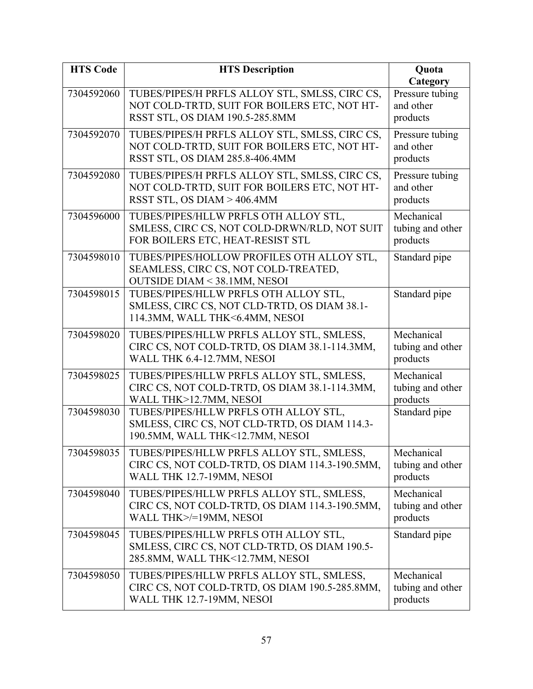| <b>HTS Code</b> | <b>HTS Description</b>                                                                                                            | <b>Quota</b><br>Category                   |
|-----------------|-----------------------------------------------------------------------------------------------------------------------------------|--------------------------------------------|
| 7304592060      | TUBES/PIPES/H PRFLS ALLOY STL, SMLSS, CIRC CS,<br>NOT COLD-TRTD, SUIT FOR BOILERS ETC, NOT HT-<br>RSST STL, OS DIAM 190.5-285.8MM | Pressure tubing<br>and other<br>products   |
| 7304592070      | TUBES/PIPES/H PRFLS ALLOY STL, SMLSS, CIRC CS,<br>NOT COLD-TRTD, SUIT FOR BOILERS ETC, NOT HT-<br>RSST STL, OS DIAM 285.8-406.4MM | Pressure tubing<br>and other<br>products   |
| 7304592080      | TUBES/PIPES/H PRFLS ALLOY STL, SMLSS, CIRC CS,<br>NOT COLD-TRTD, SUIT FOR BOILERS ETC, NOT HT-<br>RSST STL, OS DIAM > 406.4MM     | Pressure tubing<br>and other<br>products   |
| 7304596000      | TUBES/PIPES/HLLW PRFLS OTH ALLOY STL,<br>SMLESS, CIRC CS, NOT COLD-DRWN/RLD, NOT SUIT<br>FOR BOILERS ETC, HEAT-RESIST STL         | Mechanical<br>tubing and other<br>products |
| 7304598010      | TUBES/PIPES/HOLLOW PROFILES OTH ALLOY STL,<br>SEAMLESS, CIRC CS, NOT COLD-TREATED,<br><b>OUTSIDE DIAM &lt; 38.1MM, NESOI</b>      | Standard pipe                              |
| 7304598015      | TUBES/PIPES/HLLW PRFLS OTH ALLOY STL,<br>SMLESS, CIRC CS, NOT CLD-TRTD, OS DIAM 38.1-<br>114.3MM, WALL THK<6.4MM, NESOI           | Standard pipe                              |
| 7304598020      | TUBES/PIPES/HLLW PRFLS ALLOY STL, SMLESS,<br>CIRC CS, NOT COLD-TRTD, OS DIAM 38.1-114.3MM,<br>WALL THK 6.4-12.7MM, NESOI          | Mechanical<br>tubing and other<br>products |
| 7304598025      | TUBES/PIPES/HLLW PRFLS ALLOY STL, SMLESS,<br>CIRC CS, NOT COLD-TRTD, OS DIAM 38.1-114.3MM,<br>WALL THK>12.7MM, NESOI              | Mechanical<br>tubing and other<br>products |
| 7304598030      | TUBES/PIPES/HLLW PRFLS OTH ALLOY STL,<br>SMLESS, CIRC CS, NOT CLD-TRTD, OS DIAM 114.3-<br>190.5MM, WALL THK<12.7MM, NESOI         | Standard pipe                              |
| 7304598035      | TUBES/PIPES/HLLW PRFLS ALLOY STL, SMLESS,<br>CIRC CS, NOT COLD-TRTD, OS DIAM 114.3-190.5MM,<br>WALL THK 12.7-19MM, NESOI          | Mechanical<br>tubing and other<br>products |
| 7304598040      | TUBES/PIPES/HLLW PRFLS ALLOY STL, SMLESS,<br>CIRC CS, NOT COLD-TRTD, OS DIAM 114.3-190.5MM,<br>WALL THK>/=19MM, NESOI             | Mechanical<br>tubing and other<br>products |
| 7304598045      | TUBES/PIPES/HLLW PRFLS OTH ALLOY STL,<br>SMLESS, CIRC CS, NOT CLD-TRTD, OS DIAM 190.5-<br>285.8MM, WALL THK<12.7MM, NESOI         | Standard pipe                              |
| 7304598050      | TUBES/PIPES/HLLW PRFLS ALLOY STL, SMLESS,<br>CIRC CS, NOT COLD-TRTD, OS DIAM 190.5-285.8MM,<br>WALL THK 12.7-19MM, NESOI          | Mechanical<br>tubing and other<br>products |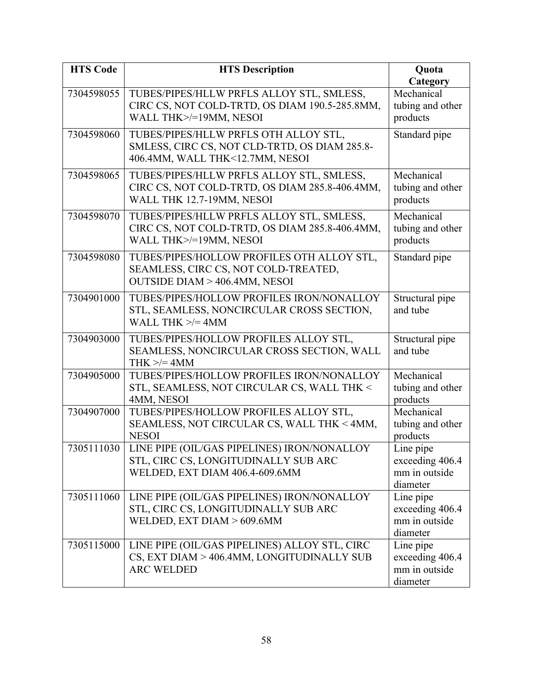| <b>HTS Code</b> | <b>HTS Description</b>                                                                                                        | <b>Quota</b><br>Category                                  |
|-----------------|-------------------------------------------------------------------------------------------------------------------------------|-----------------------------------------------------------|
| 7304598055      | TUBES/PIPES/HLLW PRFLS ALLOY STL, SMLESS,<br>CIRC CS, NOT COLD-TRTD, OS DIAM 190.5-285.8MM,<br>WALL THK>/=19MM, NESOI         | Mechanical<br>tubing and other<br>products                |
| 7304598060      | TUBES/PIPES/HLLW PRFLS OTH ALLOY STL,<br>SMLESS, CIRC CS, NOT CLD-TRTD, OS DIAM 285.8-<br>406.4MM, WALL THK<12.7MM, NESOI     | Standard pipe                                             |
| 7304598065      | TUBES/PIPES/HLLW PRFLS ALLOY STL, SMLESS,<br>CIRC CS, NOT COLD-TRTD, OS DIAM 285.8-406.4MM,<br>WALL THK 12.7-19MM, NESOI      | Mechanical<br>tubing and other<br>products                |
| 7304598070      | TUBES/PIPES/HLLW PRFLS ALLOY STL, SMLESS,<br>CIRC CS, NOT COLD-TRTD, OS DIAM 285.8-406.4MM,<br>WALL THK>/=19MM, NESOI         | Mechanical<br>tubing and other<br>products                |
| 7304598080      | TUBES/PIPES/HOLLOW PROFILES OTH ALLOY STL,<br>SEAMLESS, CIRC CS, NOT COLD-TREATED,<br><b>OUTSIDE DIAM &gt; 406.4MM, NESOI</b> | Standard pipe                                             |
| 7304901000      | TUBES/PIPES/HOLLOW PROFILES IRON/NONALLOY<br>STL, SEAMLESS, NONCIRCULAR CROSS SECTION,<br>WALL THK $\ge$ /= 4MM               | Structural pipe<br>and tube                               |
| 7304903000      | TUBES/PIPES/HOLLOW PROFILES ALLOY STL,<br>SEAMLESS, NONCIRCULAR CROSS SECTION, WALL<br>THK $\ge$ /= 4MM                       | Structural pipe<br>and tube                               |
| 7304905000      | TUBES/PIPES/HOLLOW PROFILES IRON/NONALLOY<br>STL, SEAMLESS, NOT CIRCULAR CS, WALL THK <<br>4MM, NESOI                         | Mechanical<br>tubing and other<br>products                |
| 7304907000      | TUBES/PIPES/HOLLOW PROFILES ALLOY STL,<br>SEAMLESS, NOT CIRCULAR CS, WALL THK < 4MM,<br><b>NESOI</b>                          | Mechanical<br>tubing and other<br>products                |
| 7305111030      | LINE PIPE (OIL/GAS PIPELINES) IRON/NONALLOY<br>STL, CIRC CS, LONGITUDINALLY SUB ARC<br>WELDED, EXT DIAM 406.4-609.6MM         | Line pipe<br>exceeding 406.4<br>mm in outside<br>diameter |
| 7305111060      | LINE PIPE (OIL/GAS PIPELINES) IRON/NONALLOY<br>STL, CIRC CS, LONGITUDINALLY SUB ARC<br>WELDED, EXT DIAM > 609.6MM             | Line pipe<br>exceeding 406.4<br>mm in outside<br>diameter |
| 7305115000      | LINE PIPE (OIL/GAS PIPELINES) ALLOY STL, CIRC<br>CS, EXT DIAM > 406.4MM, LONGITUDINALLY SUB<br><b>ARC WELDED</b>              | Line pipe<br>exceeding 406.4<br>mm in outside<br>diameter |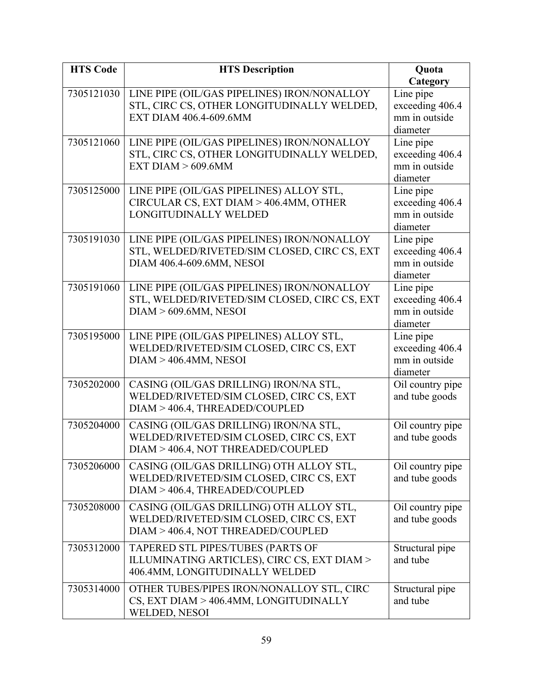| <b>HTS Code</b> | <b>HTS Description</b>                                                    | Quota                              |
|-----------------|---------------------------------------------------------------------------|------------------------------------|
|                 |                                                                           | Category                           |
| 7305121030      | LINE PIPE (OIL/GAS PIPELINES) IRON/NONALLOY                               | Line pipe                          |
|                 | STL, CIRC CS, OTHER LONGITUDINALLY WELDED,                                | exceeding 406.4                    |
|                 | EXT DIAM 406.4-609.6MM                                                    | mm in outside                      |
|                 |                                                                           | diameter                           |
| 7305121060      | LINE PIPE (OIL/GAS PIPELINES) IRON/NONALLOY                               | Line pipe                          |
|                 | STL, CIRC CS, OTHER LONGITUDINALLY WELDED,                                | exceeding 406.4                    |
|                 | EXT DIAM $> 609.6$ MM                                                     | mm in outside<br>diameter          |
| 7305125000      | LINE PIPE (OIL/GAS PIPELINES) ALLOY STL,                                  | Line pipe                          |
|                 | CIRCULAR CS, EXT DIAM > 406.4MM, OTHER                                    | exceeding 406.4                    |
|                 | LONGITUDINALLY WELDED                                                     | mm in outside                      |
|                 |                                                                           | diameter                           |
| 7305191030      | LINE PIPE (OIL/GAS PIPELINES) IRON/NONALLOY                               | Line pipe                          |
|                 | STL, WELDED/RIVETED/SIM CLOSED, CIRC CS, EXT                              | exceeding 406.4                    |
|                 | DIAM 406.4-609.6MM, NESOI                                                 | mm in outside                      |
|                 |                                                                           | diameter                           |
| 7305191060      | LINE PIPE (OIL/GAS PIPELINES) IRON/NONALLOY                               | Line pipe                          |
|                 | STL, WELDED/RIVETED/SIM CLOSED, CIRC CS, EXT                              | exceeding 406.4                    |
|                 | DIAM > 609.6MM, NESOI                                                     | mm in outside                      |
|                 |                                                                           | diameter                           |
| 7305195000      | LINE PIPE (OIL/GAS PIPELINES) ALLOY STL,                                  | Line pipe                          |
|                 | WELDED/RIVETED/SIM CLOSED, CIRC CS, EXT                                   | exceeding 406.4                    |
|                 | DIAM > 406.4MM, NESOI                                                     | mm in outside<br>diameter          |
| 7305202000      | CASING (OIL/GAS DRILLING) IRON/NA STL,                                    | Oil country pipe                   |
|                 | WELDED/RIVETED/SIM CLOSED, CIRC CS, EXT                                   | and tube goods                     |
|                 | DIAM > 406.4, THREADED/COUPLED                                            |                                    |
| 7305204000      | CASING (OIL/GAS DRILLING) IRON/NA STL,                                    |                                    |
|                 | WELDED/RIVETED/SIM CLOSED, CIRC CS, EXT                                   | Oil country pipe<br>and tube goods |
|                 | DIAM > 406.4, NOT THREADED/COUPLED                                        |                                    |
|                 |                                                                           |                                    |
| 7305206000      | CASING (OIL/GAS DRILLING) OTH ALLOY STL,                                  | Oil country pipe                   |
|                 | WELDED/RIVETED/SIM CLOSED, CIRC CS, EXT<br>DIAM > 406.4, THREADED/COUPLED | and tube goods                     |
|                 |                                                                           |                                    |
| 7305208000      | CASING (OIL/GAS DRILLING) OTH ALLOY STL,                                  | Oil country pipe                   |
|                 | WELDED/RIVETED/SIM CLOSED, CIRC CS, EXT                                   | and tube goods                     |
|                 | DIAM > 406.4, NOT THREADED/COUPLED                                        |                                    |
| 7305312000      | TAPERED STL PIPES/TUBES (PARTS OF                                         | Structural pipe                    |
|                 | ILLUMINATING ARTICLES), CIRC CS, EXT DIAM >                               | and tube                           |
|                 | 406.4MM, LONGITUDINALLY WELDED                                            |                                    |
| 7305314000      | OTHER TUBES/PIPES IRON/NONALLOY STL, CIRC                                 | Structural pipe                    |
|                 | CS, EXT DIAM > 406.4MM, LONGITUDINALLY                                    | and tube                           |
|                 | WELDED, NESOI                                                             |                                    |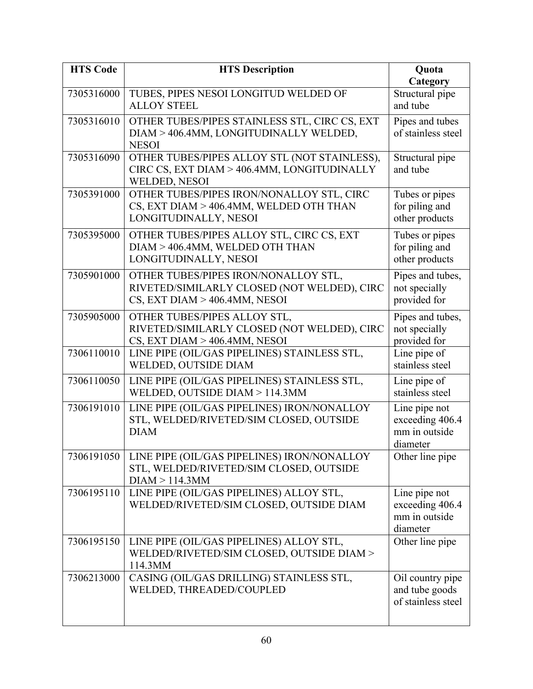| <b>HTS Code</b> | <b>HTS Description</b>                                                                                               | Quota                                                         |
|-----------------|----------------------------------------------------------------------------------------------------------------------|---------------------------------------------------------------|
| 7305316000      | TUBES, PIPES NESOI LONGITUD WELDED OF<br><b>ALLOY STEEL</b>                                                          | Category<br>Structural pipe<br>and tube                       |
| 7305316010      | OTHER TUBES/PIPES STAINLESS STL, CIRC CS, EXT<br>DIAM > 406.4MM, LONGITUDINALLY WELDED,<br><b>NESOI</b>              | Pipes and tubes<br>of stainless steel                         |
| 7305316090      | OTHER TUBES/PIPES ALLOY STL (NOT STAINLESS),<br>CIRC CS, EXT DIAM > 406.4MM, LONGITUDINALLY<br>WELDED, NESOI         | Structural pipe<br>and tube                                   |
| 7305391000      | OTHER TUBES/PIPES IRON/NONALLOY STL, CIRC<br>CS, EXT DIAM > 406.4MM, WELDED OTH THAN<br>LONGITUDINALLY, NESOI        | Tubes or pipes<br>for piling and<br>other products            |
| 7305395000      | OTHER TUBES/PIPES ALLOY STL, CIRC CS, EXT<br>DIAM > 406.4MM, WELDED OTH THAN<br>LONGITUDINALLY, NESOI                | Tubes or pipes<br>for piling and<br>other products            |
| 7305901000      | OTHER TUBES/PIPES IRON/NONALLOY STL,<br>RIVETED/SIMILARLY CLOSED (NOT WELDED), CIRC<br>CS, EXT DIAM > 406.4MM, NESOI | Pipes and tubes,<br>not specially<br>provided for             |
| 7305905000      | OTHER TUBES/PIPES ALLOY STL,<br>RIVETED/SIMILARLY CLOSED (NOT WELDED), CIRC<br>CS, EXT DIAM > 406.4MM, NESOI         | Pipes and tubes,<br>not specially<br>provided for             |
| 7306110010      | LINE PIPE (OIL/GAS PIPELINES) STAINLESS STL,<br>WELDED, OUTSIDE DIAM                                                 | Line pipe of<br>stainless steel                               |
| 7306110050      | LINE PIPE (OIL/GAS PIPELINES) STAINLESS STL,<br>WELDED, OUTSIDE DIAM > 114.3MM                                       | Line pipe of<br>stainless steel                               |
| 7306191010      | LINE PIPE (OIL/GAS PIPELINES) IRON/NONALLOY<br>STL, WELDED/RIVETED/SIM CLOSED, OUTSIDE<br><b>DIAM</b>                | Line pipe not<br>exceeding 406.4<br>mm in outside<br>diameter |
| 7306191050      | LINE PIPE (OIL/GAS PIPELINES) IRON/NONALLOY<br>STL, WELDED/RIVETED/SIM CLOSED, OUTSIDE<br>DIAM > 114.3MM             | Other line pipe                                               |
| 7306195110      | LINE PIPE (OIL/GAS PIPELINES) ALLOY STL,<br>WELDED/RIVETED/SIM CLOSED, OUTSIDE DIAM                                  | Line pipe not<br>exceeding 406.4<br>mm in outside<br>diameter |
| 7306195150      | LINE PIPE (OIL/GAS PIPELINES) ALLOY STL,<br>WELDED/RIVETED/SIM CLOSED, OUTSIDE DIAM ><br>114.3MM                     | Other line pipe                                               |
| 7306213000      | CASING (OIL/GAS DRILLING) STAINLESS STL,<br>WELDED, THREADED/COUPLED                                                 | Oil country pipe<br>and tube goods<br>of stainless steel      |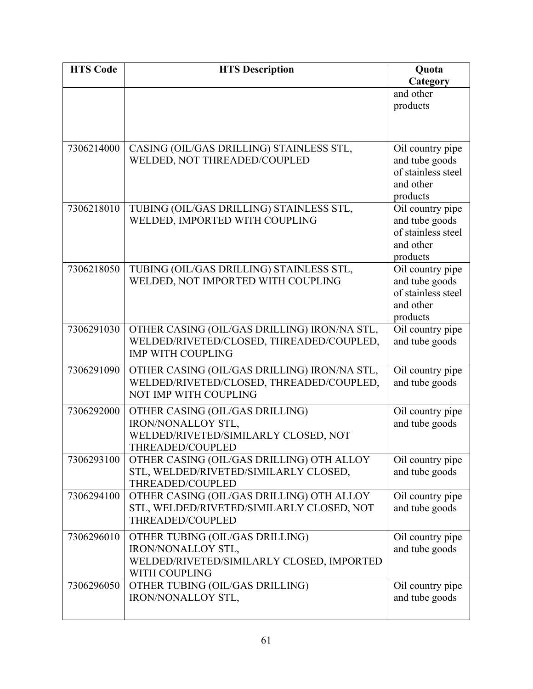| <b>HTS Code</b> | <b>HTS Description</b>                                                                                               | Quota                                                                             |
|-----------------|----------------------------------------------------------------------------------------------------------------------|-----------------------------------------------------------------------------------|
|                 |                                                                                                                      | Category                                                                          |
|                 |                                                                                                                      | and other                                                                         |
|                 |                                                                                                                      | products                                                                          |
|                 |                                                                                                                      |                                                                                   |
| 7306214000      | CASING (OIL/GAS DRILLING) STAINLESS STL,<br>WELDED, NOT THREADED/COUPLED                                             | Oil country pipe<br>and tube goods<br>of stainless steel<br>and other<br>products |
| 7306218010      | TUBING (OIL/GAS DRILLING) STAINLESS STL,<br>WELDED, IMPORTED WITH COUPLING                                           | Oil country pipe<br>and tube goods<br>of stainless steel<br>and other<br>products |
| 7306218050      | TUBING (OIL/GAS DRILLING) STAINLESS STL,<br>WELDED, NOT IMPORTED WITH COUPLING                                       | Oil country pipe<br>and tube goods<br>of stainless steel<br>and other<br>products |
| 7306291030      | OTHER CASING (OIL/GAS DRILLING) IRON/NA STL,<br>WELDED/RIVETED/CLOSED, THREADED/COUPLED,<br><b>IMP WITH COUPLING</b> | Oil country pipe<br>and tube goods                                                |
| 7306291090      | OTHER CASING (OIL/GAS DRILLING) IRON/NA STL,<br>WELDED/RIVETED/CLOSED, THREADED/COUPLED,<br>NOT IMP WITH COUPLING    | Oil country pipe<br>and tube goods                                                |
| 7306292000      | OTHER CASING (OIL/GAS DRILLING)<br>IRON/NONALLOY STL,<br>WELDED/RIVETED/SIMILARLY CLOSED, NOT<br>THREADED/COUPLED    | Oil country pipe<br>and tube goods                                                |
| 7306293100      | OTHER CASING (OIL/GAS DRILLING) OTH ALLOY<br>STL, WELDED/RIVETED/SIMILARLY CLOSED,<br>THREADED/COUPLED               | Oil country pipe<br>and tube goods                                                |
| 7306294100      | OTHER CASING (OIL/GAS DRILLING) OTH ALLOY<br>STL, WELDED/RIVETED/SIMILARLY CLOSED, NOT<br>THREADED/COUPLED           | Oil country pipe<br>and tube goods                                                |
| 7306296010      | OTHER TUBING (OIL/GAS DRILLING)<br>IRON/NONALLOY STL,<br>WELDED/RIVETED/SIMILARLY CLOSED, IMPORTED<br>WITH COUPLING  | Oil country pipe<br>and tube goods                                                |
| 7306296050      | OTHER TUBING (OIL/GAS DRILLING)<br>IRON/NONALLOY STL,                                                                | Oil country pipe<br>and tube goods                                                |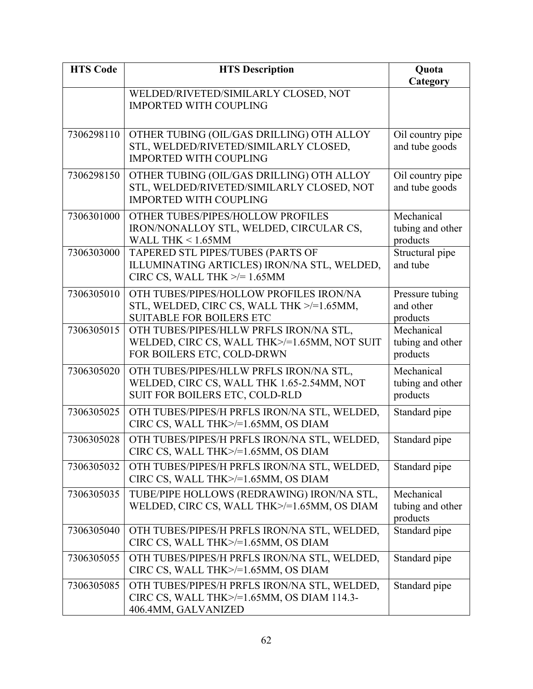| <b>HTS Code</b> | <b>HTS Description</b>                                                                                                  | Quota<br>Category                          |
|-----------------|-------------------------------------------------------------------------------------------------------------------------|--------------------------------------------|
|                 | WELDED/RIVETED/SIMILARLY CLOSED, NOT<br><b>IMPORTED WITH COUPLING</b>                                                   |                                            |
| 7306298110      | OTHER TUBING (OIL/GAS DRILLING) OTH ALLOY<br>STL, WELDED/RIVETED/SIMILARLY CLOSED,<br><b>IMPORTED WITH COUPLING</b>     | Oil country pipe<br>and tube goods         |
| 7306298150      | OTHER TUBING (OIL/GAS DRILLING) OTH ALLOY<br>STL, WELDED/RIVETED/SIMILARLY CLOSED, NOT<br><b>IMPORTED WITH COUPLING</b> | Oil country pipe<br>and tube goods         |
| 7306301000      | OTHER TUBES/PIPES/HOLLOW PROFILES<br>IRON/NONALLOY STL, WELDED, CIRCULAR CS,<br>WALL THK $< 1.65$ MM                    | Mechanical<br>tubing and other<br>products |
| 7306303000      | TAPERED STL PIPES/TUBES (PARTS OF<br>ILLUMINATING ARTICLES) IRON/NA STL, WELDED,<br>CIRC CS, WALL THK $\ge$ /= 1.65MM   | Structural pipe<br>and tube                |
| 7306305010      | OTH TUBES/PIPES/HOLLOW PROFILES IRON/NA<br>STL, WELDED, CIRC CS, WALL THK >/=1.65MM,<br><b>SUITABLE FOR BOILERS ETC</b> | Pressure tubing<br>and other<br>products   |
| 7306305015      | OTH TUBES/PIPES/HLLW PRFLS IRON/NA STL,<br>WELDED, CIRC CS, WALL THK>/=1.65MM, NOT SUIT<br>FOR BOILERS ETC, COLD-DRWN   | Mechanical<br>tubing and other<br>products |
| 7306305020      | OTH TUBES/PIPES/HLLW PRFLS IRON/NA STL,<br>WELDED, CIRC CS, WALL THK 1.65-2.54MM, NOT<br>SUIT FOR BOILERS ETC, COLD-RLD | Mechanical<br>tubing and other<br>products |
| 7306305025      | OTH TUBES/PIPES/H PRFLS IRON/NA STL, WELDED,<br>CIRC CS, WALL THK>/=1.65MM, OS DIAM                                     | Standard pipe                              |
| 7306305028      | OTH TUBES/PIPES/H PRFLS IRON/NA STL, WELDED,<br>CIRC CS, WALL THK>/=1.65MM, OS DIAM                                     | Standard pipe                              |
| 7306305032      | OTH TUBES/PIPES/H PRFLS IRON/NA STL, WELDED,<br>CIRC CS, WALL THK>/=1.65MM, OS DIAM                                     | Standard pipe                              |
| 7306305035      | TUBE/PIPE HOLLOWS (REDRAWING) IRON/NA STL,<br>WELDED, CIRC CS, WALL THK>/=1.65MM, OS DIAM                               | Mechanical<br>tubing and other<br>products |
| 7306305040      | OTH TUBES/PIPES/H PRFLS IRON/NA STL, WELDED,<br>CIRC CS, WALL THK>/=1.65MM, OS DIAM                                     | Standard pipe                              |
| 7306305055      | OTH TUBES/PIPES/H PRFLS IRON/NA STL, WELDED,<br>CIRC CS, WALL THK>/=1.65MM, OS DIAM                                     | Standard pipe                              |
| 7306305085      | OTH TUBES/PIPES/H PRFLS IRON/NA STL, WELDED,<br>CIRC CS, WALL THK>/=1.65MM, OS DIAM 114.3-<br>406.4MM, GALVANIZED       | Standard pipe                              |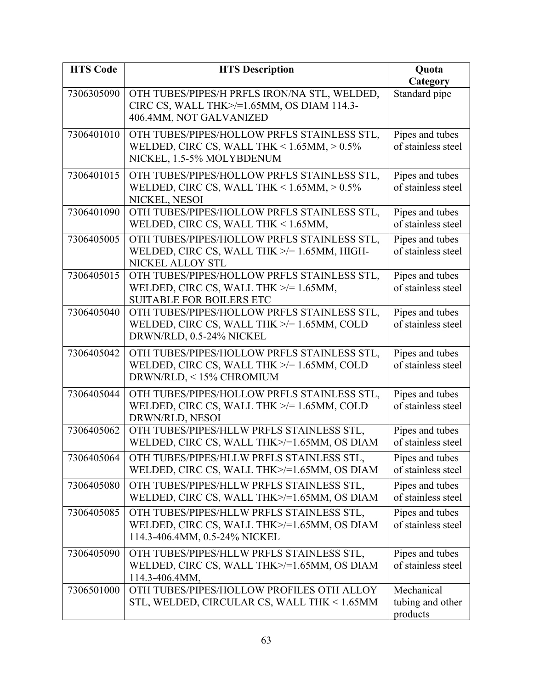| <b>HTS Code</b> | <b>HTS Description</b>                                                                         | Quota                                 |
|-----------------|------------------------------------------------------------------------------------------------|---------------------------------------|
|                 |                                                                                                | Category                              |
| 7306305090      | OTH TUBES/PIPES/H PRFLS IRON/NA STL, WELDED,<br>CIRC CS, WALL THK>/=1.65MM, OS DIAM 114.3-     | Standard pipe                         |
|                 | 406.4MM, NOT GALVANIZED                                                                        |                                       |
| 7306401010      | OTH TUBES/PIPES/HOLLOW PRFLS STAINLESS STL,                                                    | Pipes and tubes                       |
|                 | WELDED, CIRC CS, WALL THK < $1.65$ MM, $> 0.5\%$<br>NICKEL, 1.5-5% MOLYBDENUM                  | of stainless steel                    |
| 7306401015      | OTH TUBES/PIPES/HOLLOW PRFLS STAINLESS STL,                                                    | Pipes and tubes                       |
|                 | WELDED, CIRC CS, WALL THK < $1.65$ MM, $> 0.5\%$<br>NICKEL, NESOI                              | of stainless steel                    |
| 7306401090      | OTH TUBES/PIPES/HOLLOW PRFLS STAINLESS STL,                                                    | Pipes and tubes                       |
|                 | WELDED, CIRC CS, WALL THK < 1.65MM,                                                            | of stainless steel                    |
| 7306405005      | OTH TUBES/PIPES/HOLLOW PRFLS STAINLESS STL,                                                    | Pipes and tubes                       |
|                 | WELDED, CIRC CS, WALL THK >/= 1.65MM, HIGH-<br>NICKEL ALLOY STL                                | of stainless steel                    |
| 7306405015      | OTH TUBES/PIPES/HOLLOW PRFLS STAINLESS STL,                                                    | Pipes and tubes                       |
|                 | WELDED, CIRC CS, WALL THK $\ge$ /= 1.65MM,                                                     | of stainless steel                    |
|                 | <b>SUITABLE FOR BOILERS ETC</b>                                                                |                                       |
| 7306405040      | OTH TUBES/PIPES/HOLLOW PRFLS STAINLESS STL,                                                    | Pipes and tubes                       |
|                 | WELDED, CIRC CS, WALL THK >/= 1.65MM, COLD                                                     | of stainless steel                    |
|                 | DRWN/RLD, 0.5-24% NICKEL                                                                       |                                       |
| 7306405042      | OTH TUBES/PIPES/HOLLOW PRFLS STAINLESS STL,                                                    | Pipes and tubes                       |
|                 | WELDED, CIRC CS, WALL THK >/= 1.65MM, COLD<br>DRWN/RLD, <15% CHROMIUM                          | of stainless steel                    |
| 7306405044      |                                                                                                |                                       |
|                 | OTH TUBES/PIPES/HOLLOW PRFLS STAINLESS STL,<br>WELDED, CIRC CS, WALL THK $\ge$ /= 1.65MM, COLD | Pipes and tubes<br>of stainless steel |
|                 | DRWN/RLD, NESOI                                                                                |                                       |
| 7306405062      | OTH TUBES/PIPES/HLLW PRFLS STAINLESS STL,                                                      | Pipes and tubes                       |
|                 | WELDED, CIRC CS, WALL THK>/=1.65MM, OS DIAM                                                    | of stainless steel                    |
| 7306405064      | OTH TUBES/PIPES/HLLW PRFLS STAINLESS STL,                                                      | Pipes and tubes                       |
|                 | WELDED, CIRC CS, WALL THK>/=1.65MM, OS DIAM                                                    | of stainless steel                    |
| 7306405080      | OTH TUBES/PIPES/HLLW PRFLS STAINLESS STL,                                                      | Pipes and tubes                       |
|                 | WELDED, CIRC CS, WALL THK>/=1.65MM, OS DIAM                                                    | of stainless steel                    |
| 7306405085      | OTH TUBES/PIPES/HLLW PRFLS STAINLESS STL,                                                      | Pipes and tubes                       |
|                 | WELDED, CIRC CS, WALL THK>/=1.65MM, OS DIAM<br>114.3-406.4MM, 0.5-24% NICKEL                   | of stainless steel                    |
|                 |                                                                                                |                                       |
| 7306405090      | OTH TUBES/PIPES/HLLW PRFLS STAINLESS STL,<br>WELDED, CIRC CS, WALL THK>/=1.65MM, OS DIAM       | Pipes and tubes<br>of stainless steel |
|                 | 114.3-406.4MM,                                                                                 |                                       |
| 7306501000      | OTH TUBES/PIPES/HOLLOW PROFILES OTH ALLOY                                                      | Mechanical                            |
|                 | STL, WELDED, CIRCULAR CS, WALL THK < 1.65MM                                                    | tubing and other                      |
|                 |                                                                                                | products                              |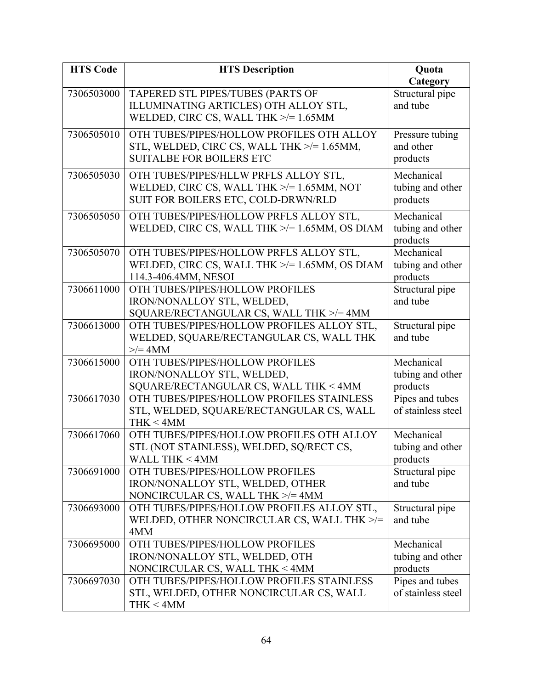| <b>HTS Code</b> | <b>HTS Description</b>                                                                | Quota                       |
|-----------------|---------------------------------------------------------------------------------------|-----------------------------|
|                 |                                                                                       | Category                    |
| 7306503000      | TAPERED STL PIPES/TUBES (PARTS OF                                                     | Structural pipe             |
|                 | ILLUMINATING ARTICLES) OTH ALLOY STL,                                                 | and tube                    |
|                 | WELDED, CIRC CS, WALL THK $\ge$ /= 1.65MM                                             |                             |
| 7306505010      | OTH TUBES/PIPES/HOLLOW PROFILES OTH ALLOY                                             | Pressure tubing             |
|                 | STL, WELDED, CIRC CS, WALL THK >/= 1.65MM,                                            | and other                   |
|                 | <b>SUITALBE FOR BOILERS ETC</b>                                                       | products                    |
| 7306505030      | OTH TUBES/PIPES/HLLW PRFLS ALLOY STL,                                                 | Mechanical                  |
|                 | WELDED, CIRC CS, WALL THK $\ge$ /= 1.65MM, NOT                                        | tubing and other            |
|                 | SUIT FOR BOILERS ETC, COLD-DRWN/RLD                                                   | products                    |
| 7306505050      | OTH TUBES/PIPES/HOLLOW PRFLS ALLOY STL,                                               | Mechanical                  |
|                 | WELDED, CIRC CS, WALL THK $\ge$ /= 1.65MM, OS DIAM                                    | tubing and other            |
|                 |                                                                                       | products                    |
| 7306505070      | OTH TUBES/PIPES/HOLLOW PRFLS ALLOY STL,                                               | Mechanical                  |
|                 | WELDED, CIRC CS, WALL THK >/= 1.65MM, OS DIAM                                         | tubing and other            |
|                 | 114.3-406.4MM, NESOI                                                                  | products                    |
| 7306611000      | OTH TUBES/PIPES/HOLLOW PROFILES                                                       | Structural pipe             |
|                 | IRON/NONALLOY STL, WELDED,                                                            | and tube                    |
|                 | SQUARE/RECTANGULAR CS, WALL THK >/= 4MM                                               |                             |
| 7306613000      | OTH TUBES/PIPES/HOLLOW PROFILES ALLOY STL,<br>WELDED, SQUARE/RECTANGULAR CS, WALL THK | Structural pipe<br>and tube |
|                 | $\geq$ = 4MM                                                                          |                             |
| 7306615000      | OTH TUBES/PIPES/HOLLOW PROFILES                                                       | Mechanical                  |
|                 | IRON/NONALLOY STL, WELDED,                                                            | tubing and other            |
|                 | SQUARE/RECTANGULAR CS, WALL THK < 4MM                                                 | products                    |
| 7306617030      | OTH TUBES/PIPES/HOLLOW PROFILES STAINLESS                                             | Pipes and tubes             |
|                 | STL, WELDED, SQUARE/RECTANGULAR CS, WALL                                              | of stainless steel          |
|                 | THK < 4MM                                                                             |                             |
| 7306617060      | OTH TUBES/PIPES/HOLLOW PROFILES OTH ALLOY                                             | Mechanical                  |
|                 | STL (NOT STAINLESS), WELDED, SQ/RECT CS,                                              | tubing and other            |
|                 | <b>WALL THK &lt;4MM</b>                                                               | products                    |
| 7306691000      | OTH TUBES/PIPES/HOLLOW PROFILES                                                       | Structural pipe             |
|                 | IRON/NONALLOY STL, WELDED, OTHER                                                      | and tube                    |
|                 | NONCIRCULAR CS, WALL THK $\ge$ /= 4MM                                                 |                             |
| 7306693000      | OTH TUBES/PIPES/HOLLOW PROFILES ALLOY STL,                                            | Structural pipe             |
|                 | WELDED, OTHER NONCIRCULAR CS, WALL THK >/=<br>4MM                                     | and tube                    |
| 7306695000      | OTH TUBES/PIPES/HOLLOW PROFILES                                                       | Mechanical                  |
|                 | IRON/NONALLOY STL, WELDED, OTH                                                        | tubing and other            |
|                 | NONCIRCULAR CS, WALL THK < 4MM                                                        | products                    |
| 7306697030      | OTH TUBES/PIPES/HOLLOW PROFILES STAINLESS                                             | Pipes and tubes             |
|                 | STL, WELDED, OTHER NONCIRCULAR CS, WALL                                               | of stainless steel          |
|                 | THK < 4MM                                                                             |                             |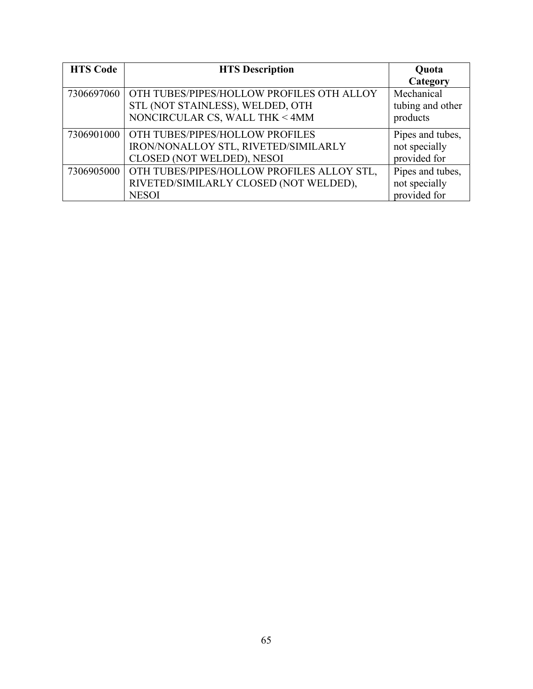| <b>HTS Code</b> | <b>HTS Description</b>                       | Quota            |
|-----------------|----------------------------------------------|------------------|
|                 |                                              | Category         |
| 7306697060      | OTH TUBES/PIPES/HOLLOW PROFILES OTH ALLOY    | Mechanical       |
|                 | STL (NOT STAINLESS), WELDED, OTH             | tubing and other |
|                 | NONCIRCULAR CS, WALL THK < 4MM               | products         |
|                 | 7306901000   OTH TUBES/PIPES/HOLLOW PROFILES | Pipes and tubes, |
|                 | IRON/NONALLOY STL, RIVETED/SIMILARLY         | not specially    |
|                 | CLOSED (NOT WELDED), NESOI                   | provided for     |
| 7306905000      | OTH TUBES/PIPES/HOLLOW PROFILES ALLOY STL,   | Pipes and tubes, |
|                 | RIVETED/SIMILARLY CLOSED (NOT WELDED),       | not specially    |
|                 | <b>NESOI</b>                                 | provided for     |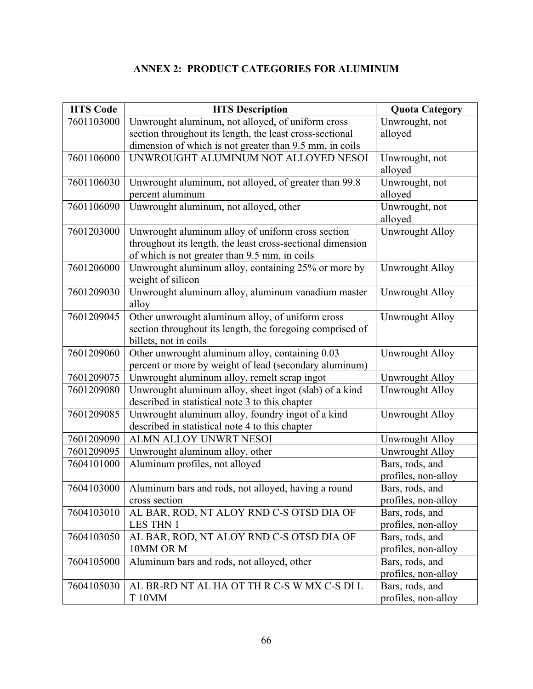# **ANNEX 2: PRODUCT CATEGORIES FOR ALUMINUM**

| <b>HTS Code</b> | <b>HTS Description</b>                                     | <b>Quota Category</b>  |
|-----------------|------------------------------------------------------------|------------------------|
| 7601103000      | Unwrought aluminum, not alloyed, of uniform cross          | Unwrought, not         |
|                 | section throughout its length, the least cross-sectional   | alloyed                |
|                 | dimension of which is not greater than 9.5 mm, in coils    |                        |
| 7601106000      | UNWROUGHT ALUMINUM NOT ALLOYED NESOI                       | Unwrought, not         |
|                 |                                                            | alloyed                |
| 7601106030      | Unwrought aluminum, not alloyed, of greater than 99.8      | Unwrought, not         |
|                 | percent aluminum                                           | alloyed                |
| 7601106090      | Unwrought aluminum, not alloyed, other                     | Unwrought, not         |
|                 |                                                            | alloyed                |
| 7601203000      | Unwrought aluminum alloy of uniform cross section          | Unwrought Alloy        |
|                 | throughout its length, the least cross-sectional dimension |                        |
|                 | of which is not greater than 9.5 mm, in coils              |                        |
| 7601206000      | Unwrought aluminum alloy, containing 25% or more by        | <b>Unwrought Alloy</b> |
|                 | weight of silicon                                          |                        |
| 7601209030      | Unwrought aluminum alloy, aluminum vanadium master         | Unwrought Alloy        |
|                 | alloy                                                      |                        |
| 7601209045      | Other unwrought aluminum alloy, of uniform cross           | <b>Unwrought Alloy</b> |
|                 | section throughout its length, the foregoing comprised of  |                        |
|                 | billets, not in coils                                      |                        |
| 7601209060      | Other unwrought aluminum alloy, containing 0.03            | Unwrought Alloy        |
|                 | percent or more by weight of lead (secondary aluminum)     |                        |
| 7601209075      | Unwrought aluminum alloy, remelt scrap ingot               | Unwrought Alloy        |
| 7601209080      | Unwrought aluminum alloy, sheet ingot (slab) of a kind     | <b>Unwrought Alloy</b> |
|                 | described in statistical note 3 to this chapter            |                        |
| 7601209085      | Unwrought aluminum alloy, foundry ingot of a kind          | <b>Unwrought Alloy</b> |
|                 | described in statistical note 4 to this chapter            |                        |
| 7601209090      | ALMN ALLOY UNWRT NESOI                                     | Unwrought Alloy        |
| 7601209095      | Unwrought aluminum alloy, other                            | Unwrought Alloy        |
| 7604101000      | Aluminum profiles, not alloyed                             | Bars, rods, and        |
|                 |                                                            | profiles, non-alloy    |
| 7604103000      | Aluminum bars and rods, not alloyed, having a round        | Bars, rods, and        |
|                 | cross section                                              | profiles, non-alloy    |
| 7604103010      | AL BAR, ROD, NT ALOY RND C-S OTSD DIA OF                   | Bars, rods, and        |
|                 | <b>LES THN 1</b>                                           | profiles, non-alloy    |
| 7604103050      | AL BAR, ROD, NT ALOY RND C-S OTSD DIA OF                   | Bars, rods, and        |
|                 | 10MM OR M                                                  | profiles, non-alloy    |
| 7604105000      | Aluminum bars and rods, not alloyed, other                 | Bars, rods, and        |
|                 |                                                            | profiles, non-alloy    |
| 7604105030      | AL BR-RD NT AL HA OT TH R C-S W MX C-S DI L                | Bars, rods, and        |
|                 | <b>T10MM</b>                                               | profiles, non-alloy    |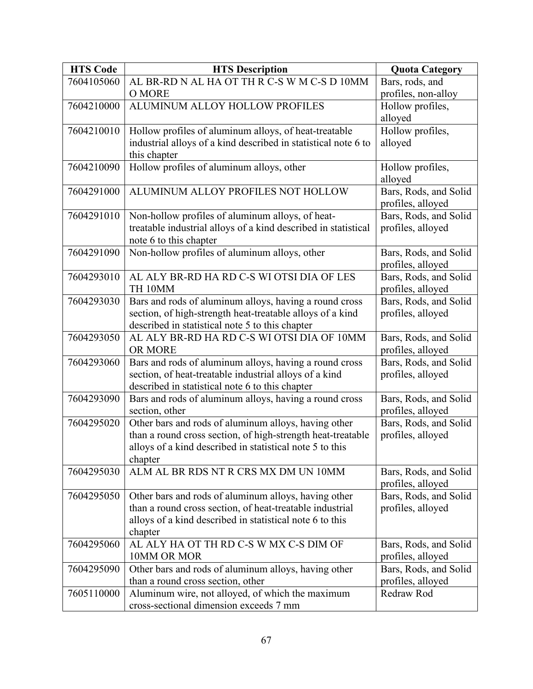| <b>HTS Code</b> | <b>HTS Description</b>                                                                                    | <b>Quota Category</b>                      |
|-----------------|-----------------------------------------------------------------------------------------------------------|--------------------------------------------|
| 7604105060      | AL BR-RD N AL HA OT TH R C-S W M C-S D 10MM                                                               | Bars, rods, and                            |
|                 | O MORE                                                                                                    | profiles, non-alloy                        |
| 7604210000      | ALUMINUM ALLOY HOLLOW PROFILES                                                                            | Hollow profiles,                           |
|                 |                                                                                                           | alloyed                                    |
| 7604210010      | Hollow profiles of aluminum alloys, of heat-treatable                                                     | Hollow profiles,                           |
|                 | industrial alloys of a kind described in statistical note 6 to<br>this chapter                            | alloyed                                    |
| 7604210090      | Hollow profiles of aluminum alloys, other                                                                 | Hollow profiles,                           |
|                 |                                                                                                           | alloyed                                    |
| 7604291000      | ALUMINUM ALLOY PROFILES NOT HOLLOW                                                                        | Bars, Rods, and Solid<br>profiles, alloyed |
| 7604291010      | Non-hollow profiles of aluminum alloys, of heat-                                                          | Bars, Rods, and Solid                      |
|                 | treatable industrial alloys of a kind described in statistical                                            | profiles, alloyed                          |
|                 | note 6 to this chapter                                                                                    |                                            |
| 7604291090      | Non-hollow profiles of aluminum alloys, other                                                             | Bars, Rods, and Solid<br>profiles, alloyed |
| 7604293010      | AL ALY BR-RD HA RD C-S WI OTSI DIA OF LES                                                                 | Bars, Rods, and Solid                      |
|                 | TH 10MM                                                                                                   | profiles, alloyed                          |
| 7604293030      | Bars and rods of aluminum alloys, having a round cross                                                    | Bars, Rods, and Solid                      |
|                 | section, of high-strength heat-treatable alloys of a kind                                                 | profiles, alloyed                          |
|                 | described in statistical note 5 to this chapter                                                           |                                            |
| 7604293050      | AL ALY BR-RD HA RD C-S WI OTSI DIA OF 10MM                                                                | Bars, Rods, and Solid                      |
|                 | OR MORE                                                                                                   | profiles, alloyed                          |
| 7604293060      | Bars and rods of aluminum alloys, having a round cross                                                    | Bars, Rods, and Solid                      |
|                 | section, of heat-treatable industrial alloys of a kind                                                    | profiles, alloyed                          |
| 7604293090      | described in statistical note 6 to this chapter<br>Bars and rods of aluminum alloys, having a round cross | Bars, Rods, and Solid                      |
|                 | section, other                                                                                            | profiles, alloyed                          |
| 7604295020      | Other bars and rods of aluminum alloys, having other                                                      | Bars, Rods, and Solid                      |
|                 | than a round cross section, of high-strength heat-treatable                                               | profiles, alloyed                          |
|                 | alloys of a kind described in statistical note 5 to this                                                  |                                            |
|                 | chapter                                                                                                   |                                            |
| 7604295030      | ALM AL BR RDS NT R CRS MX DM UN 10MM                                                                      | Bars, Rods, and Solid<br>profiles, alloyed |
| 7604295050      | Other bars and rods of aluminum alloys, having other                                                      | Bars, Rods, and Solid                      |
|                 | than a round cross section, of heat-treatable industrial                                                  | profiles, alloyed                          |
|                 | alloys of a kind described in statistical note 6 to this                                                  |                                            |
|                 | chapter                                                                                                   |                                            |
| 7604295060      | AL ALY HA OT TH RD C-S W MX C-S DIM OF                                                                    | Bars, Rods, and Solid                      |
|                 | 10MM OR MOR                                                                                               | profiles, alloyed                          |
| 7604295090      | Other bars and rods of aluminum alloys, having other                                                      | Bars, Rods, and Solid                      |
|                 | than a round cross section, other                                                                         | profiles, alloyed                          |
| 7605110000      | Aluminum wire, not alloyed, of which the maximum                                                          | Redraw Rod                                 |
|                 | cross-sectional dimension exceeds 7 mm                                                                    |                                            |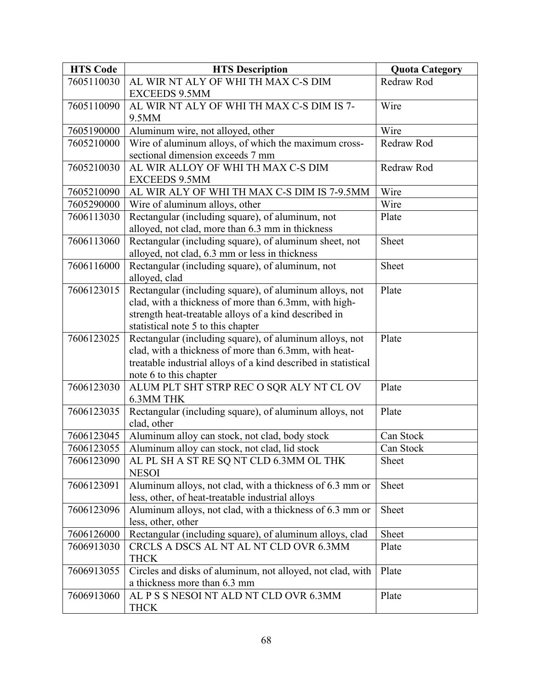| <b>HTS Code</b> | <b>HTS Description</b>                                                                                           | <b>Quota Category</b> |
|-----------------|------------------------------------------------------------------------------------------------------------------|-----------------------|
| 7605110030      | AL WIR NT ALY OF WHI TH MAX C-S DIM                                                                              | Redraw Rod            |
|                 | <b>EXCEEDS 9.5MM</b>                                                                                             |                       |
| 7605110090      | AL WIR NT ALY OF WHI TH MAX C-S DIM IS 7-                                                                        | Wire                  |
|                 | 9.5MM                                                                                                            |                       |
| 7605190000      | Aluminum wire, not alloyed, other                                                                                | Wire                  |
| 7605210000      | Wire of aluminum alloys, of which the maximum cross-                                                             | Redraw Rod            |
|                 | sectional dimension exceeds 7 mm                                                                                 |                       |
| 7605210030      | AL WIR ALLOY OF WHI TH MAX C-S DIM                                                                               | Redraw Rod            |
|                 | <b>EXCEEDS 9.5MM</b>                                                                                             |                       |
| 7605210090      | AL WIR ALY OF WHI TH MAX C-S DIM IS 7-9.5MM                                                                      | Wire                  |
| 7605290000      | Wire of aluminum alloys, other                                                                                   | Wire                  |
| 7606113030      | Rectangular (including square), of aluminum, not                                                                 | Plate                 |
|                 | alloyed, not clad, more than 6.3 mm in thickness                                                                 |                       |
| 7606113060      | Rectangular (including square), of aluminum sheet, not                                                           | Sheet                 |
|                 | alloyed, not clad, 6.3 mm or less in thickness                                                                   |                       |
| 7606116000      | Rectangular (including square), of aluminum, not                                                                 | Sheet                 |
| 7606123015      | alloyed, clad                                                                                                    | Plate                 |
|                 | Rectangular (including square), of aluminum alloys, not<br>clad, with a thickness of more than 6.3mm, with high- |                       |
|                 | strength heat-treatable alloys of a kind described in                                                            |                       |
|                 | statistical note 5 to this chapter                                                                               |                       |
| 7606123025      | Rectangular (including square), of aluminum alloys, not                                                          | Plate                 |
|                 | clad, with a thickness of more than 6.3mm, with heat-                                                            |                       |
|                 | treatable industrial alloys of a kind described in statistical                                                   |                       |
|                 | note 6 to this chapter                                                                                           |                       |
| 7606123030      | ALUM PLT SHT STRP REC O SQR ALY NT CL OV                                                                         | Plate                 |
|                 | 6.3MM THK                                                                                                        |                       |
| 7606123035      | Rectangular (including square), of aluminum alloys, not                                                          | Plate                 |
|                 | clad, other                                                                                                      |                       |
| 7606123045      | Aluminum alloy can stock, not clad, body stock                                                                   | Can Stock             |
| 7606123055      | Aluminum alloy can stock, not clad, lid stock                                                                    | Can Stock             |
| 7606123090      | AL PL SH A ST RE SQ NT CLD 6.3MM OL THK                                                                          | Sheet                 |
|                 | <b>NESOI</b>                                                                                                     |                       |
| 7606123091      | Aluminum alloys, not clad, with a thickness of 6.3 mm or                                                         | Sheet                 |
|                 | less, other, of heat-treatable industrial alloys                                                                 |                       |
| 7606123096      | Aluminum alloys, not clad, with a thickness of 6.3 mm or                                                         | Sheet                 |
|                 | less, other, other                                                                                               |                       |
| 7606126000      | Rectangular (including square), of aluminum alloys, clad                                                         | Sheet                 |
| 7606913030      | CRCLS A DSCS AL NT AL NT CLD OVR 6.3MM                                                                           | Plate                 |
|                 | <b>THCK</b>                                                                                                      |                       |
| 7606913055      | Circles and disks of aluminum, not alloyed, not clad, with                                                       | Plate                 |
|                 | a thickness more than 6.3 mm<br>AL P S S NESOI NT ALD NT CLD OVR 6.3MM                                           |                       |
| 7606913060      | <b>THCK</b>                                                                                                      | Plate                 |
|                 |                                                                                                                  |                       |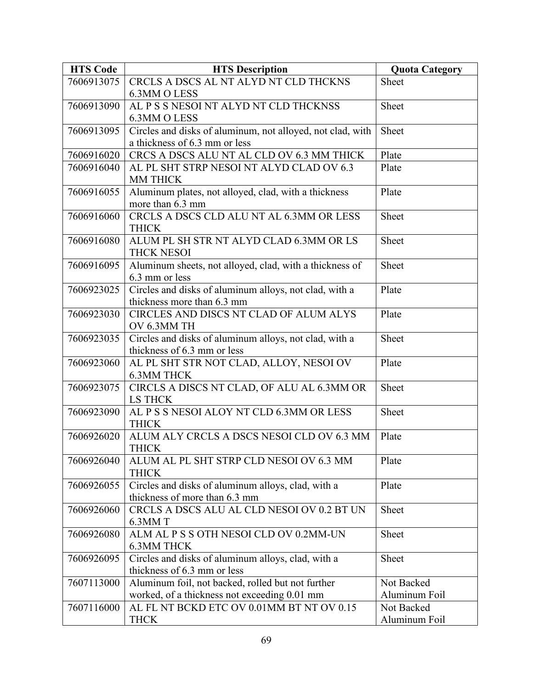| <b>HTS Code</b> | <b>HTS Description</b>                                                                    | <b>Quota Category</b>       |
|-----------------|-------------------------------------------------------------------------------------------|-----------------------------|
| 7606913075      | CRCLS A DSCS AL NT ALYD NT CLD THCKNS                                                     | Sheet                       |
|                 | 6.3MM O LESS                                                                              |                             |
| 7606913090      | AL P S S NESOI NT ALYD NT CLD THCKNSS                                                     | Sheet                       |
|                 | 6.3MM O LESS                                                                              |                             |
| 7606913095      | Circles and disks of aluminum, not alloyed, not clad, with                                | Sheet                       |
|                 | a thickness of 6.3 mm or less                                                             |                             |
| 7606916020      | CRCS A DSCS ALU NT AL CLD OV 6.3 MM THICK                                                 | Plate                       |
| 7606916040      | AL PL SHT STRP NESOI NT ALYD CLAD OV 6.3<br>MM THICK                                      | Plate                       |
| 7606916055      | Aluminum plates, not alloyed, clad, with a thickness                                      | Plate                       |
|                 | more than 6.3 mm                                                                          |                             |
| 7606916060      | CRCLS A DSCS CLD ALU NT AL 6.3MM OR LESS                                                  | Sheet                       |
|                 | <b>THICK</b>                                                                              |                             |
| 7606916080      | ALUM PL SH STR NT ALYD CLAD 6.3MM OR LS                                                   | Sheet                       |
|                 | <b>THCK NESOI</b>                                                                         |                             |
| 7606916095      | Aluminum sheets, not alloyed, clad, with a thickness of                                   | Sheet                       |
|                 | 6.3 mm or less                                                                            |                             |
| 7606923025      | Circles and disks of aluminum alloys, not clad, with a                                    | Plate                       |
|                 | thickness more than 6.3 mm                                                                |                             |
| 7606923030      | CIRCLES AND DISCS NT CLAD OF ALUM ALYS                                                    | Plate                       |
|                 | OV 6.3MM TH                                                                               |                             |
| 7606923035      | Circles and disks of aluminum alloys, not clad, with a                                    | Sheet                       |
|                 | thickness of 6.3 mm or less                                                               |                             |
| 7606923060      | AL PL SHT STR NOT CLAD, ALLOY, NESOI OV<br><b>6.3MM THCK</b>                              | Plate                       |
| 7606923075      | CIRCLS A DISCS NT CLAD, OF ALU AL 6.3MM OR                                                | Sheet                       |
|                 | <b>LS THCK</b>                                                                            |                             |
| 7606923090      | AL P S S NESOI ALOY NT CLD 6.3MM OR LESS                                                  | Sheet                       |
|                 | <b>THICK</b>                                                                              |                             |
| 7606926020      | ALUM ALY CRCLS A DSCS NESOI CLD OV 6.3 MM                                                 | Plate                       |
|                 | <b>THICK</b>                                                                              |                             |
| 7606926040      | ALUM AL PL SHT STRP CLD NESOI OV 6.3 MM                                                   | Plate                       |
|                 | <b>THICK</b>                                                                              |                             |
| 7606926055      | Circles and disks of aluminum alloys, clad, with a                                        | Plate                       |
|                 | thickness of more than 6.3 mm                                                             |                             |
| 7606926060      | CRCLS A DSCS ALU AL CLD NESOI OV 0.2 BT UN                                                | Sheet                       |
|                 | 6.3MM T                                                                                   |                             |
| 7606926080      | ALM AL P S S OTH NESOI CLD OV 0.2MM-UN                                                    | Sheet                       |
|                 | <b>6.3MM THCK</b>                                                                         |                             |
| 7606926095      | Circles and disks of aluminum alloys, clad, with a                                        | Sheet                       |
|                 | thickness of 6.3 mm or less                                                               |                             |
| 7607113000      | Aluminum foil, not backed, rolled but not further                                         | Not Backed                  |
|                 | worked, of a thickness not exceeding 0.01 mm<br>AL FL NT BCKD ETC OV 0.01MM BT NT OV 0.15 | Aluminum Foil<br>Not Backed |
| 7607116000      | <b>THCK</b>                                                                               | Aluminum Foil               |
|                 |                                                                                           |                             |